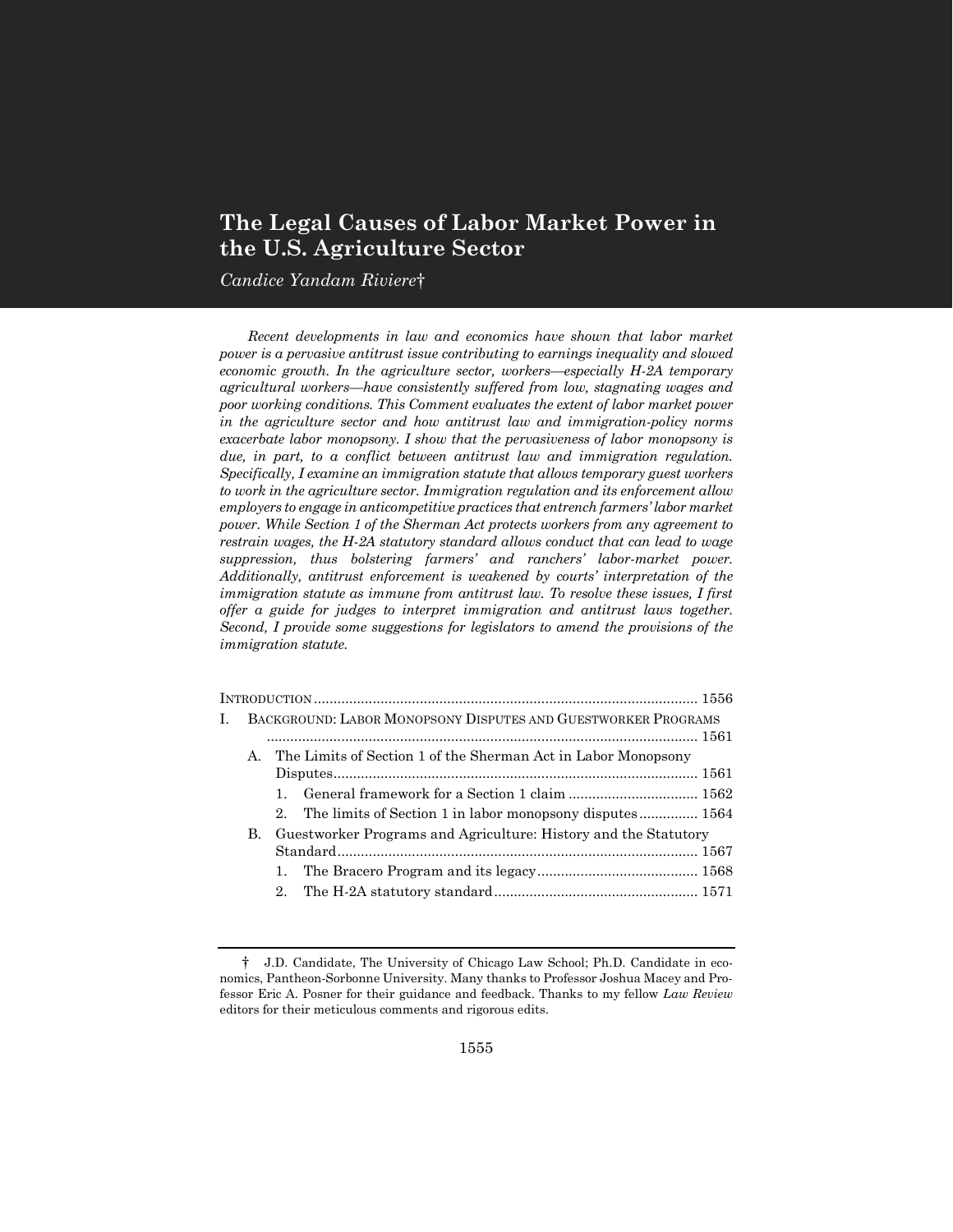# **The Legal Causes of Labor Market Power in the U.S. Agriculture Sector**

*Candice Yandam Riviere*†

*Recent developments in law and economics have shown that labor market power is a pervasive antitrust issue contributing to earnings inequality and slowed economic growth. In the agriculture sector, workers—especially H-2A temporary agricultural workers—have consistently suffered from low, stagnating wages and poor working conditions. This Comment evaluates the extent of labor market power in the agriculture sector and how antitrust law and immigration-policy norms exacerbate labor monopsony. I show that the pervasiveness of labor monopsony is due, in part, to a conflict between antitrust law and immigration regulation. Specifically, I examine an immigration statute that allows temporary guest workers to work in the agriculture sector. Immigration regulation and its enforcement allow employers to engage in anticompetitive practices that entrench farmers' labor market power. While Section 1 of the Sherman Act protects workers from any agreement to restrain wages, the H-2A statutory standard allows conduct that can lead to wage suppression, thus bolstering farmers' and ranchers' labor-market power. Additionally, antitrust enforcement is weakened by courts' interpretation of the immigration statute as immune from antitrust law. To resolve these issues, I first offer a guide for judges to interpret immigration and antitrust laws together. Second, I provide some suggestions for legislators to amend the provisions of the immigration statute.*

| L |         | BACKGROUND: LABOR MONOPSONY DISPUTES AND GUESTWORKER PROGRAMS      |  |
|---|---------|--------------------------------------------------------------------|--|
|   | $A_{-}$ | The Limits of Section 1 of the Sherman Act in Labor Monopsony      |  |
|   |         |                                                                    |  |
|   |         |                                                                    |  |
|   |         | 2. The limits of Section 1 in labor monopsony disputes 1564        |  |
|   |         | B. Guestworker Programs and Agriculture: History and the Statutory |  |
|   |         |                                                                    |  |
|   |         |                                                                    |  |
|   |         |                                                                    |  |
|   |         |                                                                    |  |

<sup>†</sup> J.D. Candidate, The University of Chicago Law School; Ph.D. Candidate in economics, Pantheon-Sorbonne University. Many thanks to Professor Joshua Macey and Professor Eric A. Posner for their guidance and feedback. Thanks to my fellow *Law Review* editors for their meticulous comments and rigorous edits.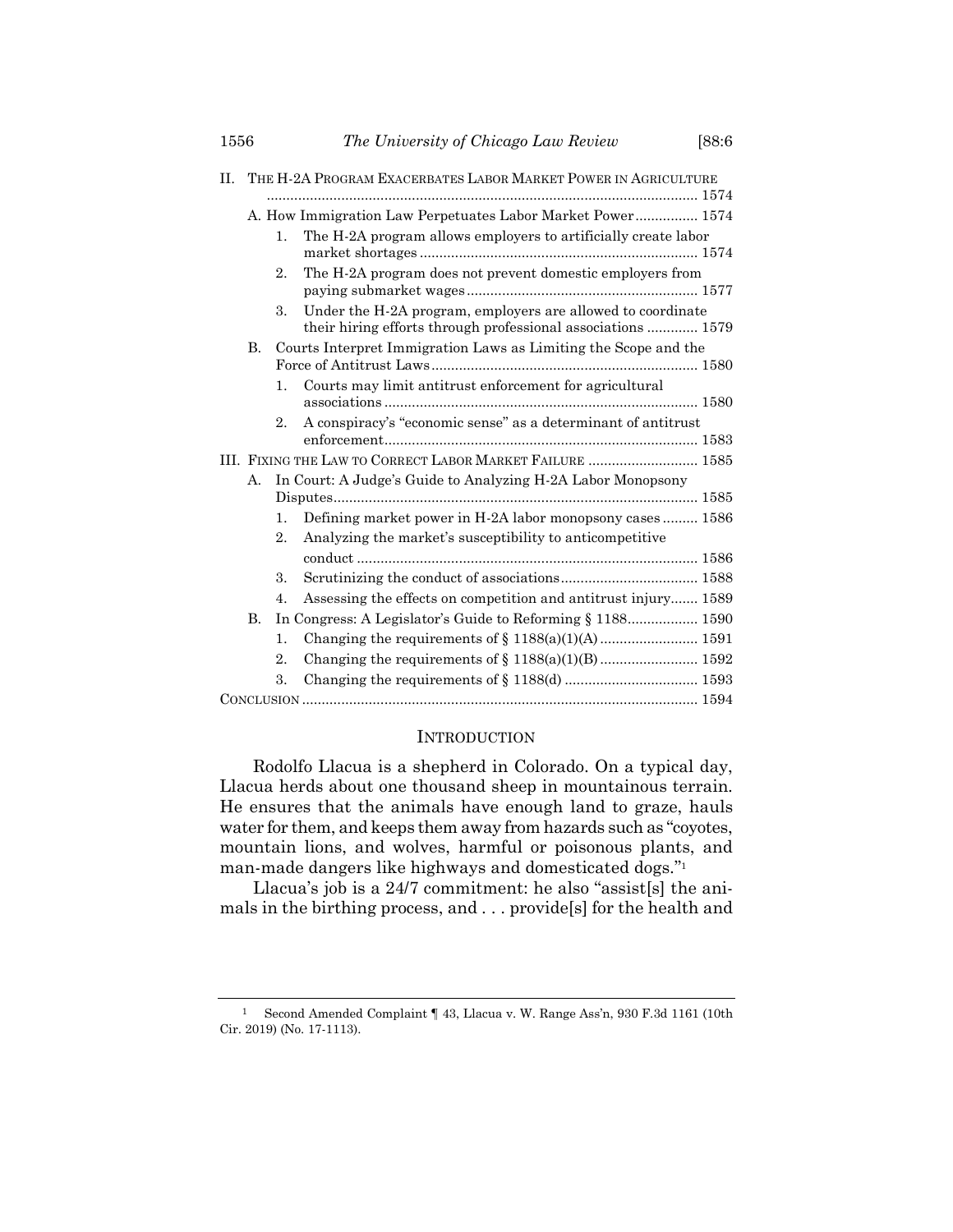| П. | THE H-2A PROGRAM EXACERBATES LABOR MARKET POWER IN AGRICULTURE |                                                                 |                                                                                                                             |  |  |  |  |
|----|----------------------------------------------------------------|-----------------------------------------------------------------|-----------------------------------------------------------------------------------------------------------------------------|--|--|--|--|
|    |                                                                | A. How Immigration Law Perpetuates Labor Market Power 1574      |                                                                                                                             |  |  |  |  |
|    |                                                                |                                                                 |                                                                                                                             |  |  |  |  |
|    |                                                                | 1.                                                              | The H-2A program allows employers to artificially create labor                                                              |  |  |  |  |
|    |                                                                | 2.                                                              | The H-2A program does not prevent domestic employers from                                                                   |  |  |  |  |
|    |                                                                | 3.                                                              | Under the H-2A program, employers are allowed to coordinate<br>their hiring efforts through professional associations  1579 |  |  |  |  |
|    | <b>B.</b>                                                      | Courts Interpret Immigration Laws as Limiting the Scope and the |                                                                                                                             |  |  |  |  |
|    |                                                                | 1.                                                              | Courts may limit antitrust enforcement for agricultural                                                                     |  |  |  |  |
|    |                                                                | 2.                                                              | A conspiracy's "economic sense" as a determinant of antitrust                                                               |  |  |  |  |
|    | III. FIXING THE LAW TO CORRECT LABOR MARKET FAILURE  1585      |                                                                 |                                                                                                                             |  |  |  |  |
|    | А.                                                             |                                                                 | In Court: A Judge's Guide to Analyzing H-2A Labor Monopsony                                                                 |  |  |  |  |
|    |                                                                |                                                                 |                                                                                                                             |  |  |  |  |
|    |                                                                | $\mathbf{1}$ .                                                  | Defining market power in H-2A labor monopsony cases  1586                                                                   |  |  |  |  |
|    | 2.                                                             |                                                                 | Analyzing the market's susceptibility to anticompetitive                                                                    |  |  |  |  |
|    |                                                                |                                                                 |                                                                                                                             |  |  |  |  |
|    |                                                                | 3.                                                              |                                                                                                                             |  |  |  |  |
|    |                                                                | 4.                                                              | Assessing the effects on competition and antitrust injury 1589                                                              |  |  |  |  |
|    | B.                                                             | In Congress: A Legislator's Guide to Reforming § 1188 1590      |                                                                                                                             |  |  |  |  |
|    |                                                                | 1.                                                              |                                                                                                                             |  |  |  |  |
|    |                                                                | $\overline{2}$ .                                                |                                                                                                                             |  |  |  |  |
|    |                                                                | 3.                                                              |                                                                                                                             |  |  |  |  |
|    |                                                                |                                                                 |                                                                                                                             |  |  |  |  |

#### INTRODUCTION

Rodolfo Llacua is a shepherd in Colorado. On a typical day, Llacua herds about one thousand sheep in mountainous terrain. He ensures that the animals have enough land to graze, hauls water for them, and keeps them away from hazards such as "coyotes, mountain lions, and wolves, harmful or poisonous plants, and man-made dangers like highways and domesticated dogs." 1

Llacua's job is a 24/7 commitment: he also "assist[s] the animals in the birthing process, and . . . provide[s] for the health and

<sup>1</sup> Second Amended Complaint ¶ 43, Llacua v. W. Range Ass'n, 930 F.3d 1161 (10th Cir. 2019) (No. 17-1113).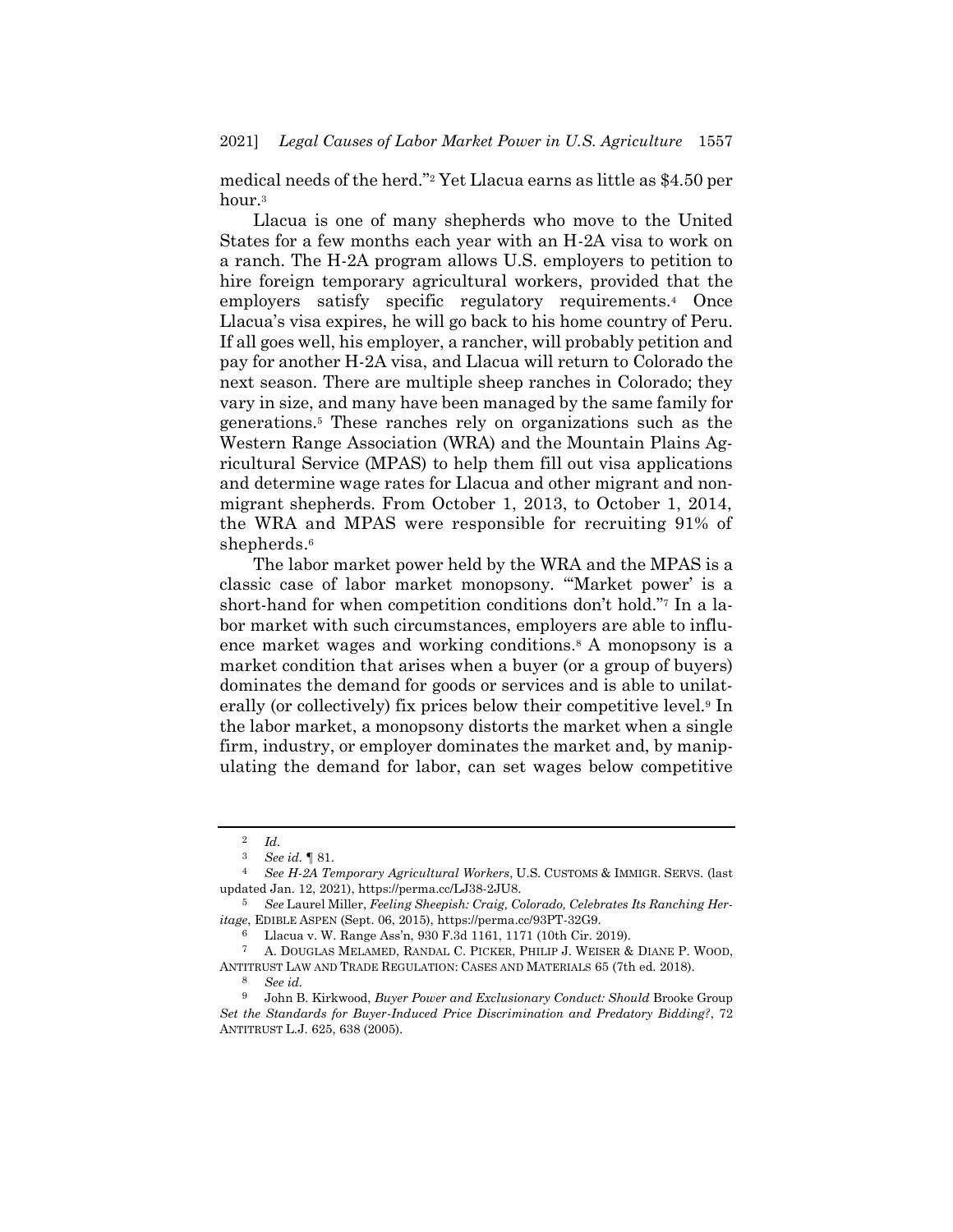medical needs of the herd."<sup>2</sup> Yet Llacua earns as little as \$4.50 per hour.<sup>3</sup>

Llacua is one of many shepherds who move to the United States for a few months each year with an H-2A visa to work on a ranch. The H-2A program allows U.S. employers to petition to hire foreign temporary agricultural workers, provided that the employers satisfy specific regulatory requirements.<sup>4</sup> Once Llacua's visa expires, he will go back to his home country of Peru. If all goes well, his employer, a rancher, will probably petition and pay for another H-2A visa, and Llacua will return to Colorado the next season. There are multiple sheep ranches in Colorado; they vary in size, and many have been managed by the same family for generations.<sup>5</sup> These ranches rely on organizations such as the Western Range Association (WRA) and the Mountain Plains Agricultural Service (MPAS) to help them fill out visa applications and determine wage rates for Llacua and other migrant and nonmigrant shepherds. From October 1, 2013, to October 1, 2014, the WRA and MPAS were responsible for recruiting 91% of shepherds. 6

The labor market power held by the WRA and the MPAS is a classic case of labor market monopsony. "'Market power' is a short-hand for when competition conditions don't hold."<sup>7</sup> In a labor market with such circumstances, employers are able to influence market wages and working conditions.<sup>8</sup> A monopsony is a market condition that arises when a buyer (or a group of buyers) dominates the demand for goods or services and is able to unilaterally (or collectively) fix prices below their competitive level.<sup>9</sup> In the labor market, a monopsony distorts the market when a single firm, industry, or employer dominates the market and, by manipulating the demand for labor, can set wages below competitive

<span id="page-2-0"></span> $rac{2}{3}$  *Id.*<br> $rac{2}{5}$ 

<sup>3</sup> *See id.* ¶ 81.

<sup>4</sup> *See H-2A Temporary Agricultural Workers*, U.S. CUSTOMS & IMMIGR. SERVS. (last updated Jan. 12, 2021), https://perma.cc/LJ38-2JU8.

<sup>5</sup> *See* Laurel Miller, *Feeling Sheepish: Craig, Colorado, Celebrates Its Ranching Heritage*, EDIBLE ASPEN (Sept. 06, 2015), https://perma.cc/93PT-32G9.

<sup>6</sup> Llacua v. W. Range Ass'n, 930 F.3d 1161, 1171 (10th Cir. 2019).<br>7 A DOUCLAS MELAMED, RANDAL C. PICKER, PHILIP J. WEISER

<sup>7</sup> A. DOUGLAS MELAMED, RANDAL C. PICKER, PHILIP J. WEISER & DIANE P. WOOD, ANTITRUST LAW AND TRADE REGULATION: CASES AND MATERIALS 65 (7th ed. 2018).

<sup>8</sup> *See id.*

<sup>9</sup> John B. Kirkwood, *Buyer Power and Exclusionary Conduct: Should* Brooke Group *Set the Standards for Buyer-Induced Price Discrimination and Predatory Bidding?*, 72 ANTITRUST L.J. 625, 638 (2005).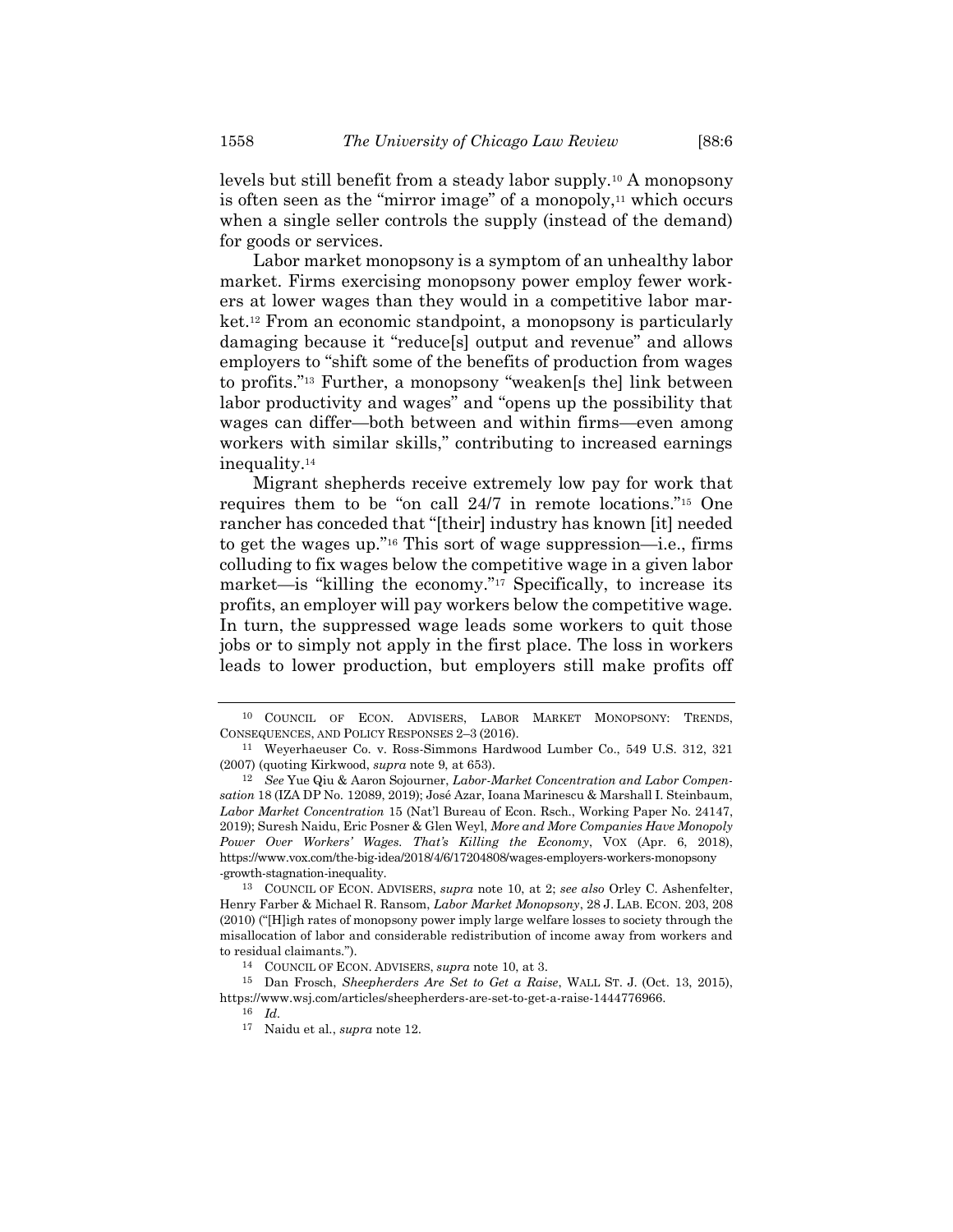levels but still benefit from a steady labor supply.<sup>10</sup> A monopsony is often seen as the "mirror image" of a monopoly, $11$  which occurs when a single seller controls the supply (instead of the demand)

<span id="page-3-1"></span>Labor market monopsony is a symptom of an unhealthy labor market. Firms exercising monopsony power employ fewer workers at lower wages than they would in a competitive labor market.<sup>12</sup> From an economic standpoint, a monopsony is particularly damaging because it "reduce[s] output and revenue" and allows employers to "shift some of the benefits of production from wages to profits."<sup>13</sup> Further, a monopsony "weaken[s the] link between labor productivity and wages" and "opens up the possibility that wages can differ—both between and within firms—even among workers with similar skills," contributing to increased earnings inequality.<sup>14</sup>

Migrant shepherds receive extremely low pay for work that requires them to be "on call 24/7 in remote locations."<sup>15</sup> One rancher has conceded that "[their] industry has known [it] needed to get the wages up."<sup>16</sup> This sort of wage suppression—i.e., firms colluding to fix wages below the competitive wage in a given labor market—is "killing the economy."<sup>17</sup> Specifically, to increase its profits, an employer will pay workers below the competitive wage. In turn, the suppressed wage leads some workers to quit those jobs or to simply not apply in the first place. The loss in workers leads to lower production, but employers still make profits off

<span id="page-3-0"></span>

for goods or services.

<sup>10</sup> COUNCIL OF ECON. ADVISERS, LABOR MARKET MONOPSONY: TRENDS, CONSEQUENCES, AND POLICY RESPONSES 2–3 (2016).

<sup>11</sup> Weyerhaeuser Co. v. Ross-Simmons Hardwood Lumber Co., 549 U.S. 312, 321 (2007) (quoting Kirkwood, *supra* not[e 9,](#page-2-0) at 653).

<sup>12</sup> *See* Yue Qiu & Aaron Sojourner, *Labor-Market Concentration and Labor Compensation* 18 (IZA DP No. 12089, 2019); José Azar, Ioana Marinescu & Marshall I. Steinbaum, *Labor Market Concentration* 15 (Nat'l Bureau of Econ. Rsch., Working Paper No. 24147, 2019); Suresh Naidu, Eric Posner & Glen Weyl, *More and More Companies Have Monopoly Power Over Workers' Wages. That's Killing the Economy*, VOX (Apr. 6, 2018), https://www.vox.com/the-big-idea/2018/4/6/17204808/wages-employers-workers-monopsony -growth-stagnation-inequality.

<sup>13</sup> COUNCIL OF ECON. ADVISERS, *supra* note [10,](#page-3-0) at 2; *see also* Orley C. Ashenfelter, Henry Farber & Michael R. Ransom, *Labor Market Monopsony*, 28 J. LAB. ECON. 203, 208 (2010) ("[H]igh rates of monopsony power imply large welfare losses to society through the misallocation of labor and considerable redistribution of income away from workers and to residual claimants.").

<sup>14</sup> COUNCIL OF ECON. ADVISERS, *supra* not[e 10,](#page-3-0) at 3.

<sup>15</sup> Dan Frosch, *Sheepherders Are Set to Get a Raise*, WALL ST. J. (Oct. 13, 2015), https://www.wsj.com/articles/sheepherders-are-set-to-get-a-raise-1444776966.

<sup>16</sup> *Id.*

<sup>17</sup> Naidu et al., *supra* not[e 12.](#page-3-1)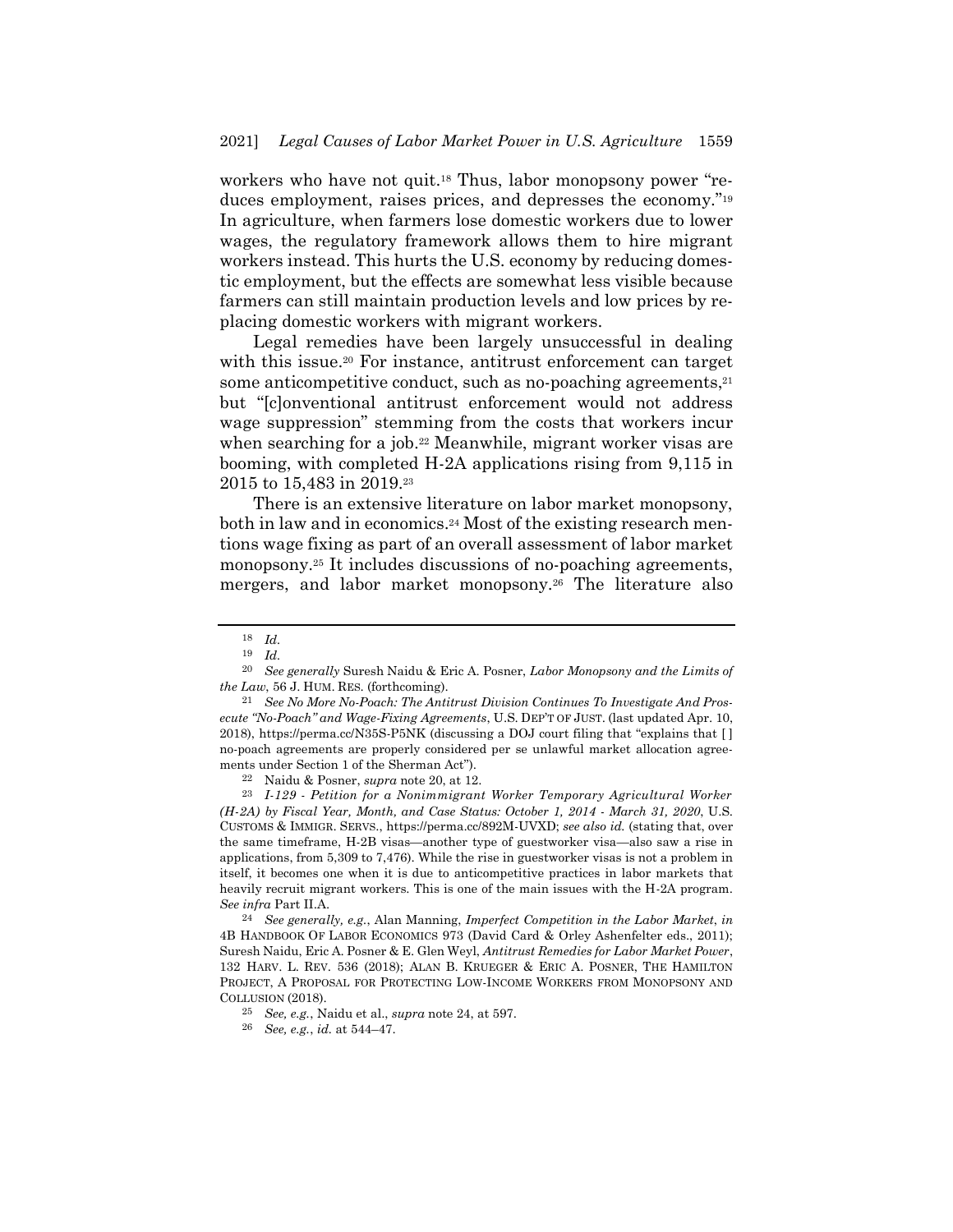workers who have not quit.<sup>18</sup> Thus, labor monopsony power "reduces employment, raises prices, and depresses the economy."<sup>19</sup> In agriculture, when farmers lose domestic workers due to lower wages, the regulatory framework allows them to hire migrant workers instead. This hurts the U.S. economy by reducing domestic employment, but the effects are somewhat less visible because farmers can still maintain production levels and low prices by replacing domestic workers with migrant workers.

<span id="page-4-0"></span>Legal remedies have been largely unsuccessful in dealing with this issue.<sup>20</sup> For instance, antitrust enforcement can target some anticompetitive conduct, such as no-poaching agreements,<sup>21</sup> but "[c]onventional antitrust enforcement would not address wage suppression" stemming from the costs that workers incur when searching for a job.<sup>22</sup> Meanwhile, migrant worker visas are booming, with completed H-2A applications rising from 9,115 in 2015 to 15,483 in 2019.<sup>23</sup>

<span id="page-4-1"></span>There is an extensive literature on labor market monopsony, both in law and in economics.<sup>24</sup> Most of the existing research mentions wage fixing as part of an overall assessment of labor market monopsony.<sup>25</sup> It includes discussions of no-poaching agreements, mergers, and labor market monopsony.<sup>26</sup> The literature also

22 Naidu & Posner, *supra* not[e 20,](#page-4-0) at 12.

23 *I-129 - Petition for a Nonimmigrant Worker Temporary Agricultural Worker (H-2A) by Fiscal Year, Month, and Case Status: October 1, 2014 - March 31, 2020*, U.S. CUSTOMS & IMMIGR. SERVS., https://perma.cc/892M-UVXD; *see also id.* (stating that, over the same timeframe, H-2B visas—another type of guestworker visa—also saw a rise in applications, from 5,309 to 7,476). While the rise in guestworker visas is not a problem in itself, it becomes one when it is due to anticompetitive practices in labor markets that heavily recruit migrant workers. This is one of the main issues with the H-2A program. *See infra* Part II.A.

24 *See generally, e.g.*, Alan Manning, *Imperfect Competition in the Labor Market*, *in* 4B HANDBOOK OF LABOR ECONOMICS 973 (David Card & Orley Ashenfelter eds., 2011); Suresh Naidu, Eric A. Posner & E. Glen Weyl, *Antitrust Remedies for Labor Market Power*, 132 HARV. L. REV. 536 (2018); ALAN B. KRUEGER & ERIC A. POSNER, THE HAMILTON PROJECT, A PROPOSAL FOR PROTECTING LOW-INCOME WORKERS FROM MONOPSONY AND COLLUSION (2018).

<sup>18</sup> *Id.*

<sup>19</sup> *Id.*

<sup>20</sup> *See generally* Suresh Naidu & Eric A. Posner, *Labor Monopsony and the Limits of the Law*, 56 J. HUM. RES. (forthcoming).

<sup>21</sup> *See No More No-Poach: The Antitrust Division Continues To Investigate And Prosecute "No-Poach" and Wage-Fixing Agreements*, U.S. DEP'T OF JUST. (last updated Apr. 10, 2018), https://perma.cc/N35S-P5NK (discussing a DOJ court filing that "explains that [ ] no-poach agreements are properly considered per se unlawful market allocation agreements under Section 1 of the Sherman Act").

<sup>25</sup> *See, e.g.*, Naidu et al., *supra* not[e 24,](#page-4-1) at 597.

<sup>26</sup> *See, e.g.*, *id.* at 544–47.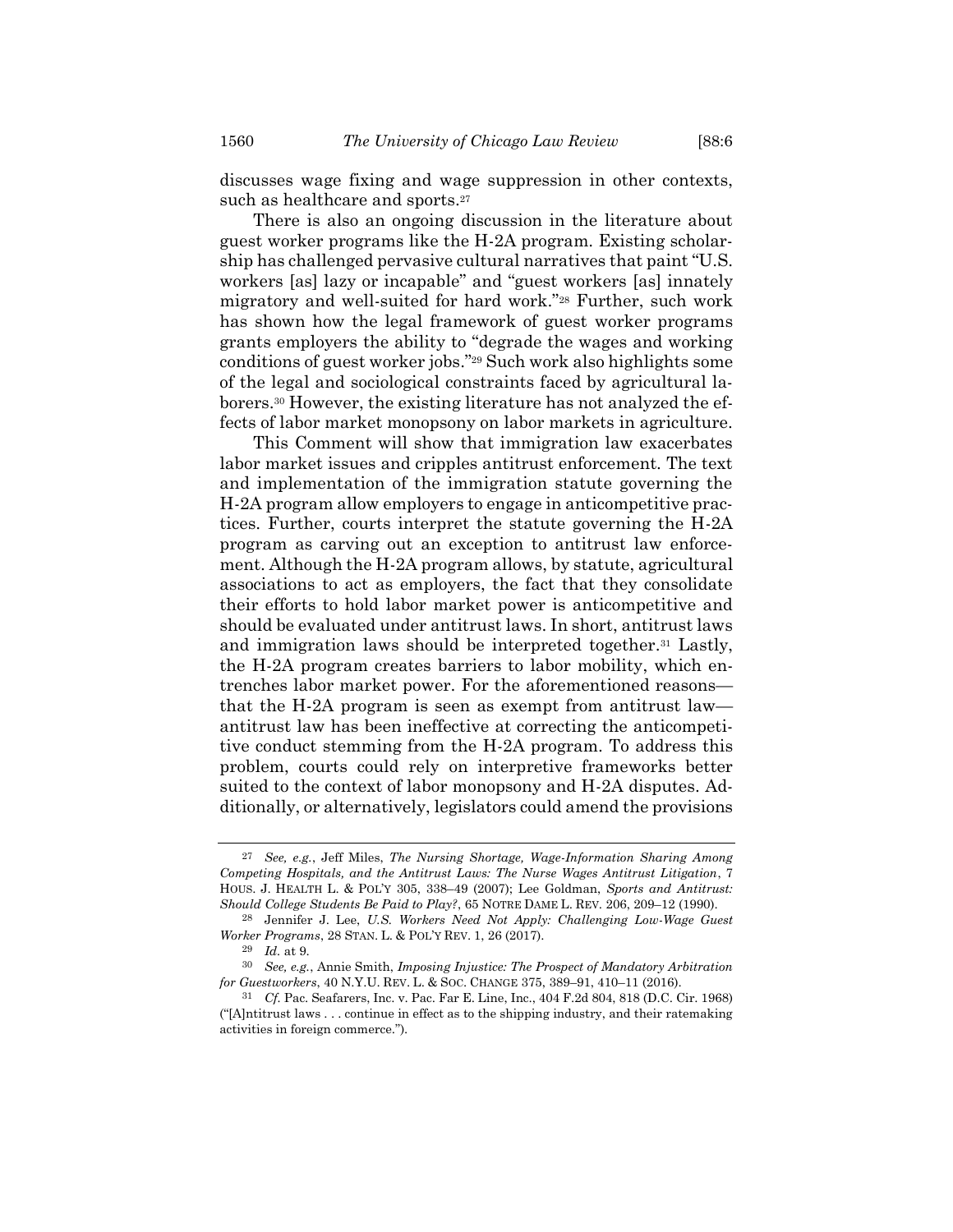discusses wage fixing and wage suppression in other contexts, such as healthcare and sports.<sup>27</sup>

<span id="page-5-0"></span>There is also an ongoing discussion in the literature about guest worker programs like the H-2A program. Existing scholarship has challenged pervasive cultural narratives that paint "U.S. workers [as] lazy or incapable" and "guest workers [as] innately migratory and well-suited for hard work."<sup>28</sup> Further, such work has shown how the legal framework of guest worker programs grants employers the ability to "degrade the wages and working conditions of guest worker jobs." <sup>29</sup> Such work also highlights some of the legal and sociological constraints faced by agricultural laborers.<sup>30</sup> However, the existing literature has not analyzed the effects of labor market monopsony on labor markets in agriculture.

This Comment will show that immigration law exacerbates labor market issues and cripples antitrust enforcement. The text and implementation of the immigration statute governing the H-2A program allow employers to engage in anticompetitive practices. Further, courts interpret the statute governing the H-2A program as carving out an exception to antitrust law enforcement. Although the H-2A program allows, by statute, agricultural associations to act as employers, the fact that they consolidate their efforts to hold labor market power is anticompetitive and should be evaluated under antitrust laws. In short, antitrust laws and immigration laws should be interpreted together.<sup>31</sup> Lastly, the H-2A program creates barriers to labor mobility, which entrenches labor market power. For the aforementioned reasons that the H-2A program is seen as exempt from antitrust law antitrust law has been ineffective at correcting the anticompetitive conduct stemming from the H-2A program. To address this problem, courts could rely on interpretive frameworks better suited to the context of labor monopsony and H-2A disputes. Additionally, or alternatively, legislators could amend the provisions

<sup>27</sup> *See, e.g.*, Jeff Miles, *The Nursing Shortage, Wage-Information Sharing Among Competing Hospitals, and the Antitrust Laws: The Nurse Wages Antitrust Litigation*, 7 HOUS. J. HEALTH L. & POL'Y 305, 338–49 (2007); Lee Goldman, *Sports and Antitrust: Should College Students Be Paid to Play?*, 65 NOTRE DAME L. REV. 206, 209–12 (1990).

<sup>28</sup> Jennifer J. Lee, *U.S. Workers Need Not Apply: Challenging Low-Wage Guest Worker Programs*, 28 STAN. L. & POL'Y REV. 1, 26 (2017).

<sup>29</sup> *Id.* at 9.

<sup>30</sup> *See, e.g.*, Annie Smith, *Imposing Injustice: The Prospect of Mandatory Arbitration for Guestworkers*, 40 N.Y.U. REV. L. & SOC. CHANGE 375, 389–91, 410–11 (2016).

<sup>31</sup> *Cf.* Pac. Seafarers, Inc. v. Pac. Far E. Line, Inc., 404 F.2d 804, 818 (D.C. Cir. 1968) ("[A]ntitrust laws . . . continue in effect as to the shipping industry, and their ratemaking activities in foreign commerce.").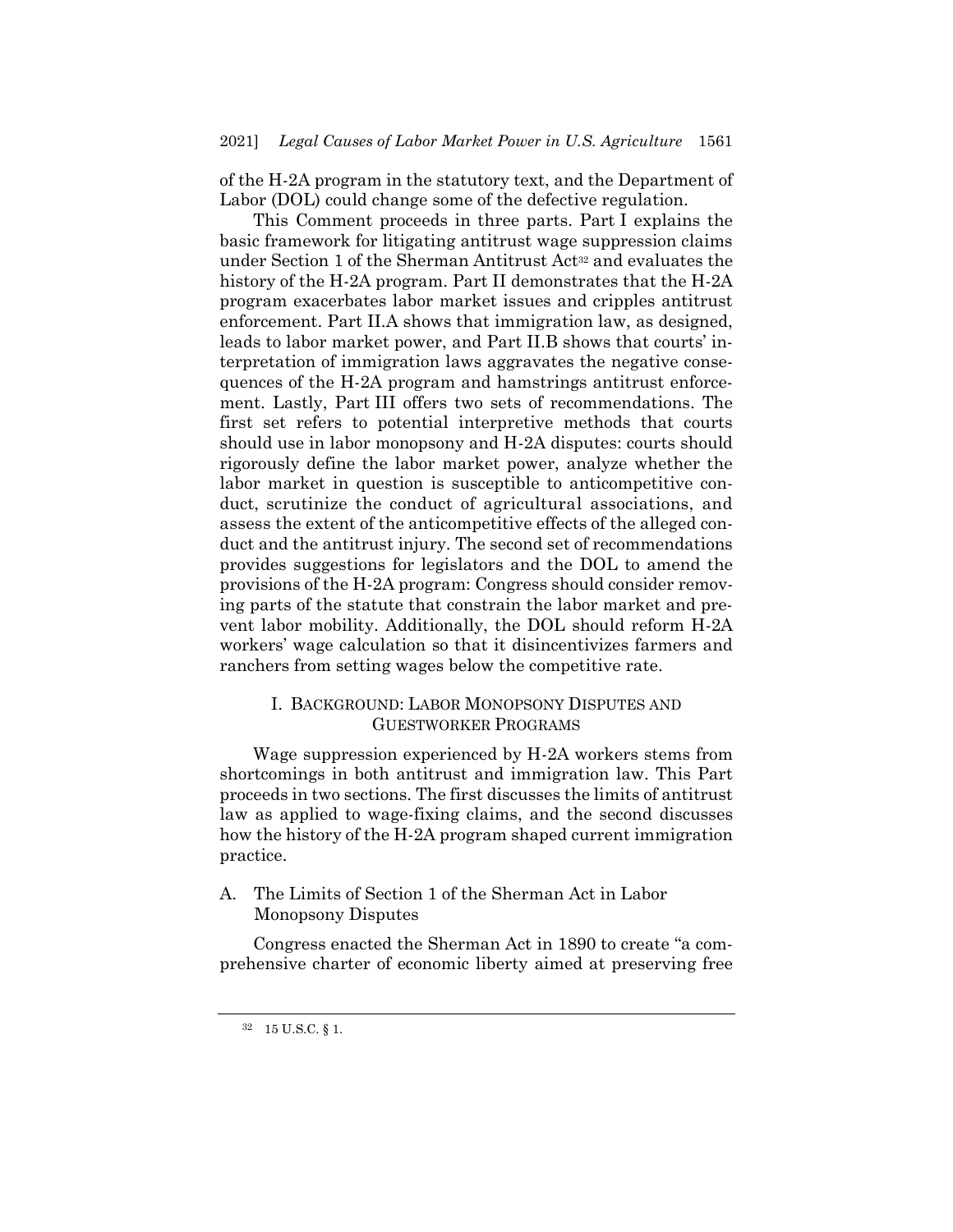of the H-2A program in the statutory text, and the Department of Labor (DOL) could change some of the defective regulation.

This Comment proceeds in three parts. Part I explains the basic framework for litigating antitrust wage suppression claims under Section 1 of the Sherman Antitrust Act<sup>32</sup> and evaluates the history of the H-2A program. Part II demonstrates that the H-2A program exacerbates labor market issues and cripples antitrust enforcement. Part II.A shows that immigration law, as designed, leads to labor market power, and Part II.B shows that courts' interpretation of immigration laws aggravates the negative consequences of the H-2A program and hamstrings antitrust enforcement. Lastly, Part III offers two sets of recommendations. The first set refers to potential interpretive methods that courts should use in labor monopsony and H-2A disputes: courts should rigorously define the labor market power, analyze whether the labor market in question is susceptible to anticompetitive conduct, scrutinize the conduct of agricultural associations, and assess the extent of the anticompetitive effects of the alleged conduct and the antitrust injury. The second set of recommendations provides suggestions for legislators and the DOL to amend the provisions of the H-2A program: Congress should consider removing parts of the statute that constrain the labor market and prevent labor mobility. Additionally, the DOL should reform H-2A workers' wage calculation so that it disincentivizes farmers and ranchers from setting wages below the competitive rate.

# I. BACKGROUND: LABOR MONOPSONY DISPUTES AND GUESTWORKER PROGRAMS

Wage suppression experienced by H-2A workers stems from shortcomings in both antitrust and immigration law. This Part proceeds in two sections. The first discusses the limits of antitrust law as applied to wage-fixing claims, and the second discusses how the history of the H-2A program shaped current immigration practice.

A. The Limits of Section 1 of the Sherman Act in Labor Monopsony Disputes

Congress enacted the Sherman Act in 1890 to create "a comprehensive charter of economic liberty aimed at preserving free

 $^{32}$  –  $15$  U.S.C.  $\S$  1.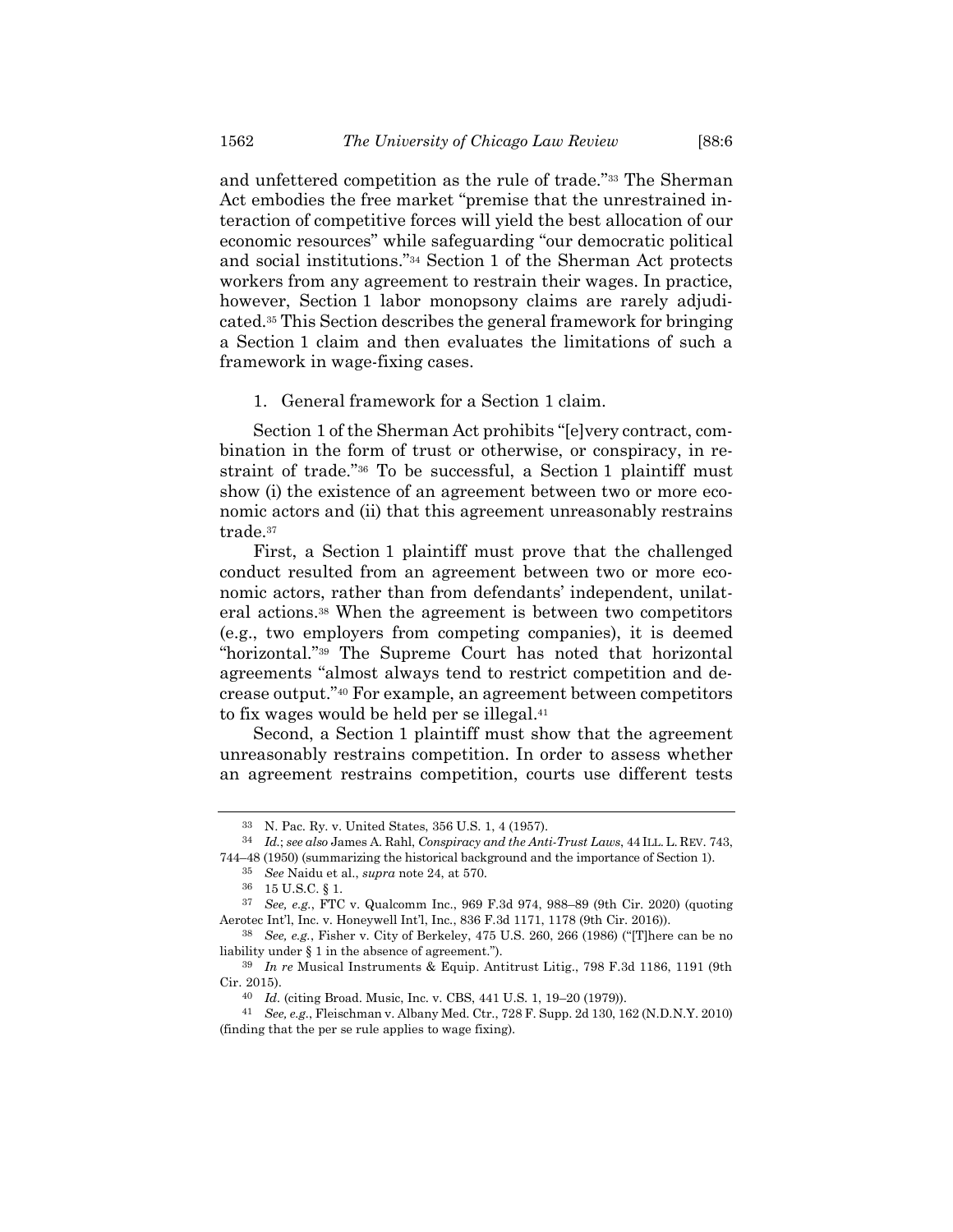and unfettered competition as the rule of trade."<sup>33</sup> The Sherman Act embodies the free market "premise that the unrestrained interaction of competitive forces will yield the best allocation of our economic resources" while safeguarding "our democratic political and social institutions."<sup>34</sup> Section 1 of the Sherman Act protects workers from any agreement to restrain their wages. In practice, however, Section 1 labor monopsony claims are rarely adjudicated.<sup>35</sup> This Section describes the general framework for bringing a Section 1 claim and then evaluates the limitations of such a framework in wage-fixing cases.

1. General framework for a Section 1 claim.

Section 1 of the Sherman Act prohibits "[e]very contract, combination in the form of trust or otherwise, or conspiracy, in restraint of trade."<sup>36</sup> To be successful, a Section 1 plaintiff must show (i) the existence of an agreement between two or more economic actors and (ii) that this agreement unreasonably restrains trade.<sup>37</sup>

First, a Section 1 plaintiff must prove that the challenged conduct resulted from an agreement between two or more economic actors, rather than from defendants' independent, unilateral actions.<sup>38</sup> When the agreement is between two competitors (e.g., two employers from competing companies), it is deemed "horizontal."<sup>39</sup> The Supreme Court has noted that horizontal agreements "almost always tend to restrict competition and decrease output."<sup>40</sup> For example, an agreement between competitors to fix wages would be held per se illegal. 41

Second, a Section 1 plaintiff must show that the agreement unreasonably restrains competition. In order to assess whether an agreement restrains competition, courts use different tests

<sup>33</sup> N. Pac. Ry. v. United States, 356 U.S. 1, 4 (1957).

<sup>34</sup> *Id.*; *see also* James A. Rahl, *Conspiracy and the Anti-Trust Laws*, 44 ILL. L. REV. 743, 744–48 (1950) (summarizing the historical background and the importance of Section 1).

<sup>35</sup> *See* Naidu et al., *supra* not[e 24,](#page-4-1) at 570.

 $^{36}$  –  $15$  U.S.C.  $\S$  1.

<sup>37</sup> *See, e.g.*, FTC v. Qualcomm Inc., 969 F.3d 974, 988–89 (9th Cir. 2020) (quoting Aerotec Int'l, Inc. v. Honeywell Int'l, Inc., 836 F.3d 1171, 1178 (9th Cir. 2016)).

<sup>38</sup> *See, e.g.*, Fisher v. City of Berkeley, 475 U.S. 260, 266 (1986) ("[T]here can be no liability under § 1 in the absence of agreement.").

<sup>39</sup> *In re* Musical Instruments & Equip. Antitrust Litig., 798 F.3d 1186, 1191 (9th Cir. 2015).

<sup>40</sup> *Id.* (citing Broad. Music, Inc. v. CBS, 441 U.S. 1, 19–20 (1979)).

<sup>41</sup> *See, e.g.*, Fleischman v. Albany Med. Ctr., 728 F. Supp. 2d 130, 162 (N.D.N.Y. 2010) (finding that the per se rule applies to wage fixing).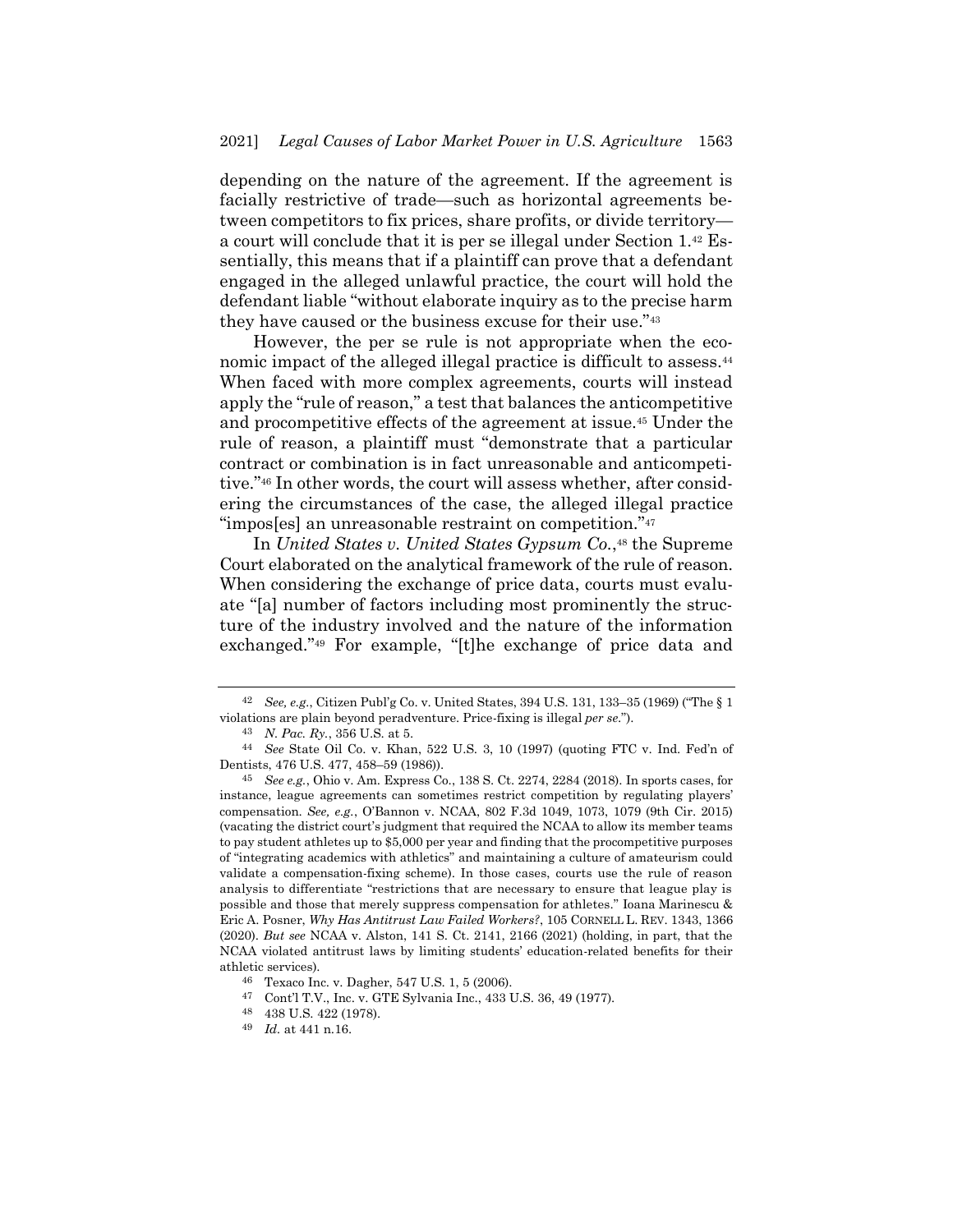depending on the nature of the agreement. If the agreement is facially restrictive of trade—such as horizontal agreements between competitors to fix prices, share profits, or divide territory a court will conclude that it is per se illegal under Section 1.<sup>42</sup> Essentially, this means that if a plaintiff can prove that a defendant engaged in the alleged unlawful practice, the court will hold the defendant liable "without elaborate inquiry as to the precise harm they have caused or the business excuse for their use."<sup>43</sup>

<span id="page-8-0"></span>However, the per se rule is not appropriate when the economic impact of the alleged illegal practice is difficult to assess.<sup>44</sup> When faced with more complex agreements, courts will instead apply the "rule of reason," a test that balances the anticompetitive and procompetitive effects of the agreement at issue.<sup>45</sup> Under the rule of reason, a plaintiff must "demonstrate that a particular contract or combination is in fact unreasonable and anticompetitive."<sup>46</sup> In other words, the court will assess whether, after considering the circumstances of the case, the alleged illegal practice "impos[es] an unreasonable restraint on competition."<sup>47</sup>

In *United States v. United States Gypsum Co.*, <sup>48</sup> the Supreme Court elaborated on the analytical framework of the rule of reason. When considering the exchange of price data, courts must evaluate "[a] number of factors including most prominently the structure of the industry involved and the nature of the information exchanged."<sup>49</sup> For example, "[t]he exchange of price data and

<sup>42</sup> *See, e.g.*, Citizen Publ'g Co. v. United States, 394 U.S. 131, 133–35 (1969) ("The § 1 violations are plain beyond peradventure. Price-fixing is illegal *per se*.").

<sup>43</sup> *N. Pac. Ry.*, 356 U.S. at 5.

<sup>44</sup> *See* State Oil Co. v. Khan, 522 U.S. 3, 10 (1997) (quoting FTC v. Ind. Fed'n of Dentists, 476 U.S. 477, 458–59 (1986)).

<sup>45</sup> *See e.g.*, Ohio v. Am. Express Co., 138 S. Ct. 2274, 2284 (2018). In sports cases, for instance, league agreements can sometimes restrict competition by regulating players' compensation. *See, e.g.*, O'Bannon v. NCAA, 802 F.3d 1049, 1073, 1079 (9th Cir. 2015) (vacating the district court's judgment that required the NCAA to allow its member teams to pay student athletes up to \$5,000 per year and finding that the procompetitive purposes of "integrating academics with athletics" and maintaining a culture of amateurism could validate a compensation-fixing scheme). In those cases, courts use the rule of reason analysis to differentiate "restrictions that are necessary to ensure that league play is possible and those that merely suppress compensation for athletes." Ioana Marinescu & Eric A. Posner, *Why Has Antitrust Law Failed Workers?*, 105 CORNELL L. REV. 1343, 1366 (2020). *But see* NCAA v. Alston, 141 S. Ct. 2141, 2166 (2021) (holding, in part, that the NCAA violated antitrust laws by limiting students' education-related benefits for their athletic services).

<sup>46</sup> Texaco Inc. v. Dagher, 547 U.S. 1, 5 (2006).

<sup>47</sup> Cont'l T.V., Inc. v. GTE Sylvania Inc., 433 U.S. 36, 49 (1977).

<sup>48</sup> 438 U.S. 422 (1978).

<sup>49</sup> *Id.* at 441 n.16.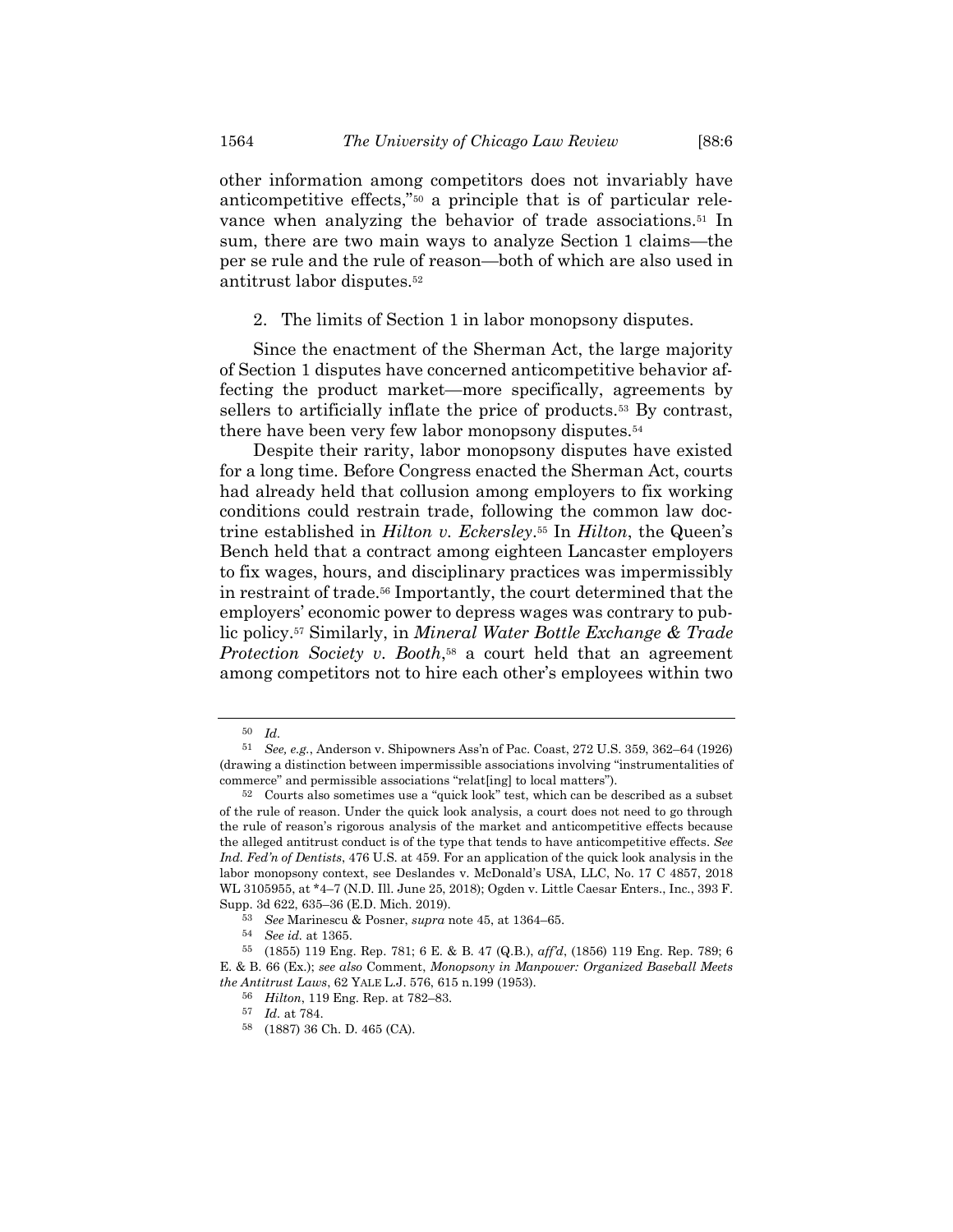other information among competitors does not invariably have anticompetitive effects,"<sup>50</sup> a principle that is of particular relevance when analyzing the behavior of trade associations.<sup>51</sup> In sum, there are two main ways to analyze Section 1 claims—the per se rule and the rule of reason—both of which are also used in antitrust labor disputes.<sup>52</sup>

2. The limits of Section 1 in labor monopsony disputes.

Since the enactment of the Sherman Act, the large majority of Section 1 disputes have concerned anticompetitive behavior affecting the product market—more specifically, agreements by sellers to artificially inflate the price of products.<sup>53</sup> By contrast, there have been very few labor monopsony disputes.<sup>54</sup>

Despite their rarity, labor monopsony disputes have existed for a long time. Before Congress enacted the Sherman Act, courts had already held that collusion among employers to fix working conditions could restrain trade, following the common law doctrine established in *Hilton v. Eckersley*. <sup>55</sup> In *Hilton*, the Queen's Bench held that a contract among eighteen Lancaster employers to fix wages, hours, and disciplinary practices was impermissibly in restraint of trade.<sup>56</sup> Importantly, the court determined that the employers' economic power to depress wages was contrary to public policy.<sup>57</sup> Similarly, in *Mineral Water Bottle Exchange & Trade Protection Society v. Booth*, <sup>58</sup> a court held that an agreement among competitors not to hire each other's employees within two

<sup>50</sup> *Id.*

<sup>51</sup> *See, e.g.*, Anderson v. Shipowners Ass'n of Pac. Coast, 272 U.S. 359, 362–64 (1926) (drawing a distinction between impermissible associations involving "instrumentalities of commerce" and permissible associations "relat[ing] to local matters").

<sup>52</sup> Courts also sometimes use a "quick look" test, which can be described as a subset of the rule of reason. Under the quick look analysis, a court does not need to go through the rule of reason's rigorous analysis of the market and anticompetitive effects because the alleged antitrust conduct is of the type that tends to have anticompetitive effects. *See Ind. Fed'n of Dentists*, 476 U.S. at 459. For an application of the quick look analysis in the labor monopsony context, see Deslandes v. McDonald's USA, LLC, No. 17 C 4857, 2018 WL 3105955, at \*4–7 (N.D. Ill. June 25, 2018); Ogden v. Little Caesar Enters., Inc., 393 F. Supp. 3d 622, 635–36 (E.D. Mich. 2019).

<sup>53</sup> *See* Marinescu & Posner, *supra* not[e 45,](#page-8-0) at 1364–65.

<sup>54</sup> *See id.* at 1365.

<sup>55</sup> (1855) 119 Eng. Rep. 781; 6 E. & B. 47 (Q.B.), *aff'd*, (1856) 119 Eng. Rep. 789; 6 E. & B. 66 (Ex.); *see also* Comment, *Monopsony in Manpower: Organized Baseball Meets the Antitrust Laws*, 62 YALE L.J. 576, 615 n.199 (1953).

<sup>56</sup> *Hilton*, 119 Eng. Rep. at 782–83.

<sup>57</sup> *Id.* at 784.

<sup>58</sup> (1887) 36 Ch. D. 465 (CA).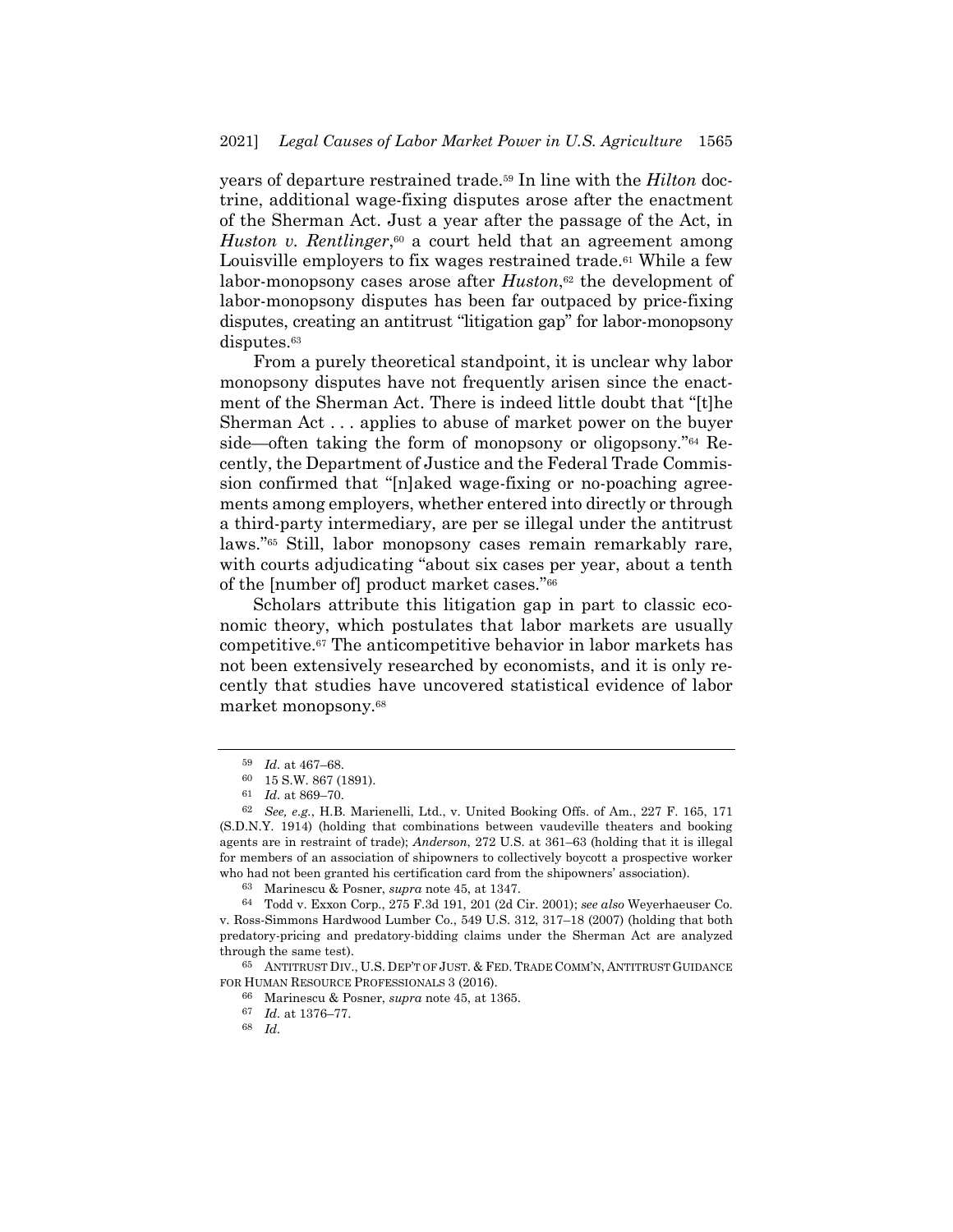years of departure restrained trade.<sup>59</sup> In line with the *Hilton* doctrine, additional wage-fixing disputes arose after the enactment of the Sherman Act. Just a year after the passage of the Act, in Huston v. Rentlinger,<sup>60</sup> a court held that an agreement among Louisville employers to fix wages restrained trade.<sup>61</sup> While a few labor-monopsony cases arose after *Huston*, <sup>62</sup> the development of labor-monopsony disputes has been far outpaced by price-fixing disputes, creating an antitrust "litigation gap" for labor-monopsony disputes.<sup>63</sup>

From a purely theoretical standpoint, it is unclear why labor monopsony disputes have not frequently arisen since the enactment of the Sherman Act. There is indeed little doubt that "[t]he Sherman Act . . . applies to abuse of market power on the buyer side—often taking the form of monopsony or oligopsony."<sup>64</sup> Recently, the Department of Justice and the Federal Trade Commission confirmed that "[n]aked wage-fixing or no-poaching agreements among employers, whether entered into directly or through a third-party intermediary, are per se illegal under the antitrust laws."<sup>65</sup> Still, labor monopsony cases remain remarkably rare, with courts adjudicating "about six cases per year, about a tenth of the [number of] product market cases."<sup>66</sup>

Scholars attribute this litigation gap in part to classic economic theory, which postulates that labor markets are usually competitive.<sup>67</sup> The anticompetitive behavior in labor markets has not been extensively researched by economists, and it is only recently that studies have uncovered statistical evidence of labor market monopsony.<sup>68</sup>

<sup>59</sup> *Id.* at 467–68.

<sup>60</sup> 15 S.W. 867 (1891).

<sup>61</sup> *Id.* at 869–70.

<sup>62</sup> *See, e.g.*, H.B. Marienelli, Ltd., v. United Booking Offs. of Am., 227 F. 165, 171 (S.D.N.Y. 1914) (holding that combinations between vaudeville theaters and booking agents are in restraint of trade); *Anderson*, 272 U.S. at 361–63 (holding that it is illegal for members of an association of shipowners to collectively boycott a prospective worker who had not been granted his certification card from the shipowners' association).

<sup>63</sup> Marinescu & Posner, *supra* not[e 45,](#page-8-0) at 1347.

<sup>64</sup> Todd v. Exxon Corp., 275 F.3d 191, 201 (2d Cir. 2001); *see also* Weyerhaeuser Co. v. Ross-Simmons Hardwood Lumber Co., 549 U.S. 312, 317–18 (2007) (holding that both predatory-pricing and predatory-bidding claims under the Sherman Act are analyzed through the same test).

<sup>65</sup> ANTITRUST DIV., U.S. DEP'T OF JUST. & FED. TRADE COMM'N, ANTITRUST GUIDANCE FOR HUMAN RESOURCE PROFESSIONALS 3 (2016).

<sup>66</sup> Marinescu & Posner, *supra* not[e 45,](#page-8-0) at 1365.

<sup>67</sup> *Id.* at 1376–77.

<sup>68</sup> *Id.*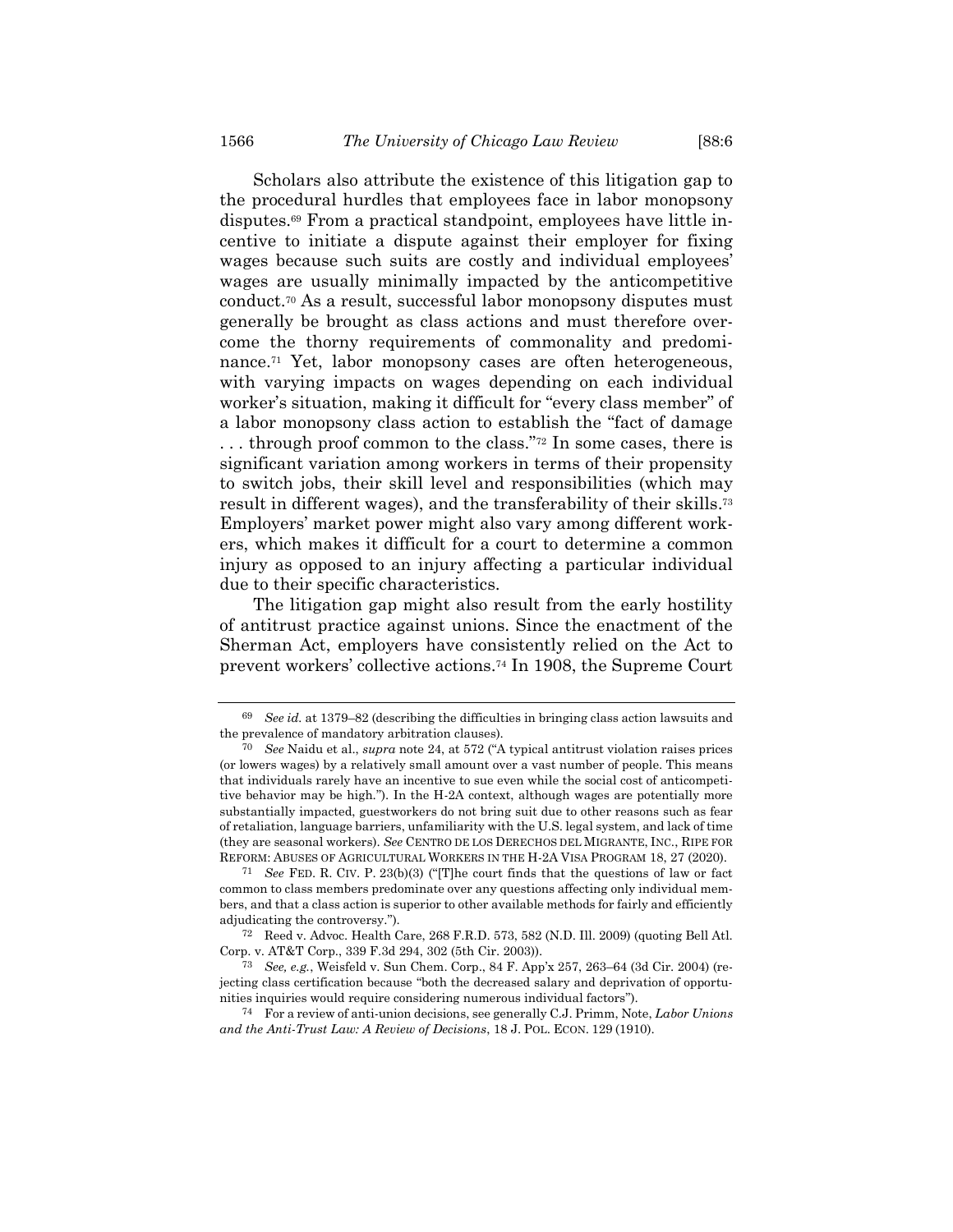<span id="page-11-0"></span>Scholars also attribute the existence of this litigation gap to the procedural hurdles that employees face in labor monopsony disputes.<sup>69</sup> From a practical standpoint, employees have little incentive to initiate a dispute against their employer for fixing wages because such suits are costly and individual employees' wages are usually minimally impacted by the anticompetitive conduct. <sup>70</sup> As a result, successful labor monopsony disputes must generally be brought as class actions and must therefore overcome the thorny requirements of commonality and predominance.<sup>71</sup> Yet, labor monopsony cases are often heterogeneous, with varying impacts on wages depending on each individual worker's situation, making it difficult for "every class member" of a labor monopsony class action to establish the "fact of damage . . . through proof common to the class."<sup>72</sup> In some cases, there is significant variation among workers in terms of their propensity to switch jobs, their skill level and responsibilities (which may result in different wages), and the transferability of their skills. 73 Employers' market power might also vary among different workers, which makes it difficult for a court to determine a common injury as opposed to an injury affecting a particular individual due to their specific characteristics.

The litigation gap might also result from the early hostility of antitrust practice against unions. Since the enactment of the Sherman Act, employers have consistently relied on the Act to prevent workers' collective actions.<sup>74</sup> In 1908, the Supreme Court

<sup>69</sup> *See id.* at 1379–82 (describing the difficulties in bringing class action lawsuits and the prevalence of mandatory arbitration clauses).

<sup>70</sup> *See* Naidu et al., *supra* not[e 24,](#page-4-1) at 572 ("A typical antitrust violation raises prices (or lowers wages) by a relatively small amount over a vast number of people. This means that individuals rarely have an incentive to sue even while the social cost of anticompetitive behavior may be high."). In the H-2A context, although wages are potentially more substantially impacted, guestworkers do not bring suit due to other reasons such as fear of retaliation, language barriers, unfamiliarity with the U.S. legal system, and lack of time (they are seasonal workers). *See* CENTRO DE LOS DERECHOS DEL MIGRANTE, INC., RIPE FOR REFORM: ABUSES OF AGRICULTURAL WORKERS IN THE H-2A VISA PROGRAM 18, 27 (2020).

<sup>71</sup> *See* FED. R. CIV. P. 23(b)(3) ("[T]he court finds that the questions of law or fact common to class members predominate over any questions affecting only individual members, and that a class action is superior to other available methods for fairly and efficiently adjudicating the controversy.").

<sup>72</sup> Reed v. Advoc. Health Care, 268 F.R.D. 573, 582 (N.D. Ill. 2009) (quoting Bell Atl. Corp. v. AT&T Corp., 339 F.3d 294, 302 (5th Cir. 2003)).

<sup>73</sup> *See, e.g.*, Weisfeld v. Sun Chem. Corp., 84 F. App'x 257, 263–64 (3d Cir. 2004) (rejecting class certification because "both the decreased salary and deprivation of opportunities inquiries would require considering numerous individual factors").

<sup>74</sup> For a review of anti-union decisions, see generally C.J. Primm, Note, *Labor Unions and the Anti-Trust Law: A Review of Decisions*, 18 J. POL. ECON. 129 (1910).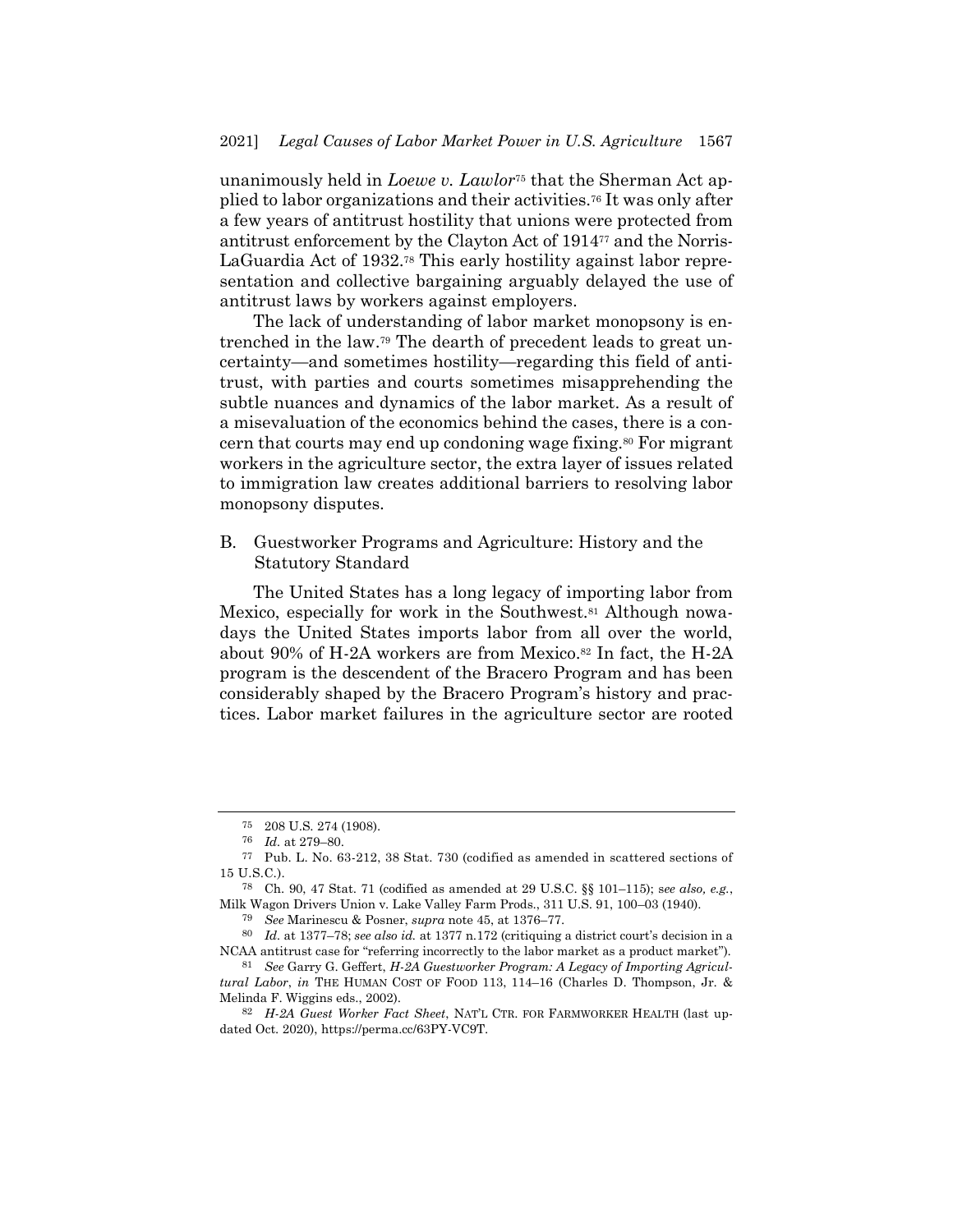unanimously held in *Loewe v. Lawlor*<sup>75</sup> that the Sherman Act applied to labor organizations and their activities.<sup>76</sup> It was only after a few years of antitrust hostility that unions were protected from antitrust enforcement by the Clayton Act of 1914<sup>77</sup> and the Norris-LaGuardia Act of 1932. <sup>78</sup> This early hostility against labor representation and collective bargaining arguably delayed the use of antitrust laws by workers against employers.

The lack of understanding of labor market monopsony is entrenched in the law. <sup>79</sup> The dearth of precedent leads to great uncertainty—and sometimes hostility—regarding this field of antitrust, with parties and courts sometimes misapprehending the subtle nuances and dynamics of the labor market. As a result of a misevaluation of the economics behind the cases, there is a concern that courts may end up condoning wage fixing.<sup>80</sup> For migrant workers in the agriculture sector, the extra layer of issues related to immigration law creates additional barriers to resolving labor monopsony disputes.

B. Guestworker Programs and Agriculture: History and the Statutory Standard

The United States has a long legacy of importing labor from Mexico, especially for work in the Southwest.<sup>81</sup> Although nowadays the United States imports labor from all over the world, about 90% of H-2A workers are from Mexico.<sup>82</sup> In fact, the H-2A program is the descendent of the Bracero Program and has been considerably shaped by the Bracero Program's history and practices. Labor market failures in the agriculture sector are rooted

<sup>75</sup> 208 U.S. 274 (1908).

<sup>76</sup> *Id.* at 279–80.

<sup>77</sup> Pub. L. No. 63-212, 38 Stat. 730 (codified as amended in scattered sections of 15 U.S.C.).

<sup>78</sup> Ch. 90, 47 Stat. 71 (codified as amended at 29 U.S.C. §§ 101–115); s*ee also, e.g.*, Milk Wagon Drivers Union v. Lake Valley Farm Prods., 311 U.S. 91, 100–03 (1940).

<sup>79</sup> *See* Marinescu & Posner, *supra* not[e 45,](#page-8-0) at 1376–77.

<sup>80</sup> *Id.* at 1377–78; *see also id.* at 1377 n.172 (critiquing a district court's decision in a NCAA antitrust case for "referring incorrectly to the labor market as a product market").

<sup>81</sup> *See* Garry G. Geffert, *H-2A Guestworker Program: A Legacy of Importing Agricultural Labor*, *in* THE HUMAN COST OF FOOD 113, 114–16 (Charles D. Thompson, Jr. & Melinda F. Wiggins eds., 2002).

<sup>82</sup> *H-2A Guest Worker Fact Sheet*, NAT'L CTR. FOR FARMWORKER HEALTH (last updated Oct. 2020), https://perma.cc/63PY-VC9T.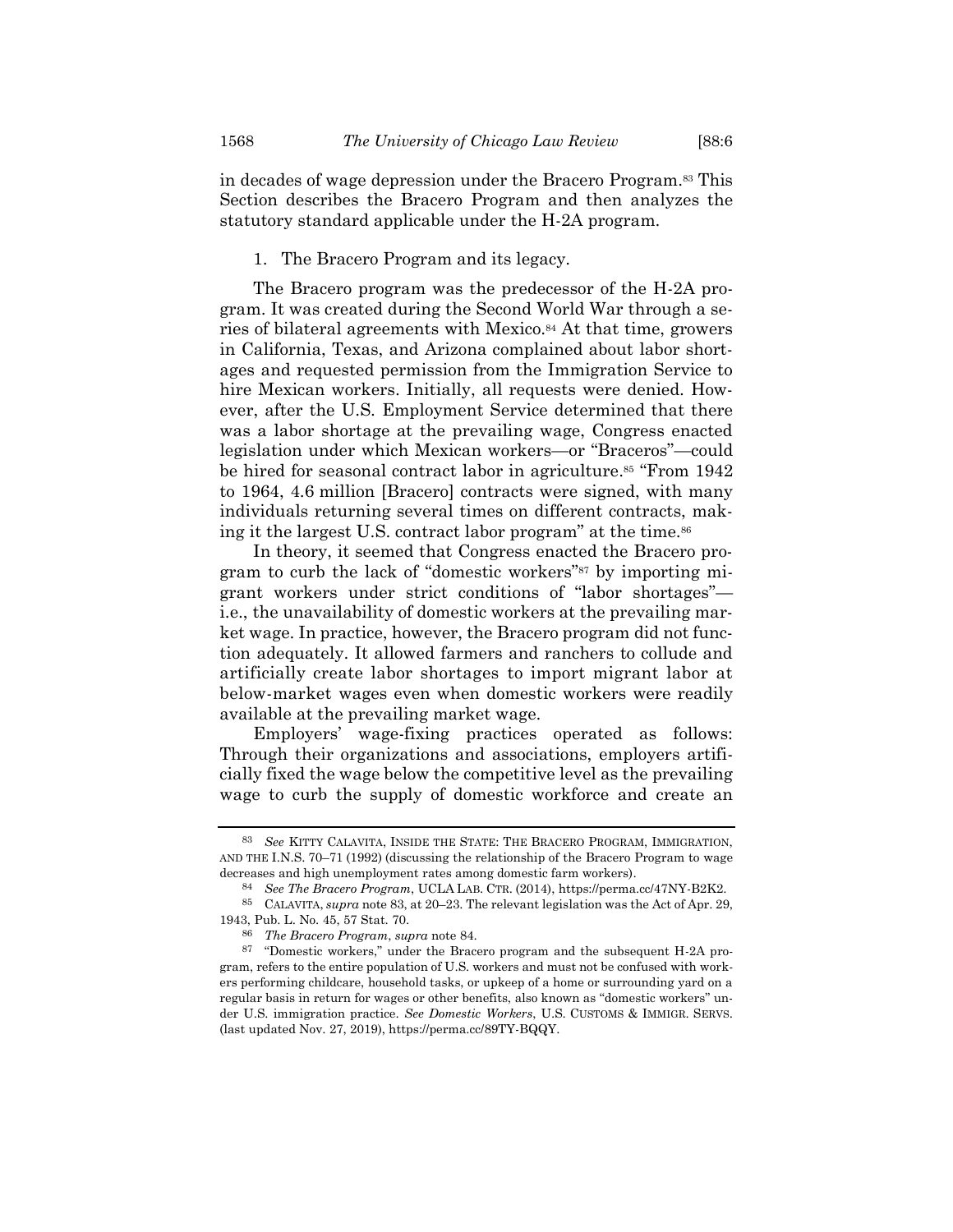in decades of wage depression under the Bracero Program.<sup>83</sup> This Section describes the Bracero Program and then analyzes the statutory standard applicable under the H-2A program.

#### <span id="page-13-1"></span><span id="page-13-0"></span>1. The Bracero Program and its legacy.

The Bracero program was the predecessor of the H-2A program. It was created during the Second World War through a series of bilateral agreements with Mexico.<sup>84</sup> At that time, growers in California, Texas, and Arizona complained about labor shortages and requested permission from the Immigration Service to hire Mexican workers. Initially, all requests were denied. However, after the U.S. Employment Service determined that there was a labor shortage at the prevailing wage, Congress enacted legislation under which Mexican workers—or "Braceros"—could be hired for seasonal contract labor in agriculture. <sup>85</sup> "From 1942 to 1964, 4.6 million [Bracero] contracts were signed, with many individuals returning several times on different contracts, making it the largest U.S. contract labor program" at the time.<sup>86</sup>

In theory, it seemed that Congress enacted the Bracero program to curb the lack of "domestic workers"<sup>87</sup> by importing migrant workers under strict conditions of "labor shortages" i.e., the unavailability of domestic workers at the prevailing market wage. In practice, however, the Bracero program did not function adequately. It allowed farmers and ranchers to collude and artificially create labor shortages to import migrant labor at below-market wages even when domestic workers were readily available at the prevailing market wage.

Employers' wage-fixing practices operated as follows: Through their organizations and associations, employers artificially fixed the wage below the competitive level as the prevailing wage to curb the supply of domestic workforce and create an

<sup>83</sup> *See* KITTY CALAVITA, INSIDE THE STATE: THE BRACERO PROGRAM, IMMIGRATION, AND THE I.N.S. 70–71 (1992) (discussing the relationship of the Bracero Program to wage decreases and high unemployment rates among domestic farm workers).

<sup>84</sup> *See The Bracero Program*, UCLA LAB. CTR. (2014), https://perma.cc/47NY-B2K2.

<sup>85</sup> CALAVITA, *supra* not[e 83,](#page-13-0) at 20–23. The relevant legislation was the Act of Apr. 29, 1943, Pub. L. No. 45, 57 Stat. 70.

<sup>86</sup> *The Bracero Program*, *supra* note [84.](#page-13-1)

<sup>87</sup> "Domestic workers," under the Bracero program and the subsequent H-2A program, refers to the entire population of U.S. workers and must not be confused with workers performing childcare, household tasks, or upkeep of a home or surrounding yard on a regular basis in return for wages or other benefits, also known as "domestic workers" under U.S. immigration practice. *See Domestic Workers*, U.S. CUSTOMS & IMMIGR. SERVS. (last updated Nov. 27, 2019), https://perma.cc/89TY-BQQY.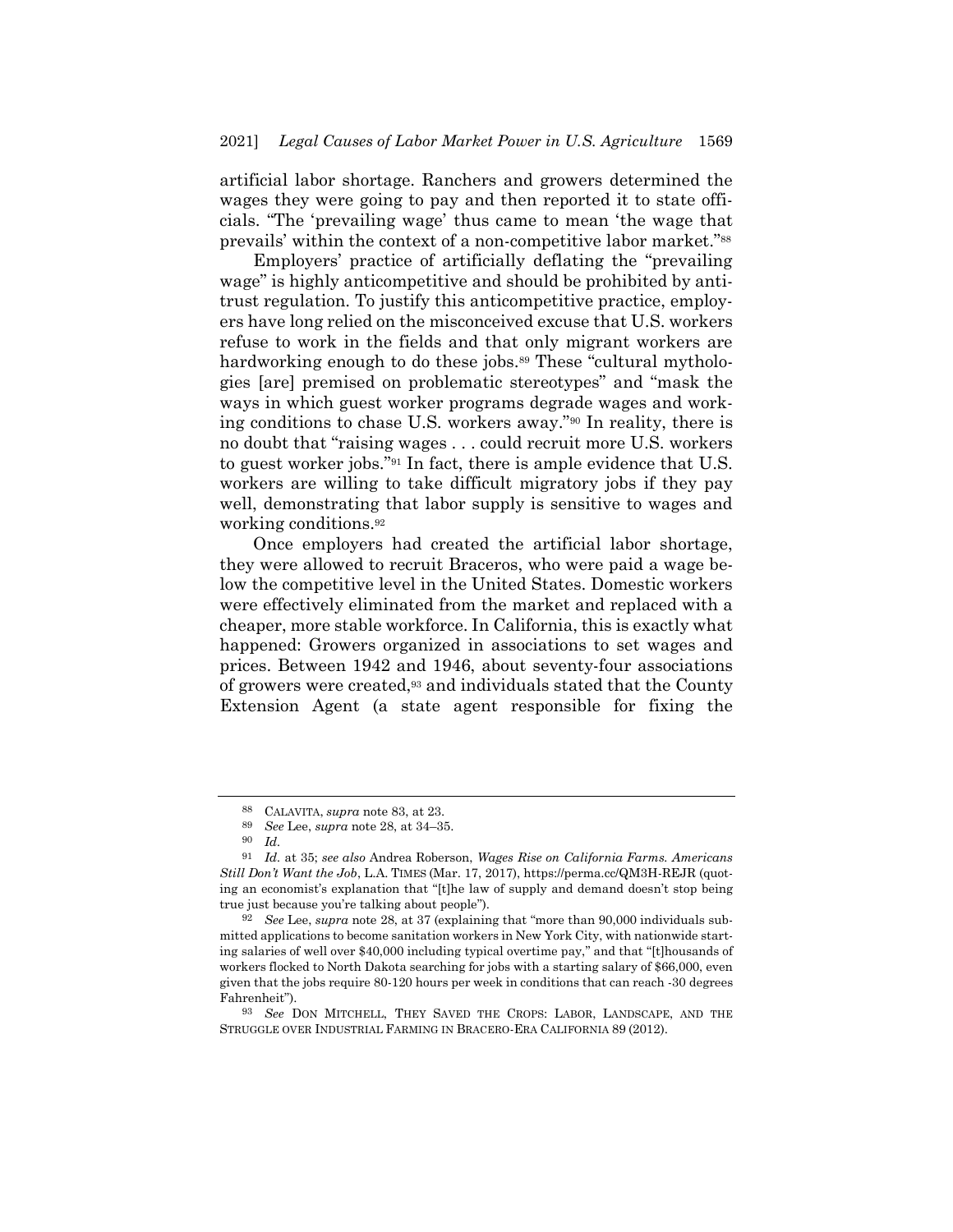artificial labor shortage. Ranchers and growers determined the wages they were going to pay and then reported it to state officials. "The 'prevailing wage' thus came to mean 'the wage that prevails' within the context of a non-competitive labor market."<sup>88</sup>

<span id="page-14-1"></span>Employers' practice of artificially deflating the "prevailing wage" is highly anticompetitive and should be prohibited by antitrust regulation. To justify this anticompetitive practice, employers have long relied on the misconceived excuse that U.S. workers refuse to work in the fields and that only migrant workers are hardworking enough to do these jobs.<sup>89</sup> These "cultural mythologies [are] premised on problematic stereotypes" and "mask the ways in which guest worker programs degrade wages and working conditions to chase U.S. workers away."<sup>90</sup> In reality, there is no doubt that "raising wages . . . could recruit more U.S. workers to guest worker jobs."<sup>91</sup> In fact, there is ample evidence that U.S. workers are willing to take difficult migratory jobs if they pay well, demonstrating that labor supply is sensitive to wages and working conditions.<sup>92</sup>

Once employers had created the artificial labor shortage, they were allowed to recruit Braceros, who were paid a wage below the competitive level in the United States. Domestic workers were effectively eliminated from the market and replaced with a cheaper, more stable workforce. In California, this is exactly what happened: Growers organized in associations to set wages and prices. Between 1942 and 1946, about seventy-four associations of growers were created,<sup>93</sup> and individuals stated that the County Extension Agent (a state agent responsible for fixing the

<span id="page-14-0"></span><sup>88</sup> CALAVITA, *supra* not[e 83,](#page-13-0) at 23.

<sup>89</sup> *See* Lee, *supra* note [28,](#page-5-0) at 34–35.

<sup>90</sup> *Id.*

<sup>91</sup> *Id.* at 35; *see also* Andrea Roberson, *Wages Rise on California Farms. Americans Still Don't Want the Job*, L.A. TIMES (Mar. 17, 2017), https://perma.cc/QM3H-REJR (quoting an economist's explanation that "[t]he law of supply and demand doesn't stop being true just because you're talking about people").

<sup>92</sup> *See* Lee, *supra* not[e 28,](#page-5-0) at 37 (explaining that "more than 90,000 individuals submitted applications to become sanitation workers in New York City, with nationwide starting salaries of well over \$40,000 including typical overtime pay," and that "[t]housands of workers flocked to North Dakota searching for jobs with a starting salary of \$66,000, even given that the jobs require 80-120 hours per week in conditions that can reach -30 degrees Fahrenheit").

<sup>93</sup> *See* DON MITCHELL, THEY SAVED THE CROPS: LABOR, LANDSCAPE, AND THE STRUGGLE OVER INDUSTRIAL FARMING IN BRACERO-ERA CALIFORNIA 89 (2012).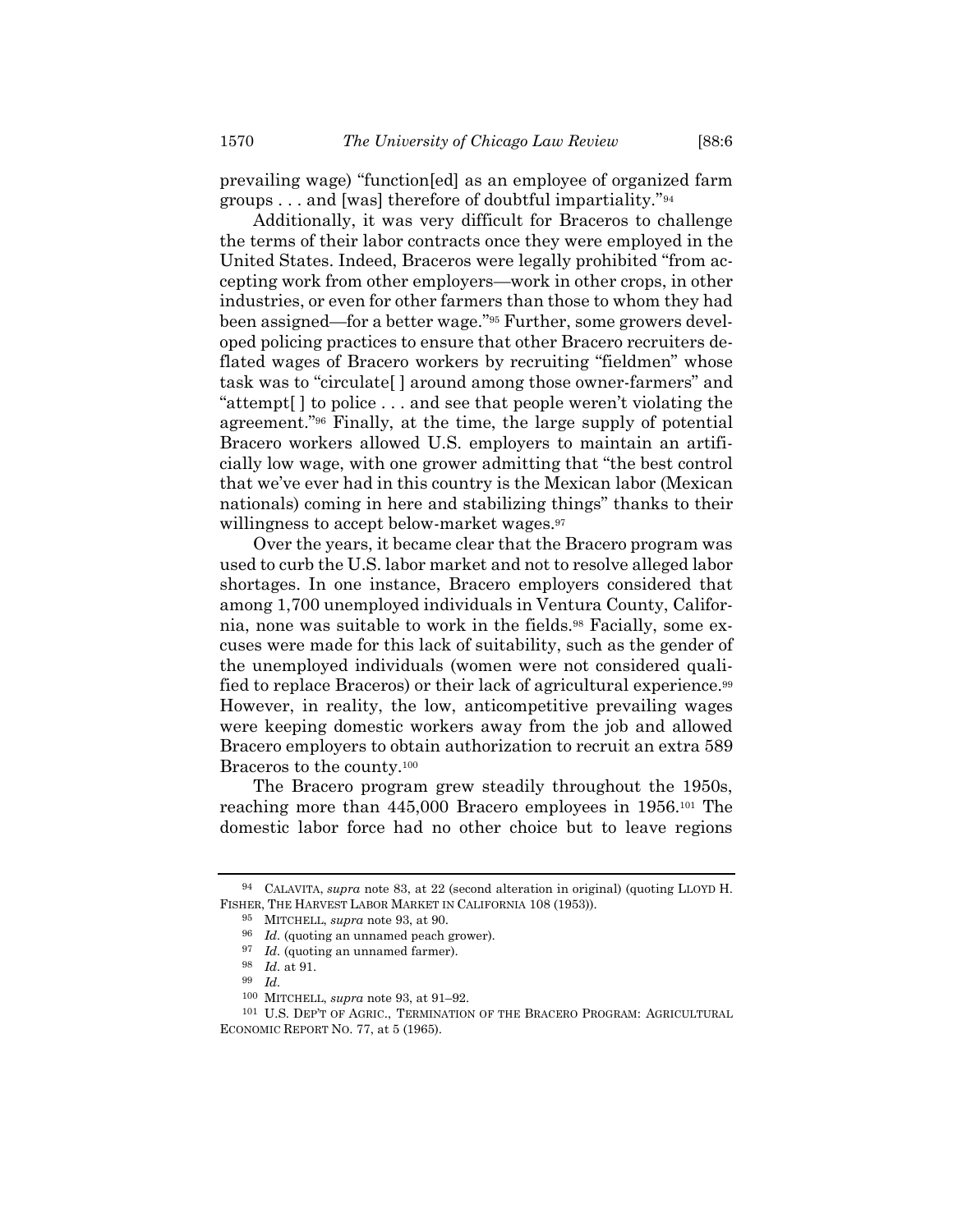prevailing wage) "function[ed] as an employee of organized farm

<span id="page-15-0"></span>groups . . . and [was] therefore of doubtful impartiality." 94 Additionally, it was very difficult for Braceros to challenge the terms of their labor contracts once they were employed in the United States. Indeed, Braceros were legally prohibited "from accepting work from other employers—work in other crops, in other industries, or even for other farmers than those to whom they had been assigned—for a better wage."<sup>95</sup> Further, some growers developed policing practices to ensure that other Bracero recruiters deflated wages of Bracero workers by recruiting "fieldmen" whose task was to "circulate[ ] around among those owner-farmers" and "attempt[ ] to police . . . and see that people weren't violating the agreement."<sup>96</sup> Finally, at the time, the large supply of potential Bracero workers allowed U.S. employers to maintain an artificially low wage, with one grower admitting that "the best control that we've ever had in this country is the Mexican labor (Mexican nationals) coming in here and stabilizing things" thanks to their willingness to accept below-market wages.<sup>97</sup>

Over the years, it became clear that the Bracero program was used to curb the U.S. labor market and not to resolve alleged labor shortages. In one instance, Bracero employers considered that among 1,700 unemployed individuals in Ventura County, California, none was suitable to work in the fields.<sup>98</sup> Facially, some excuses were made for this lack of suitability, such as the gender of the unemployed individuals (women were not considered qualified to replace Braceros) or their lack of agricultural experience.<sup>99</sup> However, in reality, the low, anticompetitive prevailing wages were keeping domestic workers away from the job and allowed Bracero employers to obtain authorization to recruit an extra 589 Braceros to the county.<sup>100</sup>

The Bracero program grew steadily throughout the 1950s, reaching more than 445,000 Bracero employees in 1956.<sup>101</sup> The domestic labor force had no other choice but to leave regions

<sup>94</sup> CALAVITA, *supra* not[e 83,](#page-13-0) at 22 (second alteration in original) (quoting LLOYD H. FISHER, THE HARVEST LABOR MARKET IN CALIFORNIA 108 (1953)).

<sup>95</sup> MITCHELL, *supra* note [93,](#page-14-0) at 90.

<sup>96</sup> *Id.* (quoting an unnamed peach grower).

<sup>97</sup> *Id.* (quoting an unnamed farmer).

<sup>98</sup> *Id.* at 91.

<sup>99</sup> *Id.*

<sup>100</sup> MITCHELL, *supra* note [93,](#page-14-0) at 91–92.

<sup>101</sup> U.S. DEP'T OF AGRIC., TERMINATION OF THE BRACERO PROGRAM: AGRICULTURAL ECONOMIC REPORT NO. 77, at 5 (1965).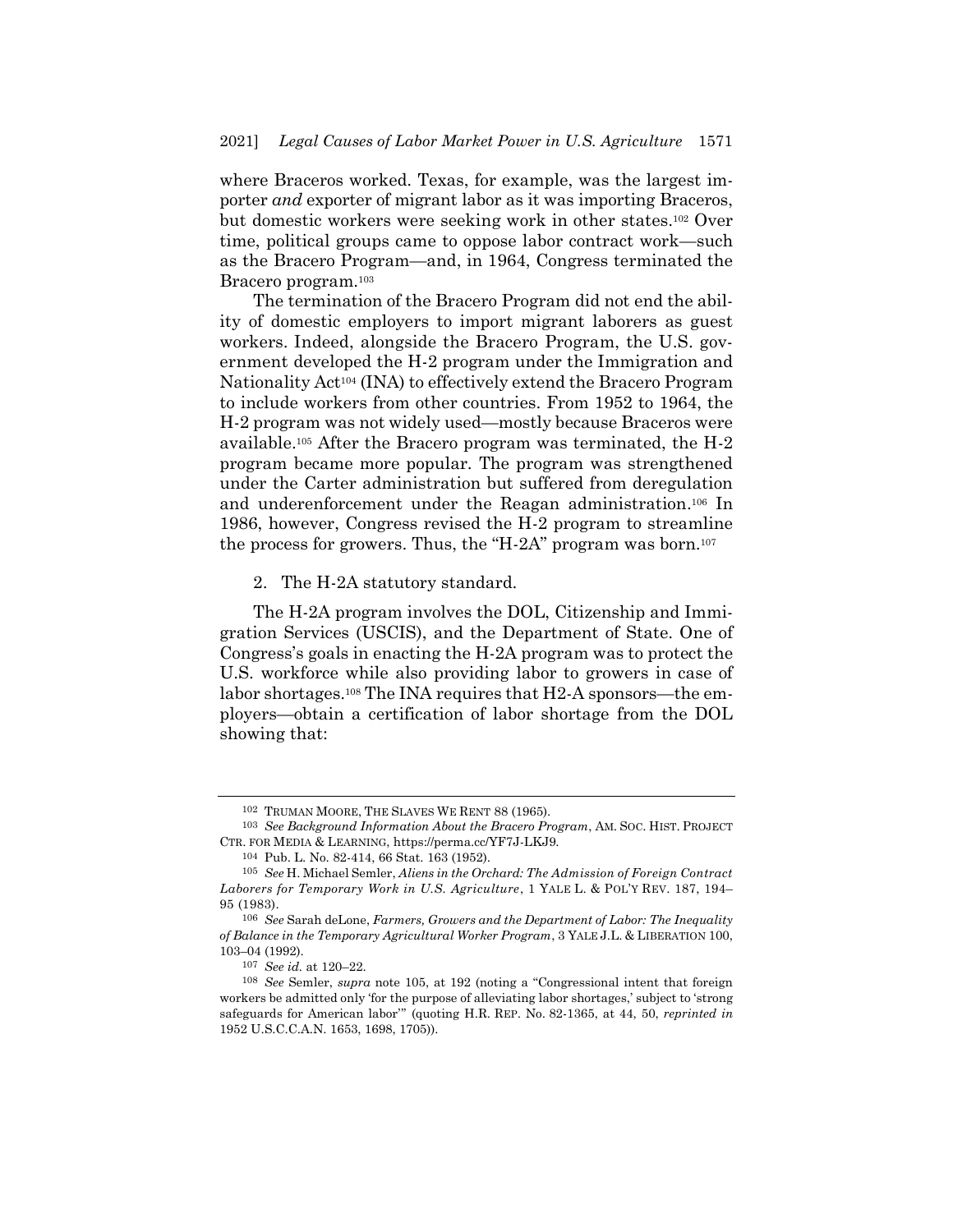where Braceros worked. Texas, for example, was the largest importer *and* exporter of migrant labor as it was importing Braceros, but domestic workers were seeking work in other states.<sup>102</sup> Over time, political groups came to oppose labor contract work—such as the Bracero Program—and, in 1964, Congress terminated the Bracero program.<sup>103</sup>

The termination of the Bracero Program did not end the ability of domestic employers to import migrant laborers as guest workers. Indeed, alongside the Bracero Program, the U.S. government developed the H-2 program under the Immigration and Nationality Act<sup>104</sup> (INA) to effectively extend the Bracero Program to include workers from other countries. From 1952 to 1964, the H-2 program was not widely used—mostly because Braceros were available.<sup>105</sup> After the Bracero program was terminated, the H-2 program became more popular. The program was strengthened under the Carter administration but suffered from deregulation and underenforcement under the Reagan administration. <sup>106</sup> In 1986, however, Congress revised the H-2 program to streamline the process for growers. Thus, the "H-2A" program was born.<sup>107</sup>

<span id="page-16-0"></span>2. The H-2A statutory standard.

The H-2A program involves the DOL, Citizenship and Immigration Services (USCIS), and the Department of State. One of Congress's goals in enacting the H-2A program was to protect the U.S. workforce while also providing labor to growers in case of labor shortages.<sup>108</sup> The INA requires that H2-A sponsors—the employers—obtain a certification of labor shortage from the DOL showing that:

<sup>102</sup> TRUMAN MOORE, THE SLAVES WE RENT 88 (1965).

<sup>103</sup> *See Background Information About the Bracero Program*, AM. SOC. HIST. PROJECT CTR. FOR MEDIA & LEARNING, https://perma.cc/YF7J-LKJ9.

<sup>104</sup> Pub. L. No. 82-414, 66 Stat. 163 (1952).

<sup>105</sup> *See* H. Michael Semler, *Aliens in the Orchard: The Admission of Foreign Contract Laborers for Temporary Work in U.S. Agriculture*, 1 YALE L. & POL'Y REV. 187, 194– 95 (1983).

<sup>106</sup> *See* Sarah deLone, *Farmers, Growers and the Department of Labor: The Inequality of Balance in the Temporary Agricultural Worker Program*, 3 YALE J.L. & LIBERATION 100, 103–04 (1992).

<sup>107</sup> *See id.* at 120–22.

<sup>108</sup> *See* Semler, *supra* note [105,](#page-16-0) at 192 (noting a "Congressional intent that foreign workers be admitted only 'for the purpose of alleviating labor shortages,' subject to 'strong safeguards for American labor'" (quoting H.R. REP. No. 82-1365, at 44, 50, *reprinted in* 1952 U.S.C.C.A.N. 1653, 1698, 1705)).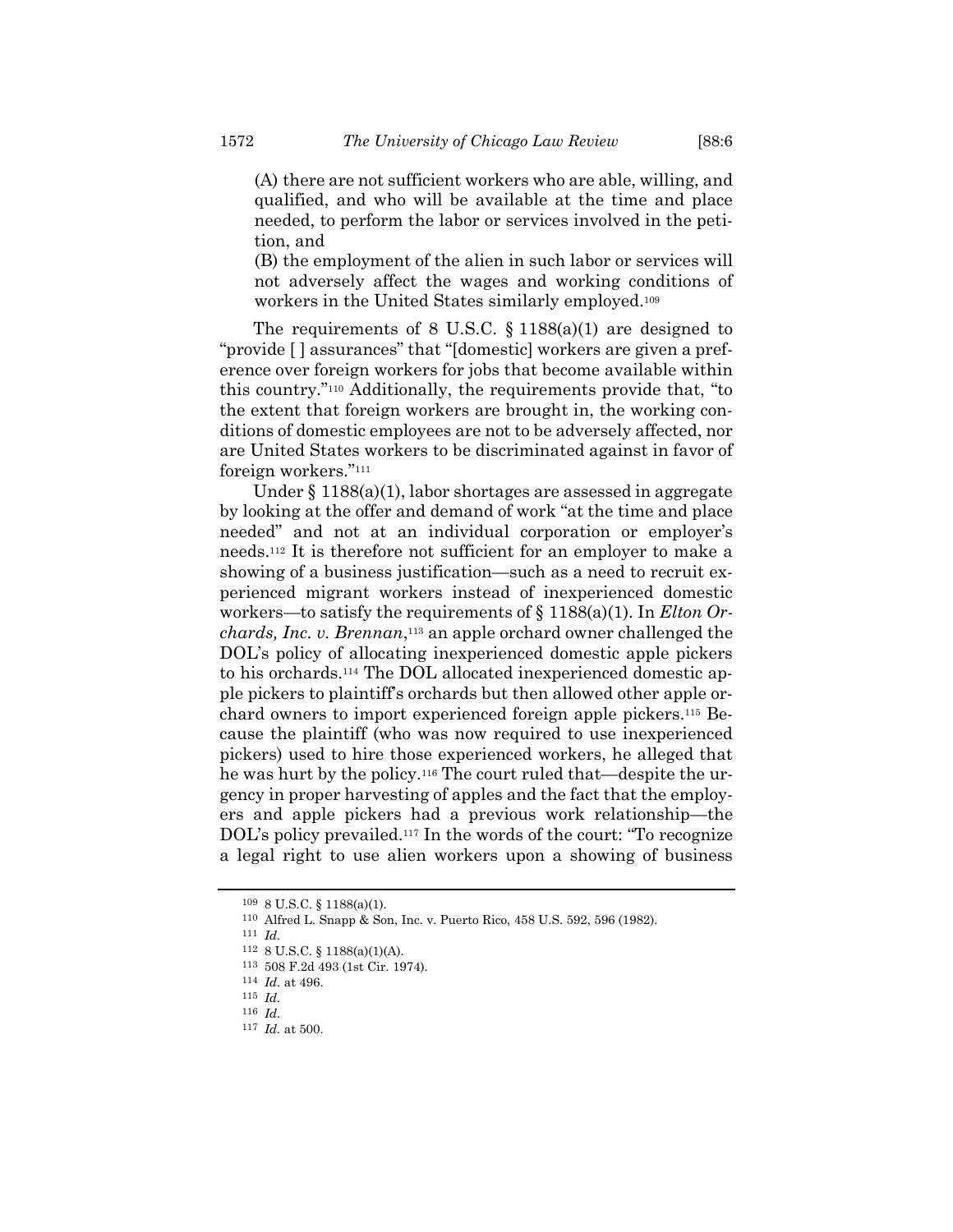(A) there are not sufficient workers who are able, willing, and qualified, and who will be available at the time and place needed, to perform the labor or services involved in the petition, and

(B) the employment of the alien in such labor or services will not adversely affect the wages and working conditions of workers in the United States similarly employed.<sup>109</sup>

The requirements of 8 U.S.C.  $\S$  1188(a)(1) are designed to "provide [ ] assurances" that "[domestic] workers are given a preference over foreign workers for jobs that become available within this country."<sup>110</sup> Additionally, the requirements provide that, "to the extent that foreign workers are brought in, the working conditions of domestic employees are not to be adversely affected, nor are United States workers to be discriminated against in favor of foreign workers."<sup>111</sup>

Under § 1188(a)(1), labor shortages are assessed in aggregate by looking at the offer and demand of work "at the time and place needed" and not at an individual corporation or employer's needs.<sup>112</sup> It is therefore not sufficient for an employer to make a showing of a business justification—such as a need to recruit experienced migrant workers instead of inexperienced domestic workers—to satisfy the requirements of § 1188(a)(1). In *Elton Orchards, Inc. v. Brennan*, <sup>113</sup> an apple orchard owner challenged the DOL's policy of allocating inexperienced domestic apple pickers to his orchards.<sup>114</sup> The DOL allocated inexperienced domestic apple pickers to plaintiff's orchards but then allowed other apple orchard owners to import experienced foreign apple pickers.<sup>115</sup> Because the plaintiff (who was now required to use inexperienced pickers) used to hire those experienced workers, he alleged that he was hurt by the policy.<sup>116</sup> The court ruled that—despite the urgency in proper harvesting of apples and the fact that the employers and apple pickers had a previous work relationship—the DOL's policy prevailed.<sup>117</sup> In the words of the court: "To recognize a legal right to use alien workers upon a showing of business

<sup>109</sup> 8 U.S.C. § 1188(a)(1).

<sup>110</sup> Alfred L. Snapp & Son, Inc. v. Puerto Rico, 458 U.S. 592, 596 (1982).

<sup>111</sup> *Id.*

<sup>112</sup> 8 U.S.C. § 1188(a)(1)(A).

<sup>113</sup> 508 F.2d 493 (1st Cir. 1974).

<sup>114</sup> *Id.* at 496.

<sup>115</sup> *Id.*

<sup>116</sup> *Id.*

<sup>117</sup> *Id.* at 500.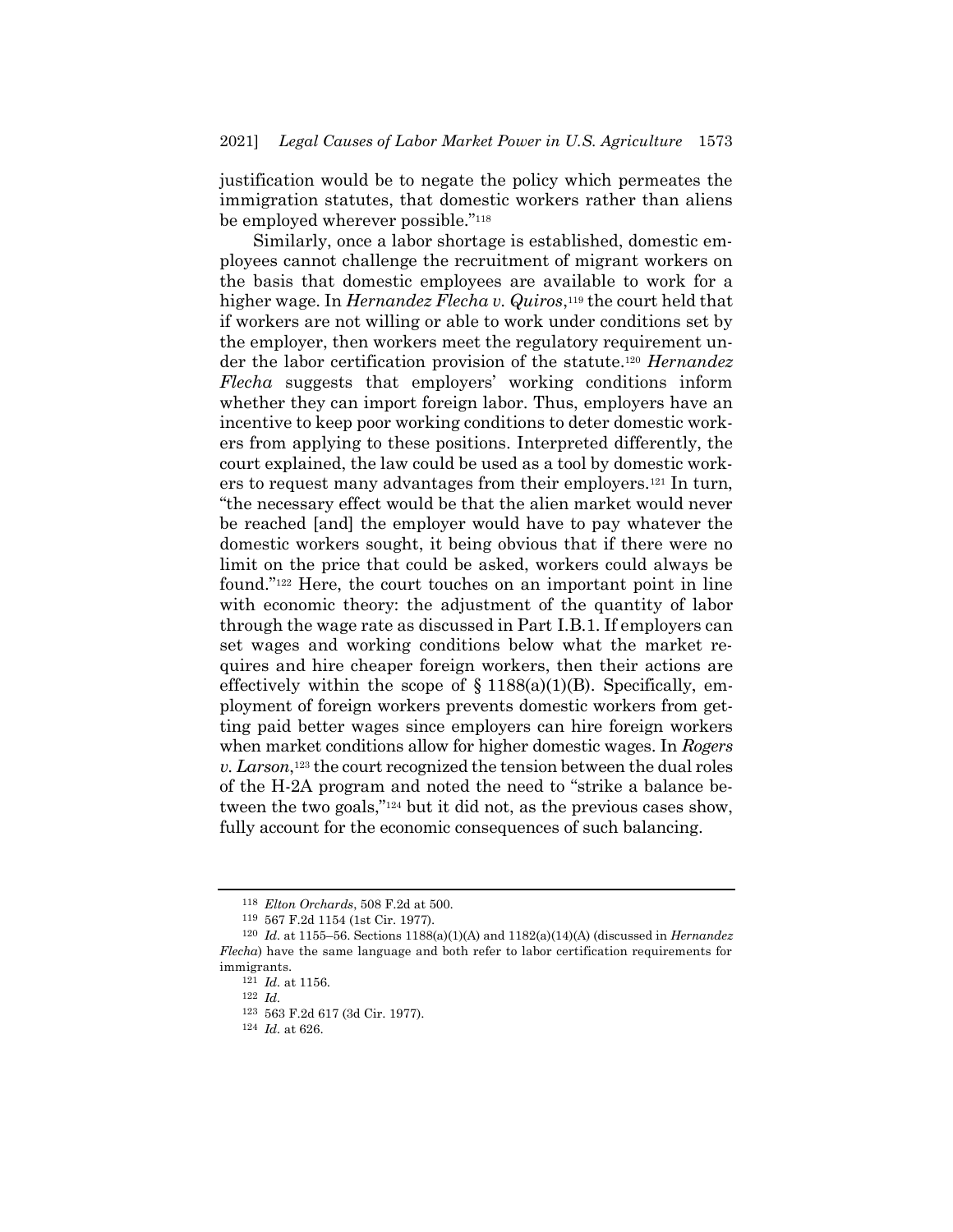justification would be to negate the policy which permeates the immigration statutes, that domestic workers rather than aliens be employed wherever possible."<sup>118</sup>

Similarly, once a labor shortage is established, domestic employees cannot challenge the recruitment of migrant workers on the basis that domestic employees are available to work for a higher wage. In *Hernandez Flecha v. Quiros*, <sup>119</sup> the court held that if workers are not willing or able to work under conditions set by the employer, then workers meet the regulatory requirement under the labor certification provision of the statute.<sup>120</sup> *Hernandez Flecha* suggests that employers' working conditions inform whether they can import foreign labor. Thus, employers have an incentive to keep poor working conditions to deter domestic workers from applying to these positions. Interpreted differently, the court explained, the law could be used as a tool by domestic workers to request many advantages from their employers.<sup>121</sup> In turn, "the necessary effect would be that the alien market would never be reached [and] the employer would have to pay whatever the domestic workers sought, it being obvious that if there were no limit on the price that could be asked, workers could always be found."<sup>122</sup> Here, the court touches on an important point in line with economic theory: the adjustment of the quantity of labor through the wage rate as discussed in Part I.B.1. If employers can set wages and working conditions below what the market requires and hire cheaper foreign workers, then their actions are effectively within the scope of  $\S$  1188(a)(1)(B). Specifically, employment of foreign workers prevents domestic workers from getting paid better wages since employers can hire foreign workers when market conditions allow for higher domestic wages. In *Rogers v. Larson*, <sup>123</sup> the court recognized the tension between the dual roles of the H-2A program and noted the need to "strike a balance between the two goals,"<sup>124</sup> but it did not, as the previous cases show, fully account for the economic consequences of such balancing.

<sup>118</sup> *Elton Orchards*, 508 F.2d at 500.

<sup>119</sup> 567 F.2d 1154 (1st Cir. 1977).

<sup>120</sup> *Id.* at 1155–56. Sections 1188(a)(1)(A) and 1182(a)(14)(A) (discussed in *Hernandez Flecha*) have the same language and both refer to labor certification requirements for immigrants.

<sup>121</sup> *Id.* at 1156.

<sup>122</sup> *Id.*

<sup>123</sup> 563 F.2d 617 (3d Cir. 1977).

<sup>124</sup> *Id.* at 626.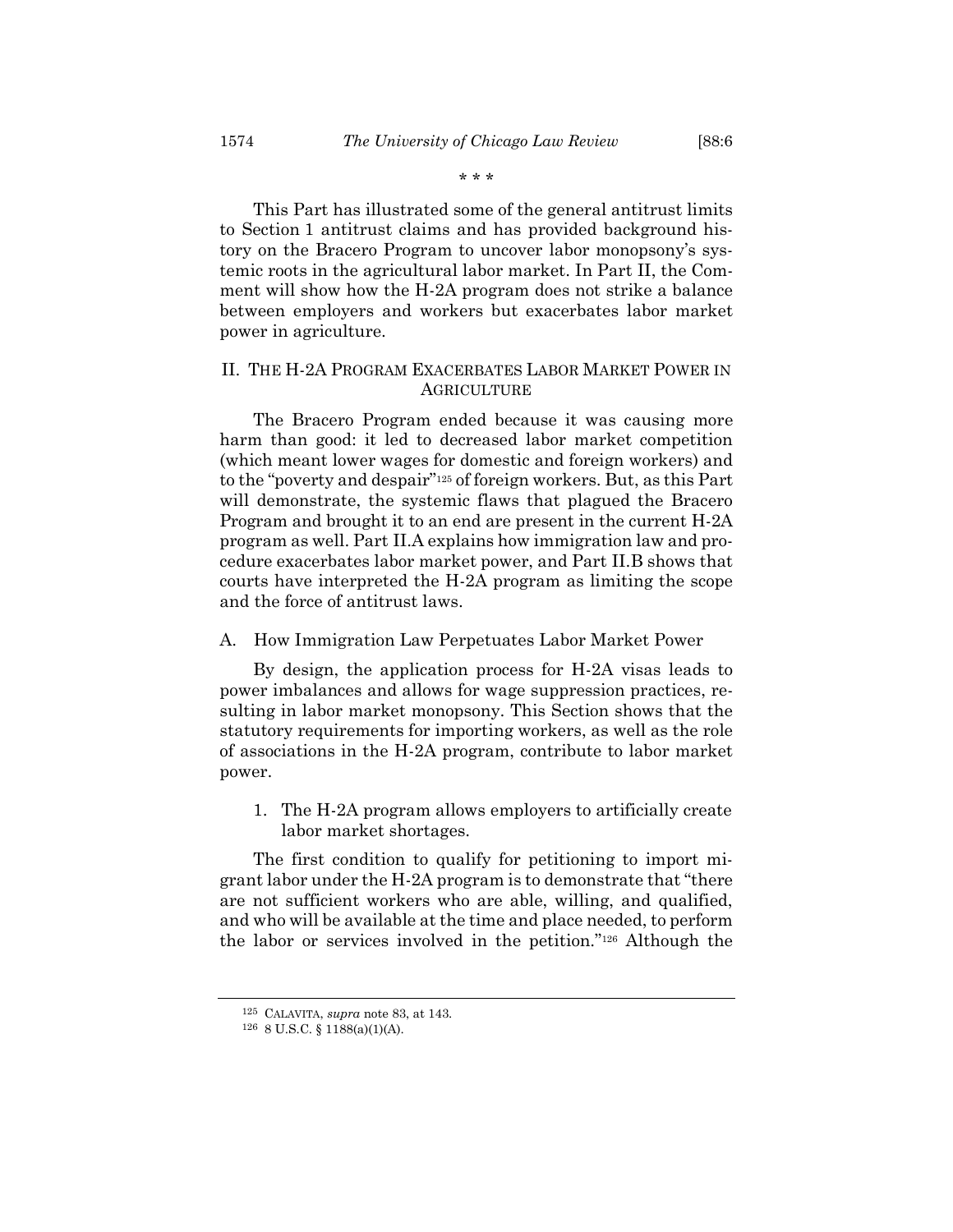\* \* \*

This Part has illustrated some of the general antitrust limits to Section 1 antitrust claims and has provided background history on the Bracero Program to uncover labor monopsony's systemic roots in the agricultural labor market. In Part II, the Comment will show how the H-2A program does not strike a balance between employers and workers but exacerbates labor market power in agriculture.

# II. THE H-2A PROGRAM EXACERBATES LABOR MARKET POWER IN AGRICULTURE

The Bracero Program ended because it was causing more harm than good: it led to decreased labor market competition (which meant lower wages for domestic and foreign workers) and to the "poverty and despair"<sup>125</sup> of foreign workers. But, as this Part will demonstrate, the systemic flaws that plagued the Bracero Program and brought it to an end are present in the current H-2A program as well. Part II.A explains how immigration law and procedure exacerbates labor market power, and Part II.B shows that courts have interpreted the H-2A program as limiting the scope and the force of antitrust laws.

#### A. How Immigration Law Perpetuates Labor Market Power

By design, the application process for H-2A visas leads to power imbalances and allows for wage suppression practices, resulting in labor market monopsony. This Section shows that the statutory requirements for importing workers, as well as the role of associations in the H-2A program, contribute to labor market power.

1. The H-2A program allows employers to artificially create labor market shortages.

The first condition to qualify for petitioning to import migrant labor under the H-2A program is to demonstrate that "there are not sufficient workers who are able, willing, and qualified, and who will be available at the time and place needed, to perform the labor or services involved in the petition."<sup>126</sup> Although the

<sup>125</sup> CALAVITA, *supra* note [83,](#page-13-0) at 143.

<sup>126</sup> 8 U.S.C. § 1188(a)(1)(A).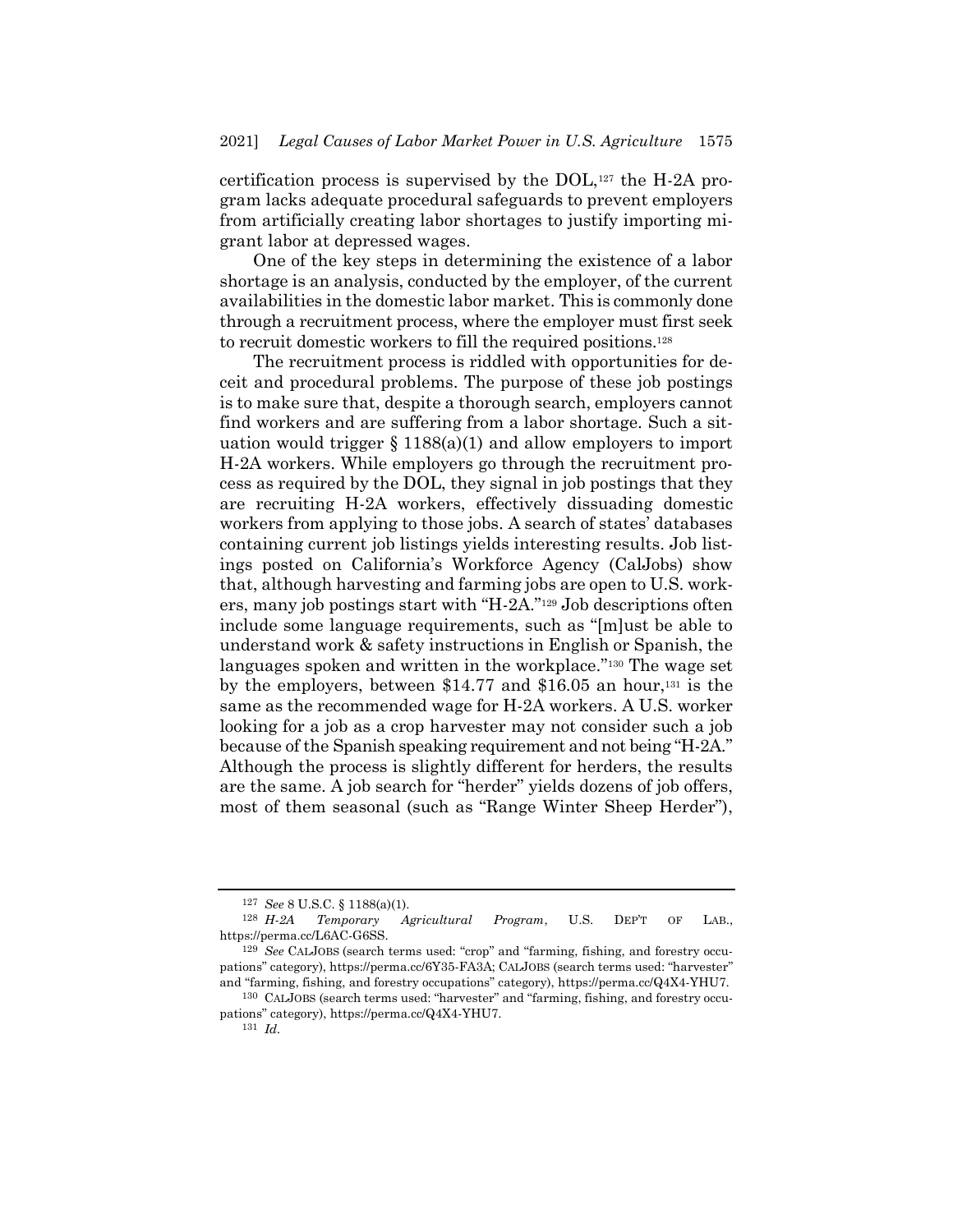certification process is supervised by the DOL,<sup>127</sup> the H-2A program lacks adequate procedural safeguards to prevent employers from artificially creating labor shortages to justify importing migrant labor at depressed wages.

One of the key steps in determining the existence of a labor shortage is an analysis, conducted by the employer, of the current availabilities in the domestic labor market. This is commonly done through a recruitment process, where the employer must first seek to recruit domestic workers to fill the required positions.<sup>128</sup>

The recruitment process is riddled with opportunities for deceit and procedural problems. The purpose of these job postings is to make sure that, despite a thorough search, employers cannot find workers and are suffering from a labor shortage. Such a situation would trigger  $\S 1188(a)(1)$  and allow employers to import H-2A workers. While employers go through the recruitment process as required by the DOL, they signal in job postings that they are recruiting H-2A workers, effectively dissuading domestic workers from applying to those jobs. A search of states' databases containing current job listings yields interesting results. Job listings posted on California's Workforce Agency (CalJobs) show that, although harvesting and farming jobs are open to U.S. workers, many job postings start with "H-2A."<sup>129</sup> Job descriptions often include some language requirements, such as "[m]ust be able to understand work & safety instructions in English or Spanish, the languages spoken and written in the workplace."<sup>130</sup> The wage set by the employers, between  $$14.77$  and  $$16.05$  an hour,<sup>131</sup> is the same as the recommended wage for H-2A workers. A U.S. worker looking for a job as a crop harvester may not consider such a job because of the Spanish speaking requirement and not being "H-2A." Although the process is slightly different for herders, the results are the same. A job search for "herder" yields dozens of job offers, most of them seasonal (such as "Range Winter Sheep Herder"),

131 *Id.*

<sup>127</sup> *See* 8 U.S.C. § 1188(a)(1).

<sup>128</sup> *H-2A Temporary Agricultural Program*, U.S. DEP'T OF LAB., https://perma.cc/L6AC-G6SS.

<sup>129</sup> *See* CALJOBS (search terms used: "crop" and "farming, fishing, and forestry occupations" category), https://perma.cc/6Y35-FA3A; CALJOBS (search terms used: "harvester" and "farming, fishing, and forestry occupations" category), https://perma.cc/Q4X4-YHU7.

<sup>130</sup> CALJOBS (search terms used: "harvester" and "farming, fishing, and forestry occupations" category), https://perma.cc/Q4X4-YHU7.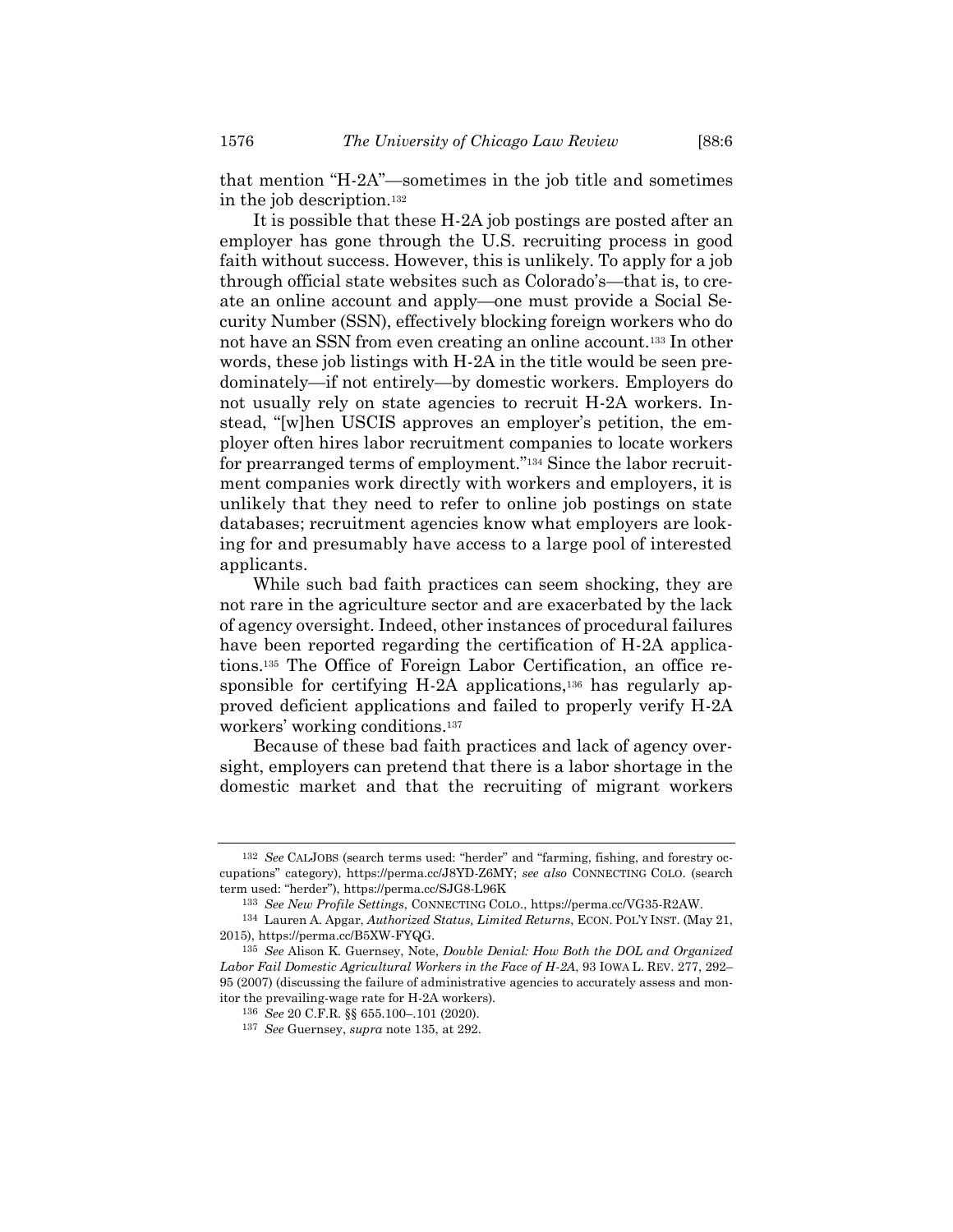that mention "H-2A"—sometimes in the job title and sometimes in the job description.<sup>132</sup>

It is possible that these H-2A job postings are posted after an employer has gone through the U.S. recruiting process in good faith without success. However, this is unlikely. To apply for a job through official state websites such as Colorado's—that is, to create an online account and apply—one must provide a Social Security Number (SSN), effectively blocking foreign workers who do not have an SSN from even creating an online account.<sup>133</sup> In other words, these job listings with H-2A in the title would be seen predominately—if not entirely—by domestic workers. Employers do not usually rely on state agencies to recruit H-2A workers. Instead, "[w]hen USCIS approves an employer's petition, the employer often hires labor recruitment companies to locate workers for prearranged terms of employment."<sup>134</sup> Since the labor recruitment companies work directly with workers and employers, it is unlikely that they need to refer to online job postings on state databases; recruitment agencies know what employers are looking for and presumably have access to a large pool of interested applicants.

<span id="page-21-0"></span>While such bad faith practices can seem shocking, they are not rare in the agriculture sector and are exacerbated by the lack of agency oversight. Indeed, other instances of procedural failures have been reported regarding the certification of H-2A applications.<sup>135</sup> The Office of Foreign Labor Certification, an office responsible for certifying H-2A applications,<sup>136</sup> has regularly approved deficient applications and failed to properly verify H-2A workers' working conditions.<sup>137</sup>

Because of these bad faith practices and lack of agency oversight, employers can pretend that there is a labor shortage in the domestic market and that the recruiting of migrant workers

<sup>132</sup> *See* CALJOBS (search terms used: "herder" and "farming, fishing, and forestry occupations" category), https://perma.cc/J8YD-Z6MY; *see also* CONNECTING COLO. (search term used: "herder"), https://perma.cc/SJG8-L96K

<sup>133</sup> *See New Profile Settings*, CONNECTING COLO., https://perma.cc/VG35-R2AW.

<sup>134</sup> Lauren A. Apgar, *Authorized Status, Limited Returns*, ECON. POL'Y INST. (May 21, 2015), https://perma.cc/B5XW-FYQG.

<sup>135</sup> *See* Alison K. Guernsey, Note, *Double Denial: How Both the DOL and Organized Labor Fail Domestic Agricultural Workers in the Face of H-2A*, 93 IOWA L. REV. 277, 292– 95 (2007) (discussing the failure of administrative agencies to accurately assess and monitor the prevailing-wage rate for H-2A workers).

<sup>136</sup> *See* 20 C.F.R. §§ 655.100–.101 (2020).

<sup>137</sup> *See* Guernsey, *supra* not[e 135,](#page-21-0) at 292.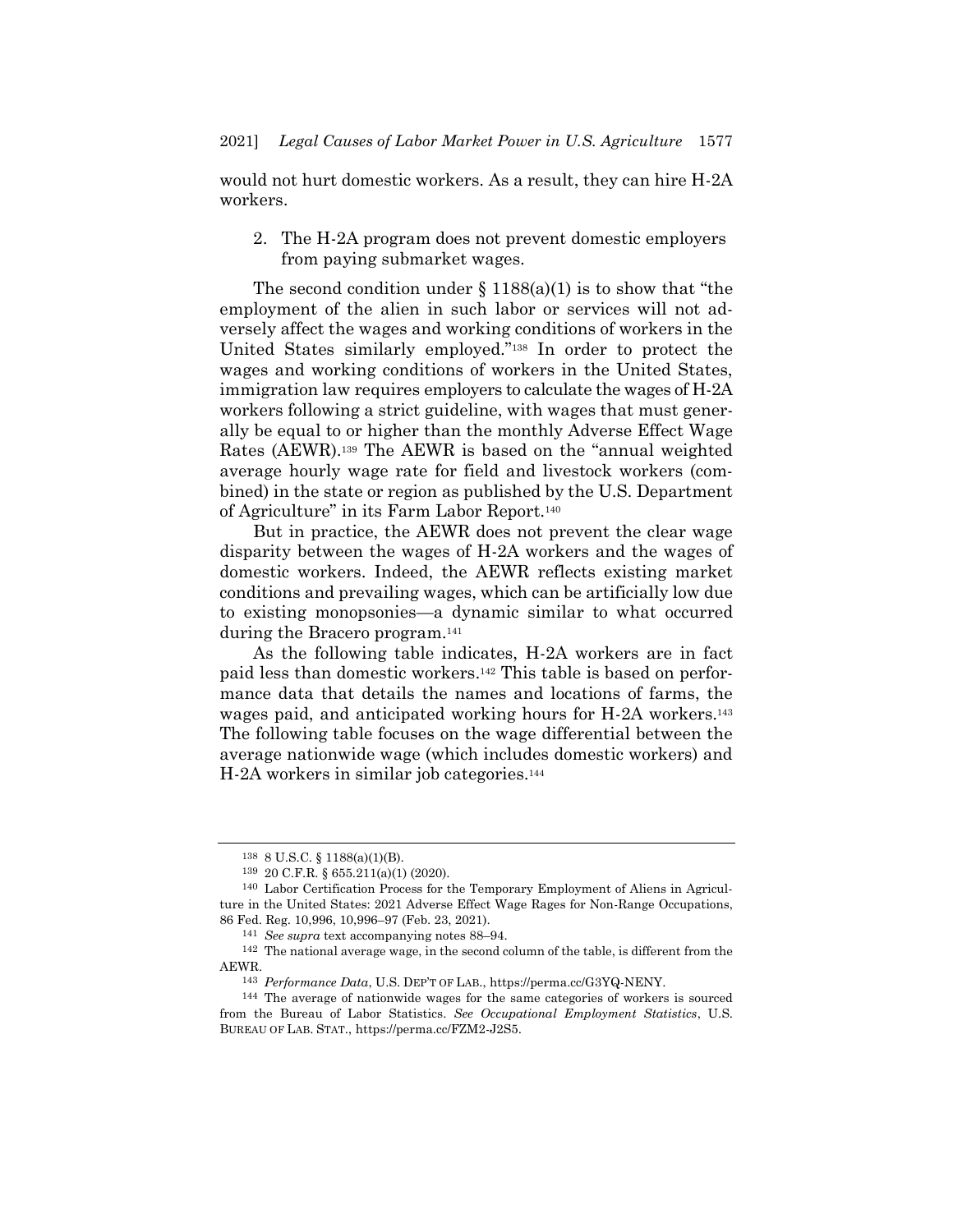would not hurt domestic workers. As a result, they can hire H-2A workers.

2. The H-2A program does not prevent domestic employers from paying submarket wages.

The second condition under  $\S 1188(a)(1)$  is to show that "the employment of the alien in such labor or services will not adversely affect the wages and working conditions of workers in the United States similarly employed."<sup>138</sup> In order to protect the wages and working conditions of workers in the United States, immigration law requires employers to calculate the wages of H-2A workers following a strict guideline, with wages that must generally be equal to or higher than the monthly Adverse Effect Wage Rates (AEWR).<sup>139</sup> The AEWR is based on the "annual weighted average hourly wage rate for field and livestock workers (combined) in the state or region as published by the U.S. Department of Agriculture" in its Farm Labor Report.<sup>140</sup>

But in practice, the AEWR does not prevent the clear wage disparity between the wages of H-2A workers and the wages of domestic workers. Indeed, the AEWR reflects existing market conditions and prevailing wages, which can be artificially low due to existing monopsonies—a dynamic similar to what occurred during the Bracero program.<sup>141</sup>

As the following table indicates, H-2A workers are in fact paid less than domestic workers. <sup>142</sup> This table is based on performance data that details the names and locations of farms, the wages paid, and anticipated working hours for H-2A workers.<sup>143</sup> The following table focuses on the wage differential between the average nationwide wage (which includes domestic workers) and H-2A workers in similar job categories.<sup>144</sup>

<sup>138</sup> 8 U.S.C. § 1188(a)(1)(B).

<sup>139</sup> 20 C.F.R. § 655.211(a)(1) (2020).

<sup>140</sup> Labor Certification Process for the Temporary Employment of Aliens in Agriculture in the United States: 2021 Adverse Effect Wage Rages for Non-Range Occupations, 86 Fed. Reg. 10,996, 10,996–97 (Feb. 23, 2021).

<sup>141</sup> *See supra* text accompanying note[s 88](#page-14-1)–[94.](#page-15-0)

<sup>142</sup> The national average wage, in the second column of the table, is different from the AEWR.

<sup>143</sup> *Performance Data*, U.S. DEP'T OF LAB., https://perma.cc/G3YQ-NENY.

<sup>144</sup> The average of nationwide wages for the same categories of workers is sourced from the Bureau of Labor Statistics. *See Occupational Employment Statistics*, U.S. BUREAU OF LAB. STAT., https://perma.cc/FZM2-J2S5.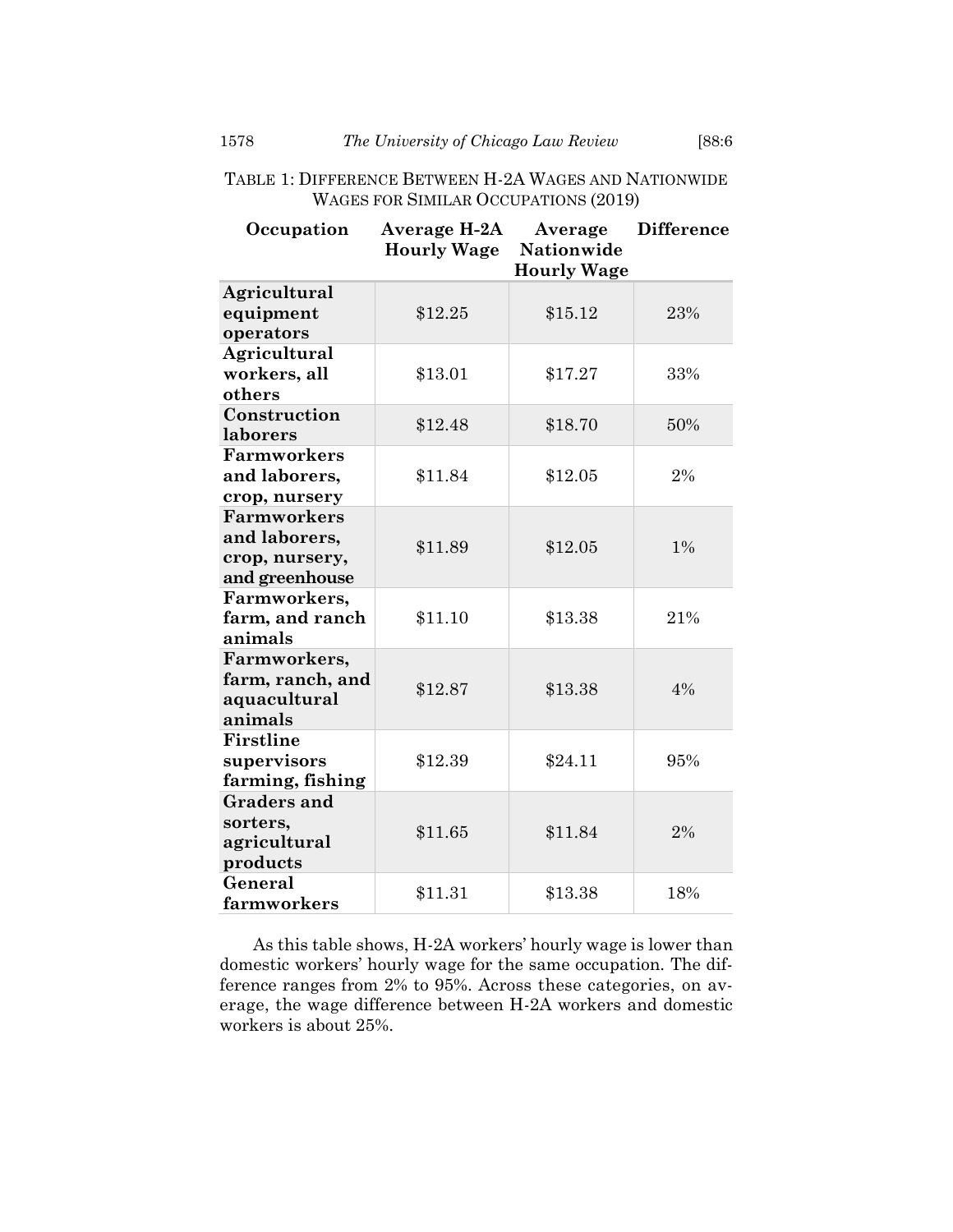| TABLE 1: DIFFERENCE BETWEEN H-2A WAGES AND NATIONWIDE |  |  |  |  |  |  |  |
|-------------------------------------------------------|--|--|--|--|--|--|--|
| WAGES FOR SIMILAR OCCUPATIONS (2019)                  |  |  |  |  |  |  |  |

| Occupation                                                              | Average H-2A<br><b>Hourly Wage</b> | Average<br><b>Nationwide</b><br><b>Hourly Wage</b> | <b>Difference</b> |
|-------------------------------------------------------------------------|------------------------------------|----------------------------------------------------|-------------------|
| Agricultural<br>equipment<br>operators                                  | \$12.25                            | \$15.12                                            | 23%               |
| Agricultural<br>workers, all<br>others                                  | \$13.01                            | \$17.27                                            | 33%               |
| Construction<br>laborers                                                | \$12.48                            | \$18.70                                            | 50%               |
| <b>Farmworkers</b><br>and laborers,<br>crop, nursery                    | \$11.84                            | \$12.05                                            | 2%                |
| <b>Farmworkers</b><br>and laborers,<br>crop, nursery,<br>and greenhouse | \$11.89                            | \$12.05                                            | 1%                |
| Farmworkers,<br>farm, and ranch<br>animals                              | \$11.10                            | \$13.38                                            | 21%               |
| Farmworkers,<br>farm, ranch, and<br>aquacultural<br>animals             | \$12.87                            | \$13.38                                            | 4%                |
| Firstline<br>supervisors<br>farming, fishing                            | \$12.39                            | \$24.11                                            | 95%               |
| <b>Graders and</b><br>sorters,<br>agricultural<br>products              | \$11.65                            | \$11.84                                            | 2%                |
| General<br>farmworkers                                                  | \$11.31                            | \$13.38                                            | 18%               |

As this table shows, H-2A workers' hourly wage is lower than domestic workers' hourly wage for the same occupation. The difference ranges from 2% to 95%. Across these categories, on average, the wage difference between H-2A workers and domestic workers is about 25%.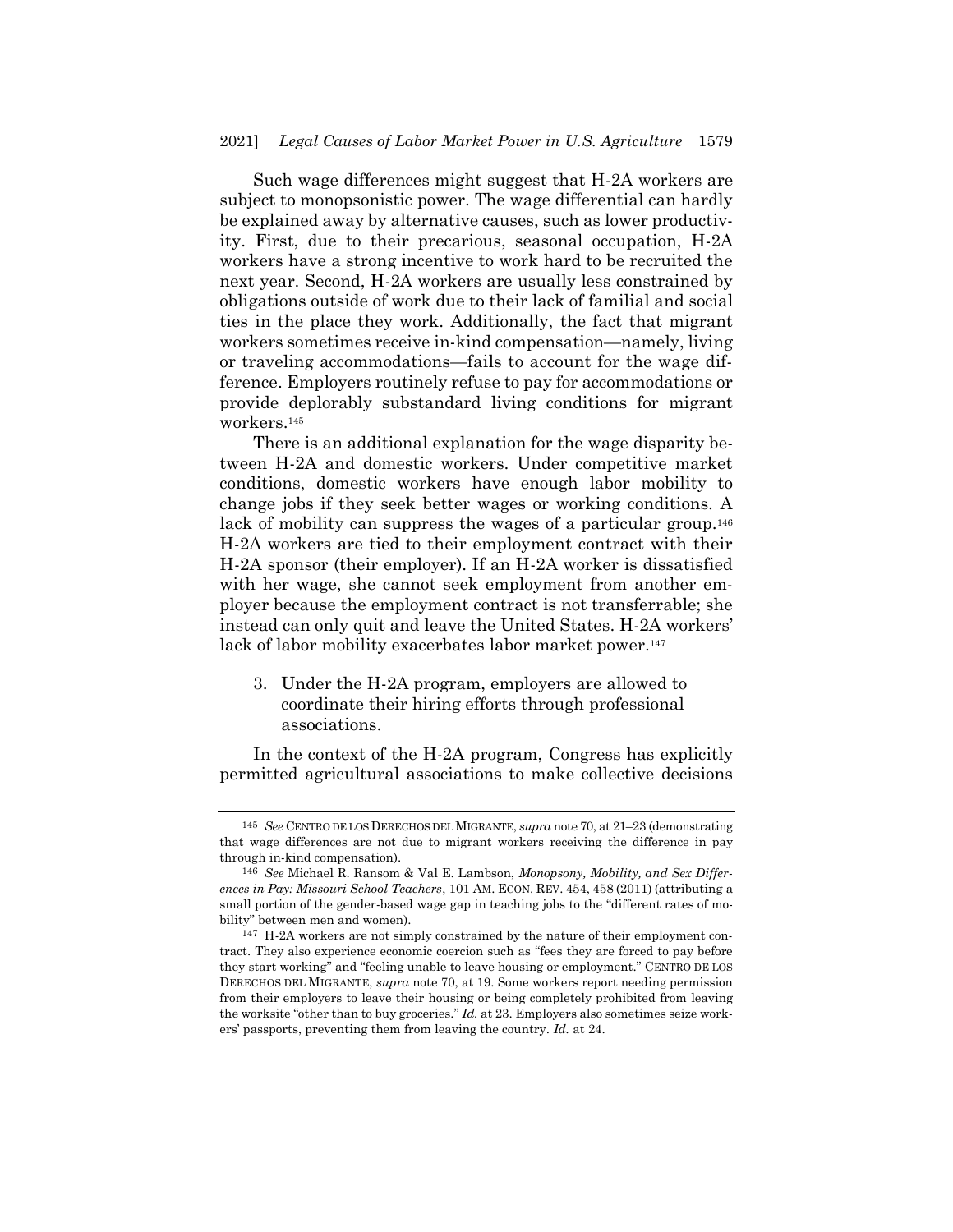Such wage differences might suggest that H-2A workers are subject to monopsonistic power. The wage differential can hardly be explained away by alternative causes, such as lower productivity. First, due to their precarious, seasonal occupation, H-2A workers have a strong incentive to work hard to be recruited the next year. Second, H-2A workers are usually less constrained by obligations outside of work due to their lack of familial and social ties in the place they work. Additionally, the fact that migrant workers sometimes receive in-kind compensation—namely, living or traveling accommodations—fails to account for the wage difference. Employers routinely refuse to pay for accommodations or provide deplorably substandard living conditions for migrant workers.<sup>145</sup>

There is an additional explanation for the wage disparity between H-2A and domestic workers. Under competitive market conditions, domestic workers have enough labor mobility to change jobs if they seek better wages or working conditions. A lack of mobility can suppress the wages of a particular group.<sup>146</sup> H-2A workers are tied to their employment contract with their H-2A sponsor (their employer). If an H-2A worker is dissatisfied with her wage, she cannot seek employment from another employer because the employment contract is not transferrable; she instead can only quit and leave the United States. H-2A workers' lack of labor mobility exacerbates labor market power.<sup>147</sup>

3. Under the H-2A program, employers are allowed to coordinate their hiring efforts through professional associations.

In the context of the H-2A program, Congress has explicitly permitted agricultural associations to make collective decisions

<sup>145</sup> *See* CENTRO DE LOS DERECHOS DEL MIGRANTE, *supra* not[e 70,](#page-11-0) at 21–23 (demonstrating that wage differences are not due to migrant workers receiving the difference in pay through in-kind compensation).

<sup>146</sup> *See* Michael R. Ransom & Val E. Lambson, *Monopsony, Mobility, and Sex Differences in Pay: Missouri School Teachers*, 101 AM. ECON. REV. 454, 458 (2011) (attributing a small portion of the gender-based wage gap in teaching jobs to the "different rates of mobility" between men and women).

<sup>147</sup> H-2A workers are not simply constrained by the nature of their employment contract. They also experience economic coercion such as "fees they are forced to pay before they start working" and "feeling unable to leave housing or employment." CENTRO DE LOS DERECHOS DEL MIGRANTE, *supra* not[e 70,](#page-11-0) at 19. Some workers report needing permission from their employers to leave their housing or being completely prohibited from leaving the worksite "other than to buy groceries." *Id.* at 23. Employers also sometimes seize workers' passports, preventing them from leaving the country. *Id.* at 24.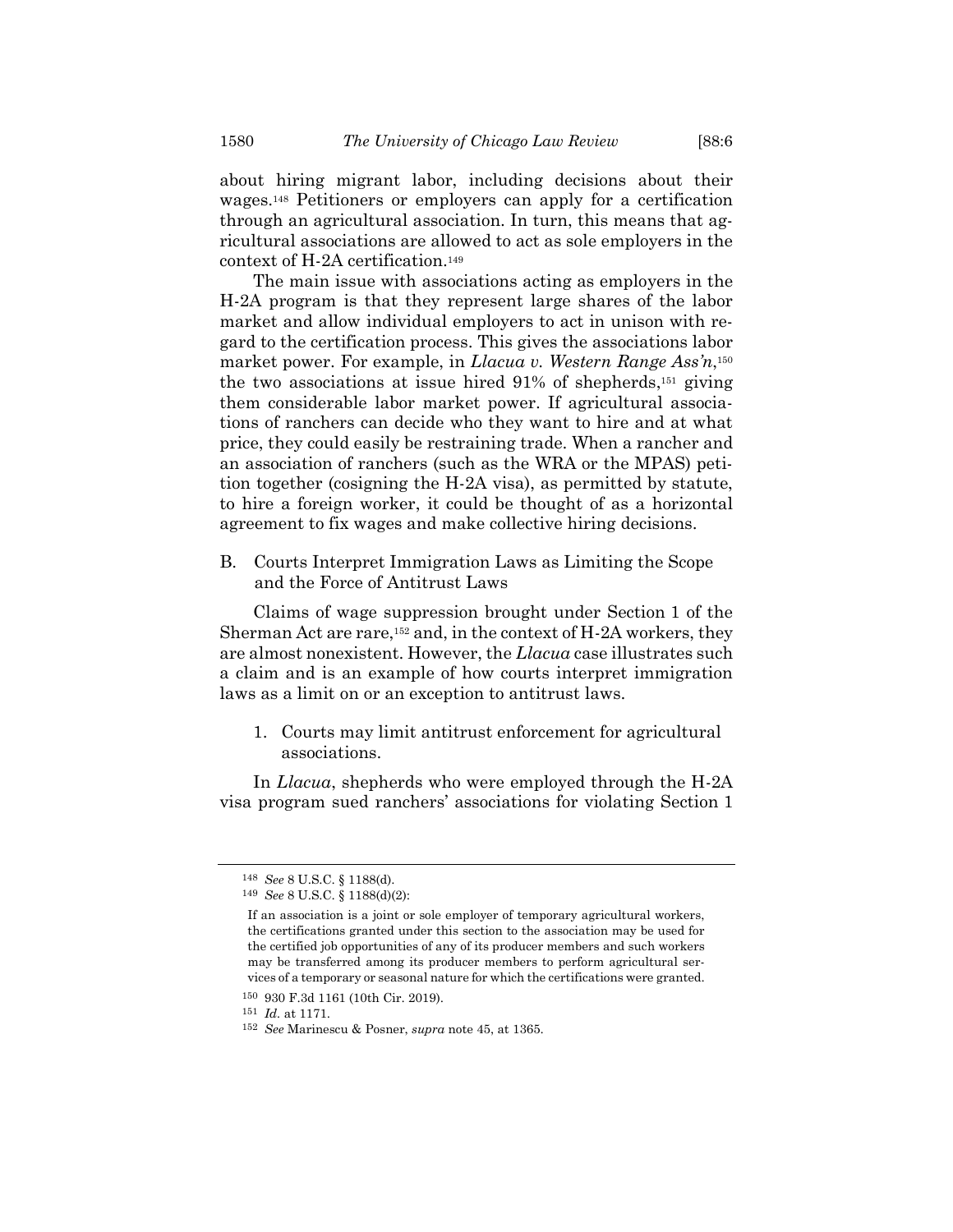about hiring migrant labor, including decisions about their wages.<sup>148</sup> Petitioners or employers can apply for a certification through an agricultural association. In turn, this means that agricultural associations are allowed to act as sole employers in the context of H-2A certification.<sup>149</sup>

The main issue with associations acting as employers in the H-2A program is that they represent large shares of the labor market and allow individual employers to act in unison with regard to the certification process. This gives the associations labor market power. For example, in *Llacua v. Western Range Ass'n*, 150 the two associations at issue hired 91% of shepherds, <sup>151</sup> giving them considerable labor market power. If agricultural associations of ranchers can decide who they want to hire and at what price, they could easily be restraining trade. When a rancher and an association of ranchers (such as the WRA or the MPAS) petition together (cosigning the H-2A visa), as permitted by statute, to hire a foreign worker, it could be thought of as a horizontal agreement to fix wages and make collective hiring decisions.

B. Courts Interpret Immigration Laws as Limiting the Scope and the Force of Antitrust Laws

Claims of wage suppression brought under Section 1 of the Sherman Act are rare,<sup>152</sup> and, in the context of H-2A workers, they are almost nonexistent. However, the *Llacua* case illustrates such a claim and is an example of how courts interpret immigration laws as a limit on or an exception to antitrust laws.

1. Courts may limit antitrust enforcement for agricultural associations.

In *Llacua*, shepherds who were employed through the H-2A visa program sued ranchers' associations for violating Section 1

<sup>148</sup> *See* 8 U.S.C. § 1188(d).

<sup>149</sup> *See* 8 U.S.C. § 1188(d)(2):

If an association is a joint or sole employer of temporary agricultural workers, the certifications granted under this section to the association may be used for the certified job opportunities of any of its producer members and such workers may be transferred among its producer members to perform agricultural services of a temporary or seasonal nature for which the certifications were granted. 150 930 F.3d 1161 (10th Cir. 2019).

<sup>151</sup> *Id.* at 1171.

<sup>152</sup> *See* Marinescu & Posner, *supra* not[e 45,](#page-8-0) at 1365.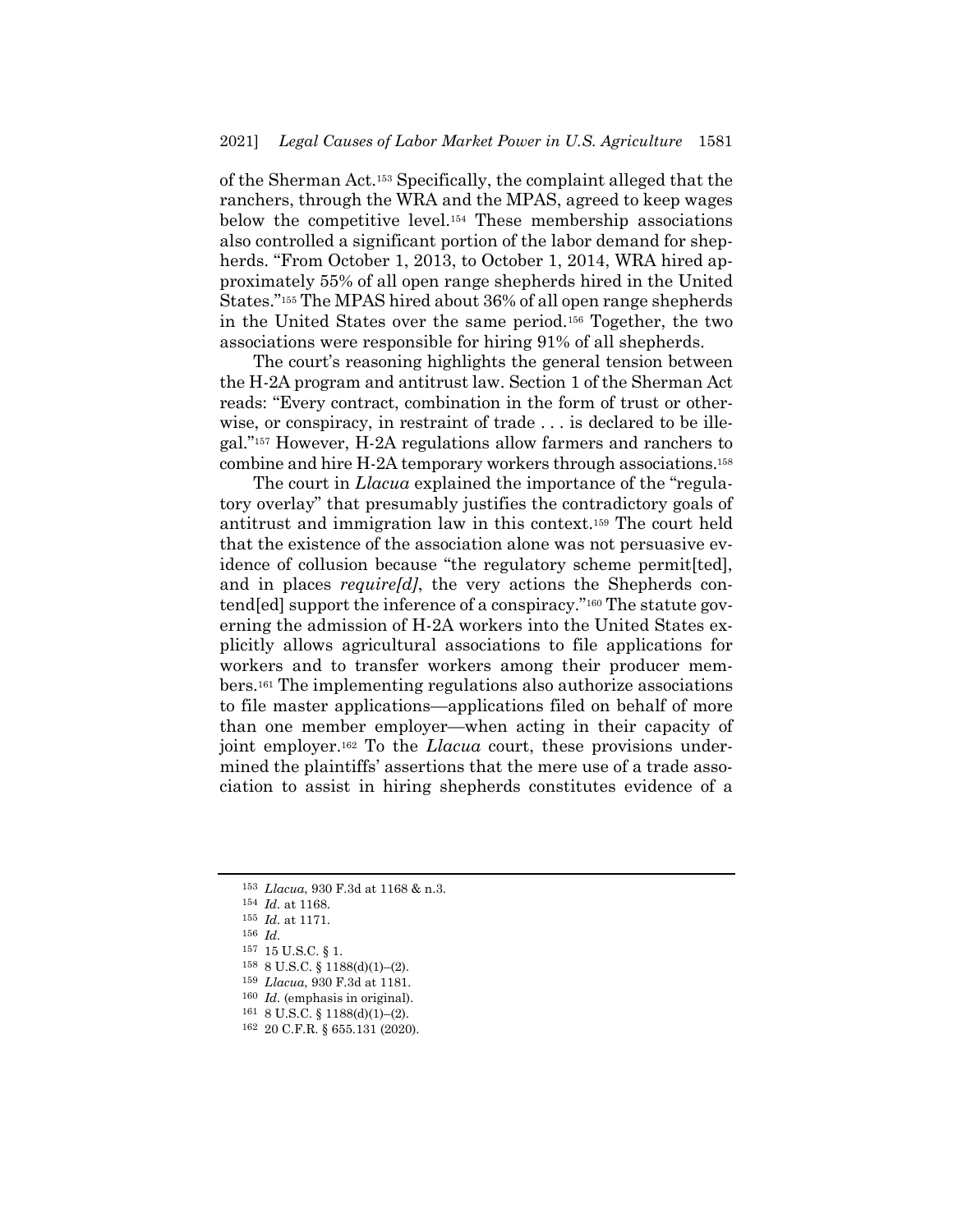of the Sherman Act.<sup>153</sup> Specifically, the complaint alleged that the ranchers, through the WRA and the MPAS, agreed to keep wages below the competitive level.<sup>154</sup> These membership associations also controlled a significant portion of the labor demand for shepherds. "From October 1, 2013, to October 1, 2014, WRA hired approximately 55% of all open range shepherds hired in the United States."<sup>155</sup> The MPAS hired about 36% of all open range shepherds in the United States over the same period.<sup>156</sup> Together, the two associations were responsible for hiring 91% of all shepherds.

The court's reasoning highlights the general tension between the H-2A program and antitrust law. Section 1 of the Sherman Act reads: "Every contract, combination in the form of trust or otherwise, or conspiracy, in restraint of trade . . . is declared to be illegal."<sup>157</sup> However, H-2A regulations allow farmers and ranchers to combine and hire H-2A temporary workers through associations.<sup>158</sup>

The court in *Llacua* explained the importance of the "regulatory overlay" that presumably justifies the contradictory goals of antitrust and immigration law in this context.<sup>159</sup> The court held that the existence of the association alone was not persuasive evidence of collusion because "the regulatory scheme permit[ted], and in places *require[d]*, the very actions the Shepherds contend[ed] support the inference of a conspiracy."<sup>160</sup> The statute governing the admission of H-2A workers into the United States explicitly allows agricultural associations to file applications for workers and to transfer workers among their producer members.<sup>161</sup> The implementing regulations also authorize associations to file master applications—applications filed on behalf of more than one member employer—when acting in their capacity of joint employer.<sup>162</sup> To the *Llacua* court, these provisions undermined the plaintiffs' assertions that the mere use of a trade association to assist in hiring shepherds constitutes evidence of a

157 15 U.S.C. § 1.

<sup>153</sup> *Llacua*, 930 F.3d at 1168 & n.3.

<sup>154</sup> *Id.* at 1168.

<sup>155</sup> *Id.* at 1171.

<sup>156</sup> *Id.*

<sup>158</sup> 8 U.S.C. § 1188(d)(1)–(2).

<sup>159</sup> *Llacua*, 930 F.3d at 1181.

<sup>160</sup> *Id.* (emphasis in original).

 $161 \text{ } 8 \text{ U.S.C. }$  §  $1188(d)(1)–(2)$ .

<sup>162</sup> 20 C.F.R. § 655.131 (2020).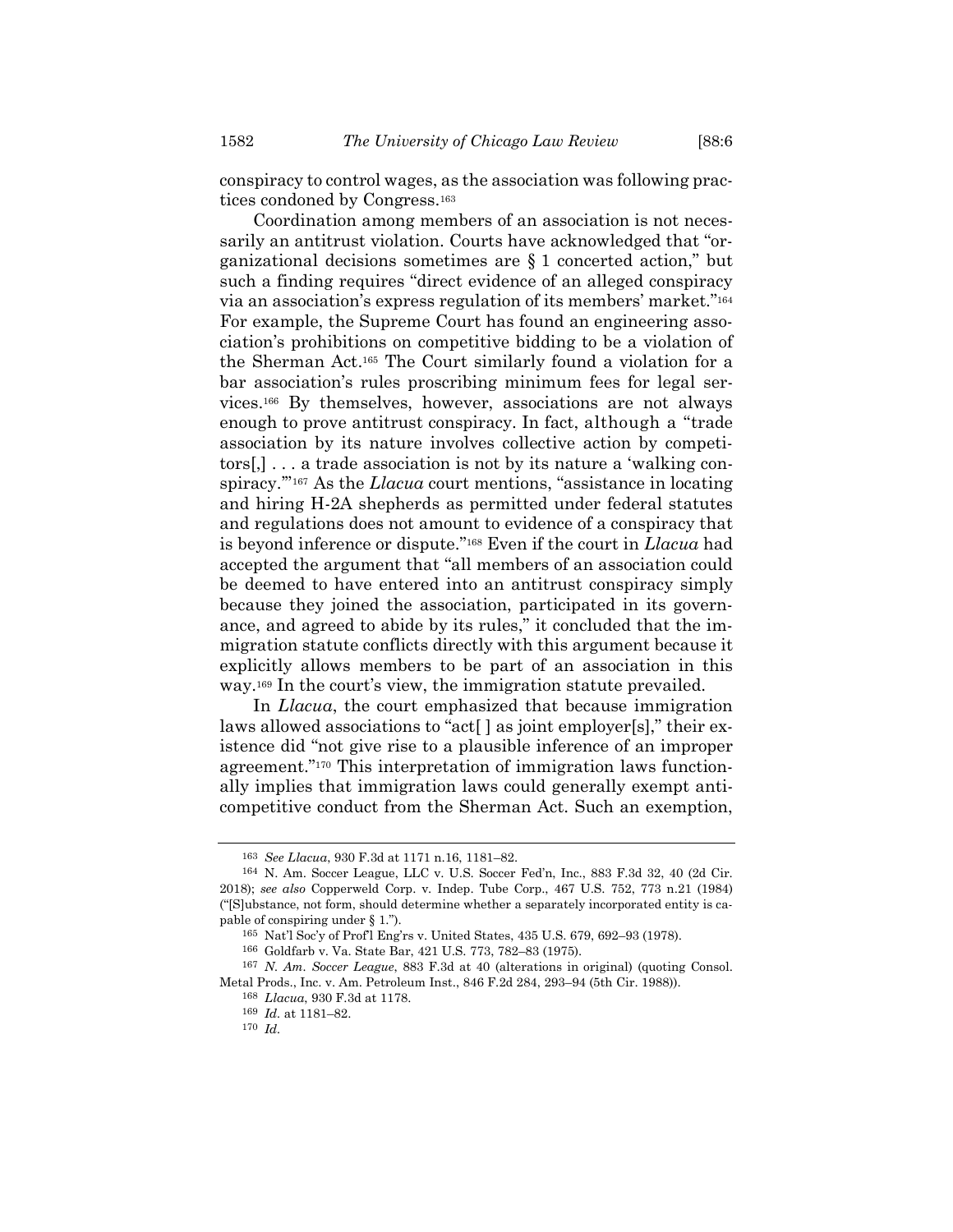conspiracy to control wages, as the association was following practices condoned by Congress.<sup>163</sup>

Coordination among members of an association is not necessarily an antitrust violation. Courts have acknowledged that "organizational decisions sometimes are § 1 concerted action," but such a finding requires "direct evidence of an alleged conspiracy via an association's express regulation of its members' market."<sup>164</sup> For example, the Supreme Court has found an engineering association's prohibitions on competitive bidding to be a violation of the Sherman Act. <sup>165</sup> The Court similarly found a violation for a bar association's rules proscribing minimum fees for legal services.<sup>166</sup> By themselves, however, associations are not always enough to prove antitrust conspiracy. In fact, although a "trade association by its nature involves collective action by competitors[,] . . . a trade association is not by its nature a 'walking conspiracy.'" <sup>167</sup> As the *Llacua* court mentions, "assistance in locating and hiring H-2A shepherds as permitted under federal statutes and regulations does not amount to evidence of a conspiracy that is beyond inference or dispute." <sup>168</sup> Even if the court in *Llacua* had accepted the argument that "all members of an association could be deemed to have entered into an antitrust conspiracy simply because they joined the association, participated in its governance, and agreed to abide by its rules," it concluded that the immigration statute conflicts directly with this argument because it explicitly allows members to be part of an association in this way.<sup>169</sup> In the court's view, the immigration statute prevailed.

In *Llacua*, the court emphasized that because immigration laws allowed associations to "act[ ] as joint employer[s]," their existence did "not give rise to a plausible inference of an improper agreement." <sup>170</sup> This interpretation of immigration laws functionally implies that immigration laws could generally exempt anticompetitive conduct from the Sherman Act. Such an exemption,

<sup>163</sup> *See Llacua*, 930 F.3d at 1171 n.16, 1181–82.

<sup>164</sup> N. Am. Soccer League, LLC v. U.S. Soccer Fed'n, Inc., 883 F.3d 32, 40 (2d Cir. 2018); *see also* Copperweld Corp. v. Indep. Tube Corp., 467 U.S. 752, 773 n.21 (1984) ("[S]ubstance, not form, should determine whether a separately incorporated entity is capable of conspiring under § 1.").

<sup>165</sup> Nat'l Soc'y of Prof'l Eng'rs v. United States, 435 U.S. 679, 692–93 (1978).

<sup>166</sup> Goldfarb v. Va. State Bar, 421 U.S. 773, 782–83 (1975).

<sup>167</sup> *N. Am. Soccer League*, 883 F.3d at 40 (alterations in original) (quoting Consol. Metal Prods., Inc. v. Am. Petroleum Inst., 846 F.2d 284, 293–94 (5th Cir. 1988)).

<sup>168</sup> *Llacua*, 930 F.3d at 1178.

<sup>169</sup> *Id.* at 1181–82.

<sup>170</sup> *Id.*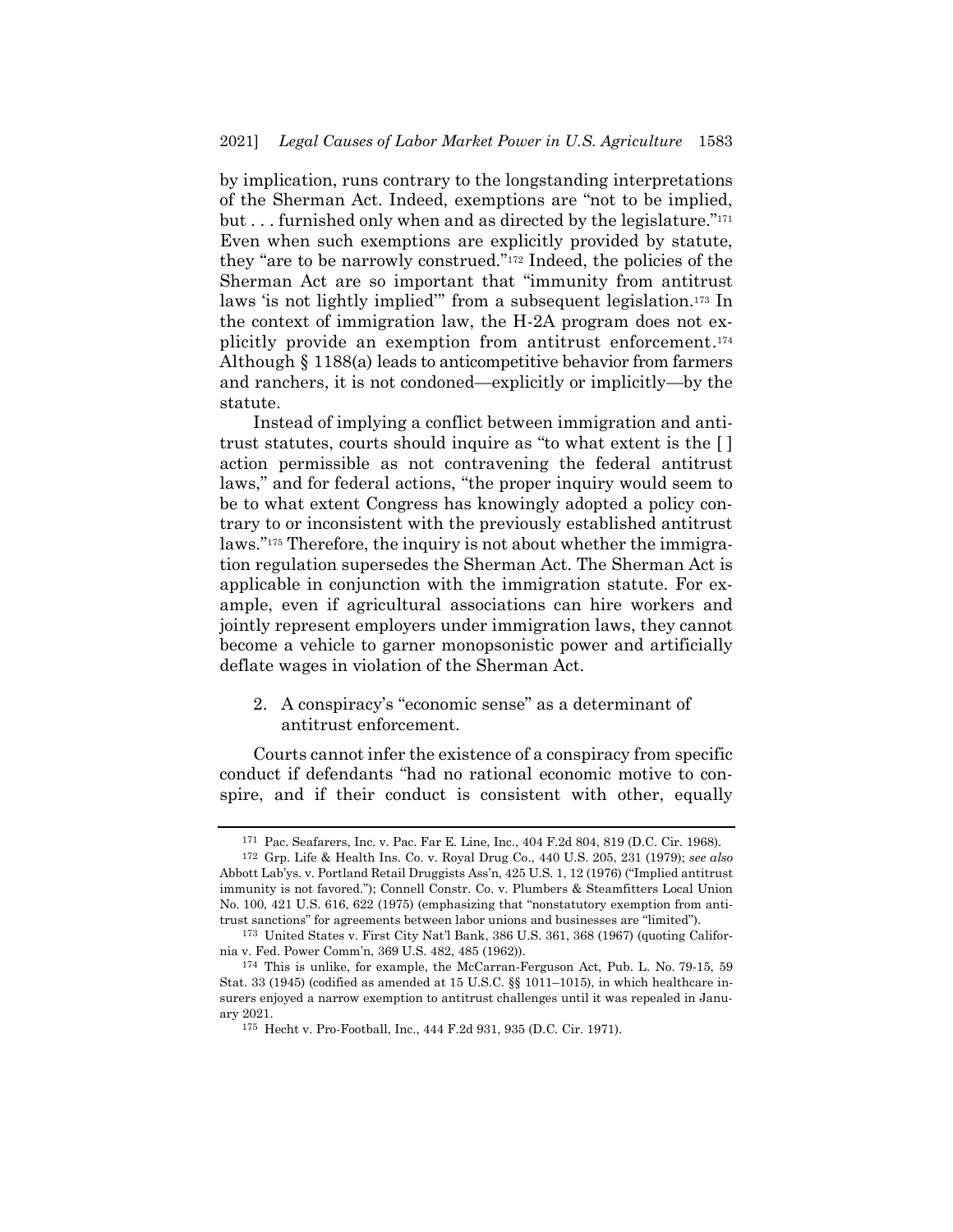by implication, runs contrary to the longstanding interpretations of the Sherman Act. Indeed, exemptions are "not to be implied, but . . . furnished only when and as directed by the legislature."<sup>171</sup> Even when such exemptions are explicitly provided by statute, they "are to be narrowly construed."<sup>172</sup> Indeed, the policies of the Sherman Act are so important that "immunity from antitrust laws 'is not lightly implied'" from a subsequent legislation.<sup>173</sup> In the context of immigration law, the H-2A program does not explicitly provide an exemption from antitrust enforcement. 174 Although § 1188(a) leads to anticompetitive behavior from farmers and ranchers, it is not condoned—explicitly or implicitly—by the statute.

Instead of implying a conflict between immigration and antitrust statutes, courts should inquire as "to what extent is the [ ] action permissible as not contravening the federal antitrust laws," and for federal actions, "the proper inquiry would seem to be to what extent Congress has knowingly adopted a policy contrary to or inconsistent with the previously established antitrust laws."<sup>175</sup> Therefore, the inquiry is not about whether the immigration regulation supersedes the Sherman Act. The Sherman Act is applicable in conjunction with the immigration statute. For example, even if agricultural associations can hire workers and jointly represent employers under immigration laws, they cannot become a vehicle to garner monopsonistic power and artificially deflate wages in violation of the Sherman Act.

2. A conspiracy's "economic sense" as a determinant of antitrust enforcement.

Courts cannot infer the existence of a conspiracy from specific conduct if defendants "had no rational economic motive to conspire, and if their conduct is consistent with other, equally

<sup>171</sup> Pac. Seafarers, Inc. v. Pac. Far E. Line, Inc., 404 F.2d 804, 819 (D.C. Cir. 1968).

<sup>172</sup> Grp. Life & Health Ins. Co. v. Royal Drug Co., 440 U.S. 205, 231 (1979); *see also* Abbott Lab'ys. v. Portland Retail Druggists Ass'n, 425 U.S. 1, 12 (1976) ("Implied antitrust immunity is not favored."); Connell Constr. Co. v. Plumbers & Steamfitters Local Union No. 100, 421 U.S. 616, 622 (1975) (emphasizing that "nonstatutory exemption from antitrust sanctions" for agreements between labor unions and businesses are "limited").

<sup>173</sup> United States v. First City Nat'l Bank, 386 U.S. 361, 368 (1967) (quoting California v. Fed. Power Comm'n, 369 U.S. 482, 485 (1962)).

<sup>174</sup> This is unlike, for example, the McCarran-Ferguson Act, Pub. L. No. 79-15, 59 Stat. 33 (1945) (codified as amended at 15 U.S.C. §§ 1011–1015), in which healthcare insurers enjoyed a narrow exemption to antitrust challenges until it was repealed in January 2021.

<sup>175</sup> Hecht v. Pro-Football, Inc., 444 F.2d 931, 935 (D.C. Cir. 1971).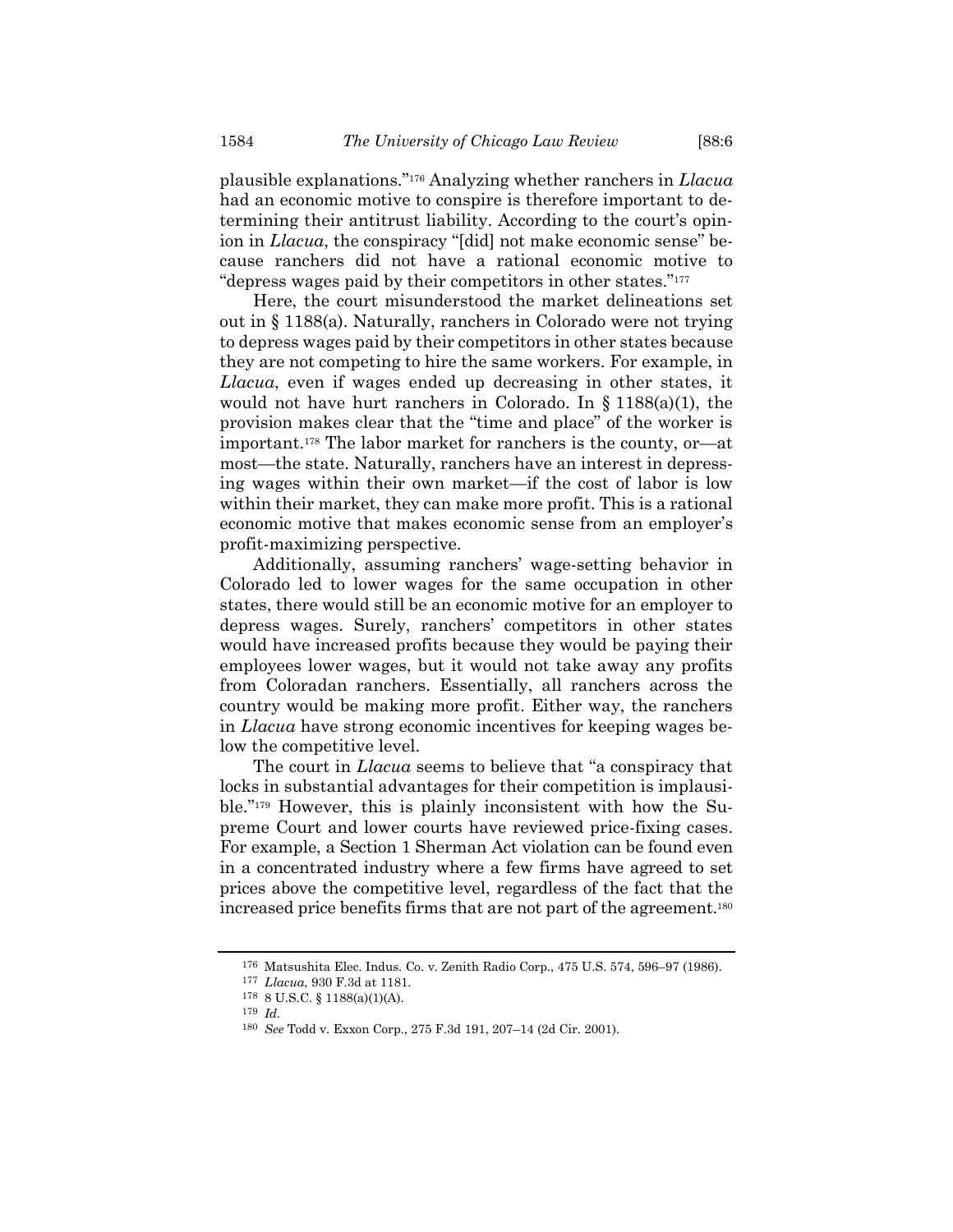plausible explanations."<sup>176</sup> Analyzing whether ranchers in *Llacua* had an economic motive to conspire is therefore important to determining their antitrust liability. According to the court's opinion in *Llacua*, the conspiracy "[did] not make economic sense" because ranchers did not have a rational economic motive to "depress wages paid by their competitors in other states."<sup>177</sup>

Here, the court misunderstood the market delineations set out in § 1188(a). Naturally, ranchers in Colorado were not trying to depress wages paid by their competitors in other states because they are not competing to hire the same workers. For example, in *Llacua*, even if wages ended up decreasing in other states, it would not have hurt ranchers in Colorado. In  $\S 1188(a)(1)$ , the provision makes clear that the "time and place" of the worker is important.<sup>178</sup> The labor market for ranchers is the county, or—at most—the state. Naturally, ranchers have an interest in depressing wages within their own market—if the cost of labor is low within their market, they can make more profit. This is a rational economic motive that makes economic sense from an employer's profit-maximizing perspective.

Additionally, assuming ranchers' wage-setting behavior in Colorado led to lower wages for the same occupation in other states, there would still be an economic motive for an employer to depress wages. Surely, ranchers' competitors in other states would have increased profits because they would be paying their employees lower wages, but it would not take away any profits from Coloradan ranchers. Essentially, all ranchers across the country would be making more profit. Either way, the ranchers in *Llacua* have strong economic incentives for keeping wages below the competitive level.

The court in *Llacua* seems to believe that "a conspiracy that locks in substantial advantages for their competition is implausible."<sup>179</sup> However, this is plainly inconsistent with how the Supreme Court and lower courts have reviewed price-fixing cases. For example, a Section 1 Sherman Act violation can be found even in a concentrated industry where a few firms have agreed to set prices above the competitive level, regardless of the fact that the increased price benefits firms that are not part of the agreement.<sup>180</sup>

<sup>176</sup> Matsushita Elec. Indus. Co. v. Zenith Radio Corp., 475 U.S. 574, 596–97 (1986).

<sup>177</sup> *Llacua*, 930 F.3d at 1181.

<sup>178</sup> 8 U.S.C. § 1188(a)(1)(A).

<sup>179</sup> *Id.*

<sup>180</sup> *See* Todd v. Exxon Corp., 275 F.3d 191, 207–14 (2d Cir. 2001).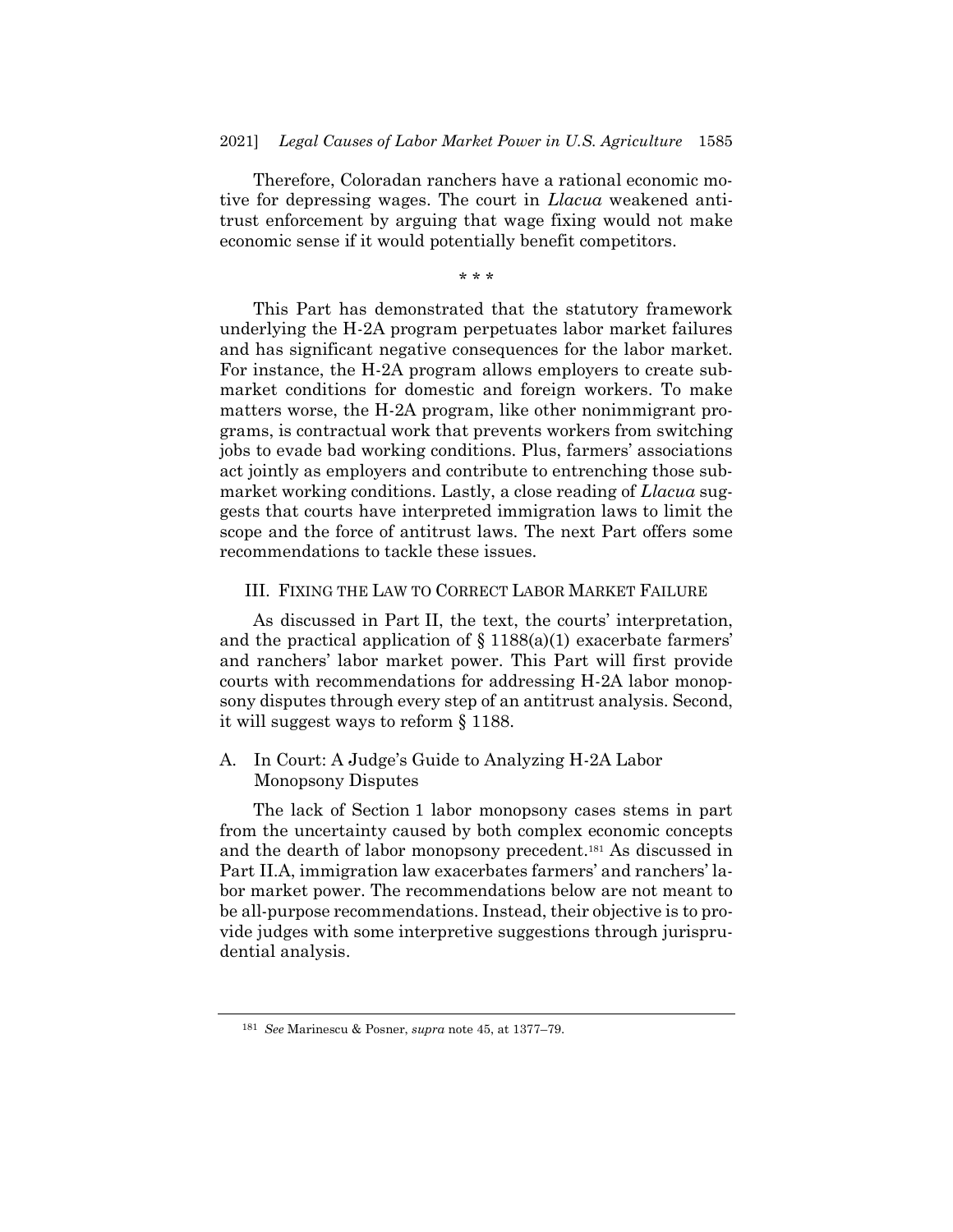Therefore, Coloradan ranchers have a rational economic motive for depressing wages. The court in *Llacua* weakened antitrust enforcement by arguing that wage fixing would not make economic sense if it would potentially benefit competitors.

\* \* \*

This Part has demonstrated that the statutory framework underlying the H-2A program perpetuates labor market failures and has significant negative consequences for the labor market. For instance, the H-2A program allows employers to create submarket conditions for domestic and foreign workers. To make matters worse, the H-2A program, like other nonimmigrant programs, is contractual work that prevents workers from switching jobs to evade bad working conditions. Plus, farmers' associations act jointly as employers and contribute to entrenching those submarket working conditions. Lastly, a close reading of *Llacua* suggests that courts have interpreted immigration laws to limit the scope and the force of antitrust laws. The next Part offers some recommendations to tackle these issues.

# III. FIXING THE LAW TO CORRECT LABOR MARKET FAILURE

As discussed in Part II, the text, the courts' interpretation, and the practical application of  $\S 1188(a)(1)$  exacerbate farmers' and ranchers' labor market power. This Part will first provide courts with recommendations for addressing H-2A labor monopsony disputes through every step of an antitrust analysis. Second, it will suggest ways to reform § 1188.

## A. In Court: A Judge's Guide to Analyzing H-2A Labor Monopsony Disputes

The lack of Section 1 labor monopsony cases stems in part from the uncertainty caused by both complex economic concepts and the dearth of labor monopsony precedent. <sup>181</sup> As discussed in Part II.A, immigration law exacerbates farmers' and ranchers' labor market power. The recommendations below are not meant to be all-purpose recommendations. Instead, their objective is to provide judges with some interpretive suggestions through jurisprudential analysis.

<sup>181</sup> *See* Marinescu & Posner, *supra* not[e 45,](#page-8-0) at 1377–79.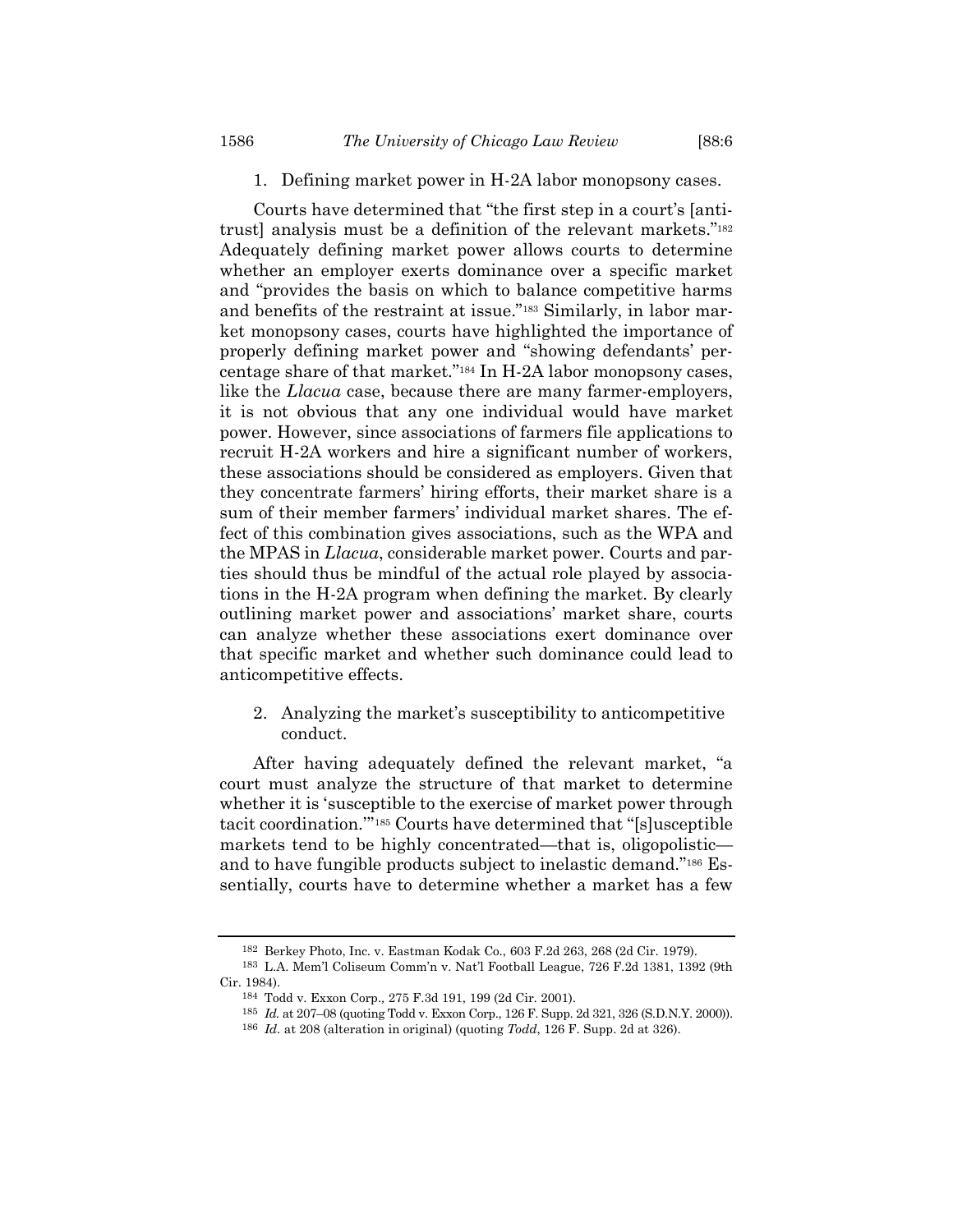# 1. Defining market power in H-2A labor monopsony cases.

Courts have determined that "the first step in a court's [antitrust] analysis must be a definition of the relevant markets."<sup>182</sup> Adequately defining market power allows courts to determine whether an employer exerts dominance over a specific market and "provides the basis on which to balance competitive harms and benefits of the restraint at issue."<sup>183</sup> Similarly, in labor market monopsony cases, courts have highlighted the importance of properly defining market power and "showing defendants' percentage share of that market."<sup>184</sup> In H-2A labor monopsony cases, like the *Llacua* case, because there are many farmer-employers, it is not obvious that any one individual would have market power. However, since associations of farmers file applications to recruit H-2A workers and hire a significant number of workers, these associations should be considered as employers. Given that they concentrate farmers' hiring efforts, their market share is a sum of their member farmers' individual market shares. The effect of this combination gives associations, such as the WPA and the MPAS in *Llacua*, considerable market power. Courts and parties should thus be mindful of the actual role played by associations in the H-2A program when defining the market. By clearly outlining market power and associations' market share, courts can analyze whether these associations exert dominance over that specific market and whether such dominance could lead to anticompetitive effects.

2. Analyzing the market's susceptibility to anticompetitive conduct.

After having adequately defined the relevant market, "a court must analyze the structure of that market to determine whether it is 'susceptible to the exercise of market power through tacit coordination.'" <sup>185</sup> Courts have determined that "[s]usceptible markets tend to be highly concentrated—that is, oligopolistic and to have fungible products subject to inelastic demand."<sup>186</sup> Essentially, courts have to determine whether a market has a few

<sup>182</sup> Berkey Photo, Inc. v. Eastman Kodak Co., 603 F.2d 263, 268 (2d Cir. 1979).

<sup>183</sup> L.A. Mem'l Coliseum Comm'n v. Nat'l Football League, 726 F.2d 1381, 1392 (9th Cir. 1984).

<sup>184</sup> Todd v. Exxon Corp.*,* 275 F.3d 191, 199 (2d Cir. 2001).

<sup>185</sup> *Id.* at 207–08 (quoting Todd v. Exxon Corp., 126 F. Supp. 2d 321, 326 (S.D.N.Y. 2000)).

<sup>186</sup> *Id.* at 208 (alteration in original) (quoting *Todd*, 126 F. Supp. 2d at 326).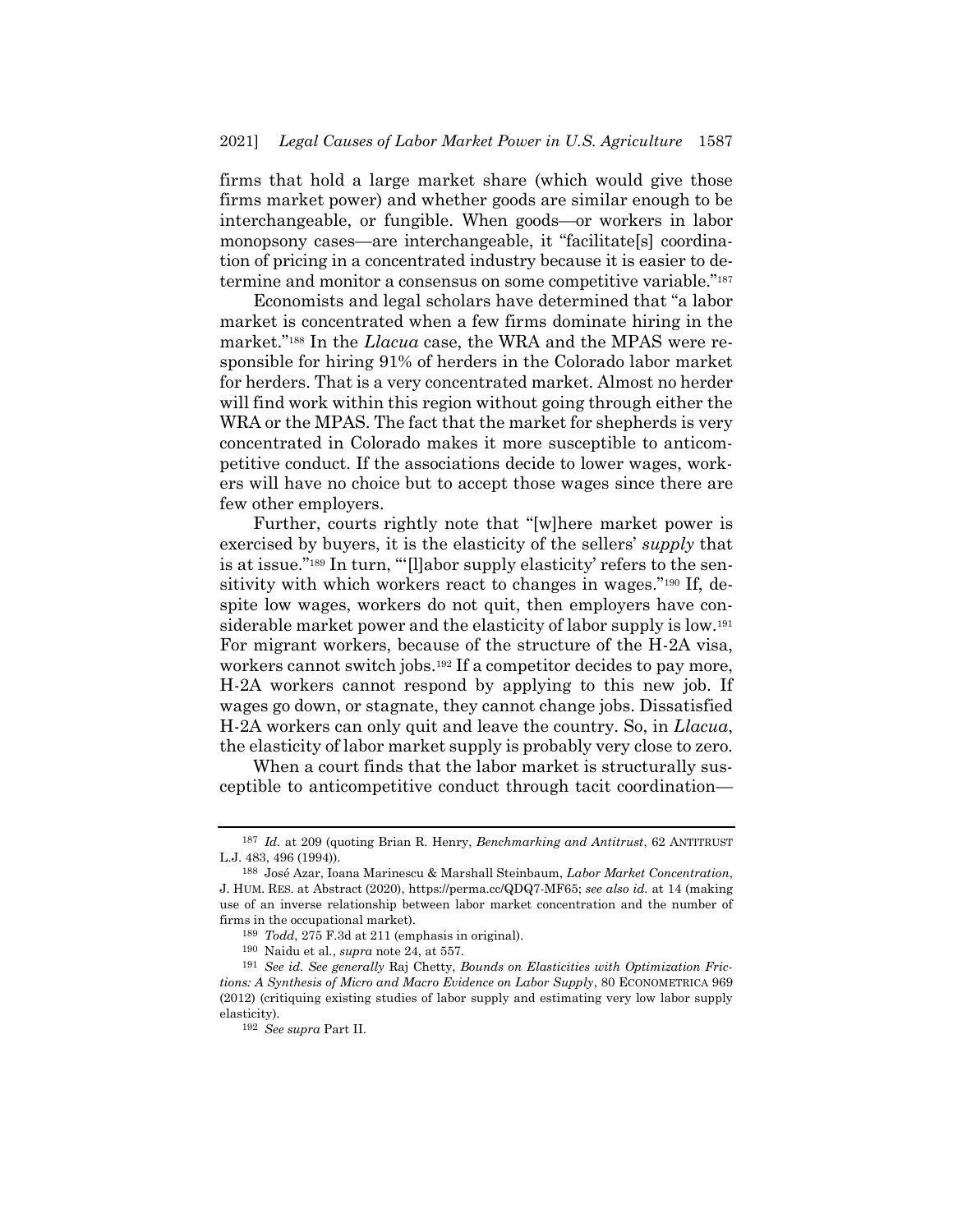firms that hold a large market share (which would give those firms market power) and whether goods are similar enough to be interchangeable, or fungible. When goods—or workers in labor monopsony cases—are interchangeable, it "facilitate[s] coordination of pricing in a concentrated industry because it is easier to determine and monitor a consensus on some competitive variable."<sup>187</sup>

Economists and legal scholars have determined that "a labor market is concentrated when a few firms dominate hiring in the market."<sup>188</sup> In the *Llacua* case, the WRA and the MPAS were responsible for hiring 91% of herders in the Colorado labor market for herders. That is a very concentrated market. Almost no herder will find work within this region without going through either the WRA or the MPAS. The fact that the market for shepherds is very concentrated in Colorado makes it more susceptible to anticompetitive conduct. If the associations decide to lower wages, workers will have no choice but to accept those wages since there are few other employers.

Further, courts rightly note that "[w]here market power is exercised by buyers, it is the elasticity of the sellers' *supply* that is at issue."<sup>189</sup> In turn, "'[l]abor supply elasticity' refers to the sensitivity with which workers react to changes in wages."<sup>190</sup> If, despite low wages, workers do not quit, then employers have considerable market power and the elasticity of labor supply is low.<sup>191</sup> For migrant workers, because of the structure of the H-2A visa, workers cannot switch jobs.<sup>192</sup> If a competitor decides to pay more, H-2A workers cannot respond by applying to this new job. If wages go down, or stagnate, they cannot change jobs. Dissatisfied H-2A workers can only quit and leave the country. So, in *Llacua*, the elasticity of labor market supply is probably very close to zero.

When a court finds that the labor market is structurally susceptible to anticompetitive conduct through tacit coordination—

<sup>187</sup> *Id.* at 209 (quoting Brian R. Henry, *Benchmarking and Antitrust*, 62 ANTITRUST L.J. 483, 496 (1994)).

<sup>188</sup> José Azar, Ioana Marinescu & Marshall Steinbaum, *Labor Market Concentration*, J. HUM. RES. at Abstract (2020), https://perma.cc/QDQ7-MF65; *see also id.* at 14 (making use of an inverse relationship between labor market concentration and the number of firms in the occupational market).

<sup>189</sup> *Todd*, 275 F.3d at 211 (emphasis in original).

<sup>190</sup> Naidu et al., *supra* not[e 24,](#page-4-1) at 557.

<sup>191</sup> *See id. See generally* Raj Chetty, *Bounds on Elasticities with Optimization Frictions: A Synthesis of Micro and Macro Evidence on Labor Supply*, 80 ECONOMETRICA 969 (2012) (critiquing existing studies of labor supply and estimating very low labor supply elasticity).

<sup>192</sup> *See supra* Part II.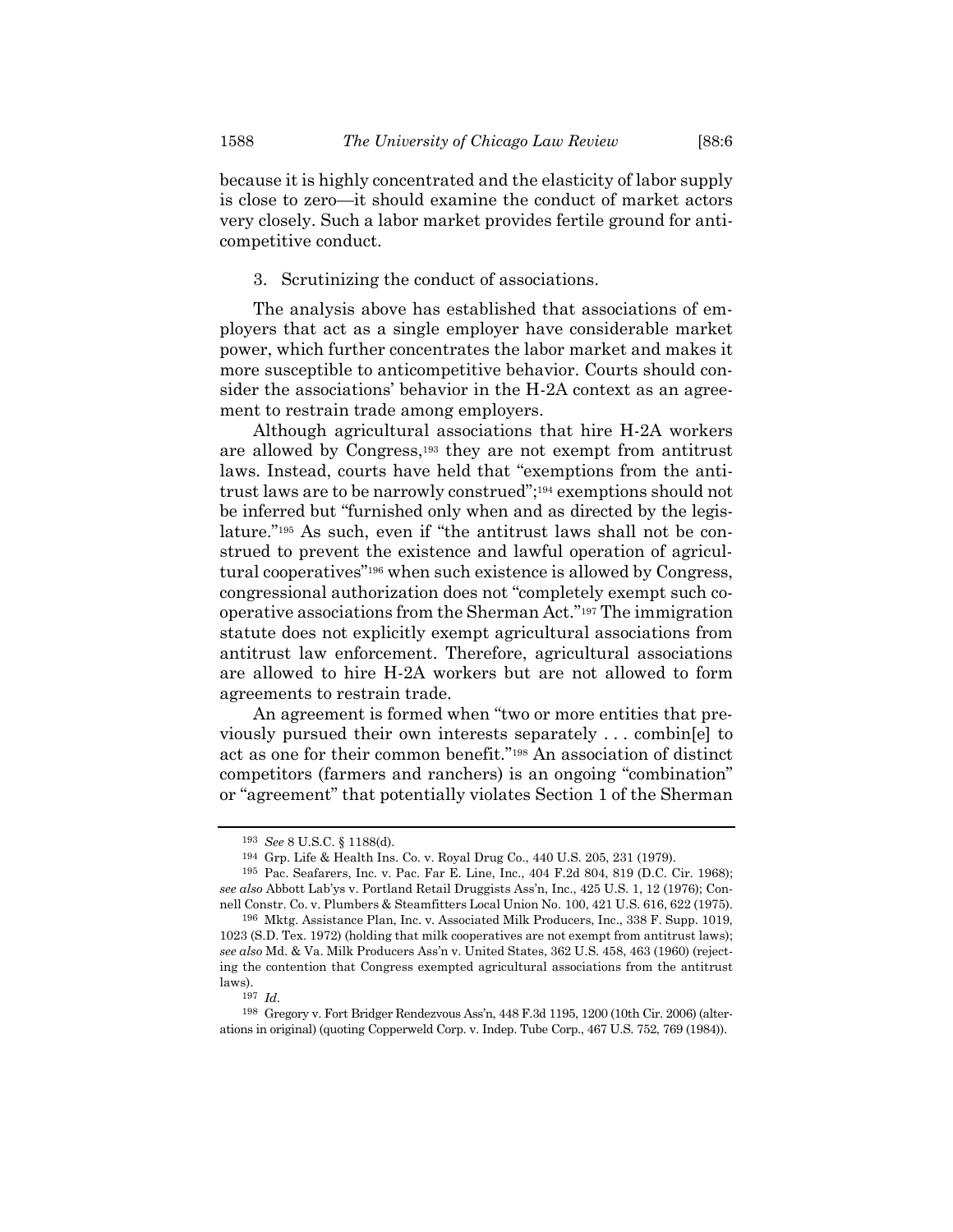because it is highly concentrated and the elasticity of labor supply is close to zero—it should examine the conduct of market actors very closely. Such a labor market provides fertile ground for anticompetitive conduct.

3. Scrutinizing the conduct of associations.

The analysis above has established that associations of employers that act as a single employer have considerable market power, which further concentrates the labor market and makes it more susceptible to anticompetitive behavior. Courts should consider the associations' behavior in the H-2A context as an agreement to restrain trade among employers.

Although agricultural associations that hire H-2A workers are allowed by Congress,<sup>193</sup> they are not exempt from antitrust laws. Instead, courts have held that "exemptions from the antitrust laws are to be narrowly construed"; <sup>194</sup> exemptions should not be inferred but "furnished only when and as directed by the legislature."<sup>195</sup> As such, even if "the antitrust laws shall not be construed to prevent the existence and lawful operation of agricultural cooperatives"<sup>196</sup> when such existence is allowed by Congress, congressional authorization does not "completely exempt such cooperative associations from the Sherman Act."<sup>197</sup> The immigration statute does not explicitly exempt agricultural associations from antitrust law enforcement. Therefore, agricultural associations are allowed to hire H-2A workers but are not allowed to form agreements to restrain trade.

An agreement is formed when "two or more entities that previously pursued their own interests separately . . . combin[e] to act as one for their common benefit."<sup>198</sup> An association of distinct competitors (farmers and ranchers) is an ongoing "combination" or "agreement" that potentially violates Section 1 of the Sherman

<sup>193</sup> *See* 8 U.S.C. § 1188(d).

<sup>194</sup> Grp. Life & Health Ins. Co. v. Royal Drug Co., 440 U.S. 205, 231 (1979).

<sup>195</sup> Pac. Seafarers, Inc. v. Pac. Far E. Line, Inc., 404 F.2d 804, 819 (D.C. Cir. 1968); *see also* Abbott Lab'ys v. Portland Retail Druggists Ass'n, Inc., 425 U.S. 1, 12 (1976); Connell Constr. Co. v. Plumbers & Steamfitters Local Union No. 100, 421 U.S. 616, 622 (1975).

<sup>196</sup> Mktg. Assistance Plan, Inc. v. Associated Milk Producers, Inc., 338 F. Supp. 1019, 1023 (S.D. Tex. 1972) (holding that milk cooperatives are not exempt from antitrust laws); *see also* Md. & Va. Milk Producers Ass'n v. United States, 362 U.S. 458, 463 (1960) (rejecting the contention that Congress exempted agricultural associations from the antitrust laws).

<sup>197</sup> *Id.*

<sup>198</sup> Gregory v. Fort Bridger Rendezvous Ass'n, 448 F.3d 1195, 1200 (10th Cir. 2006) (alterations in original) (quoting Copperweld Corp. v. Indep. Tube Corp., 467 U.S. 752, 769 (1984)).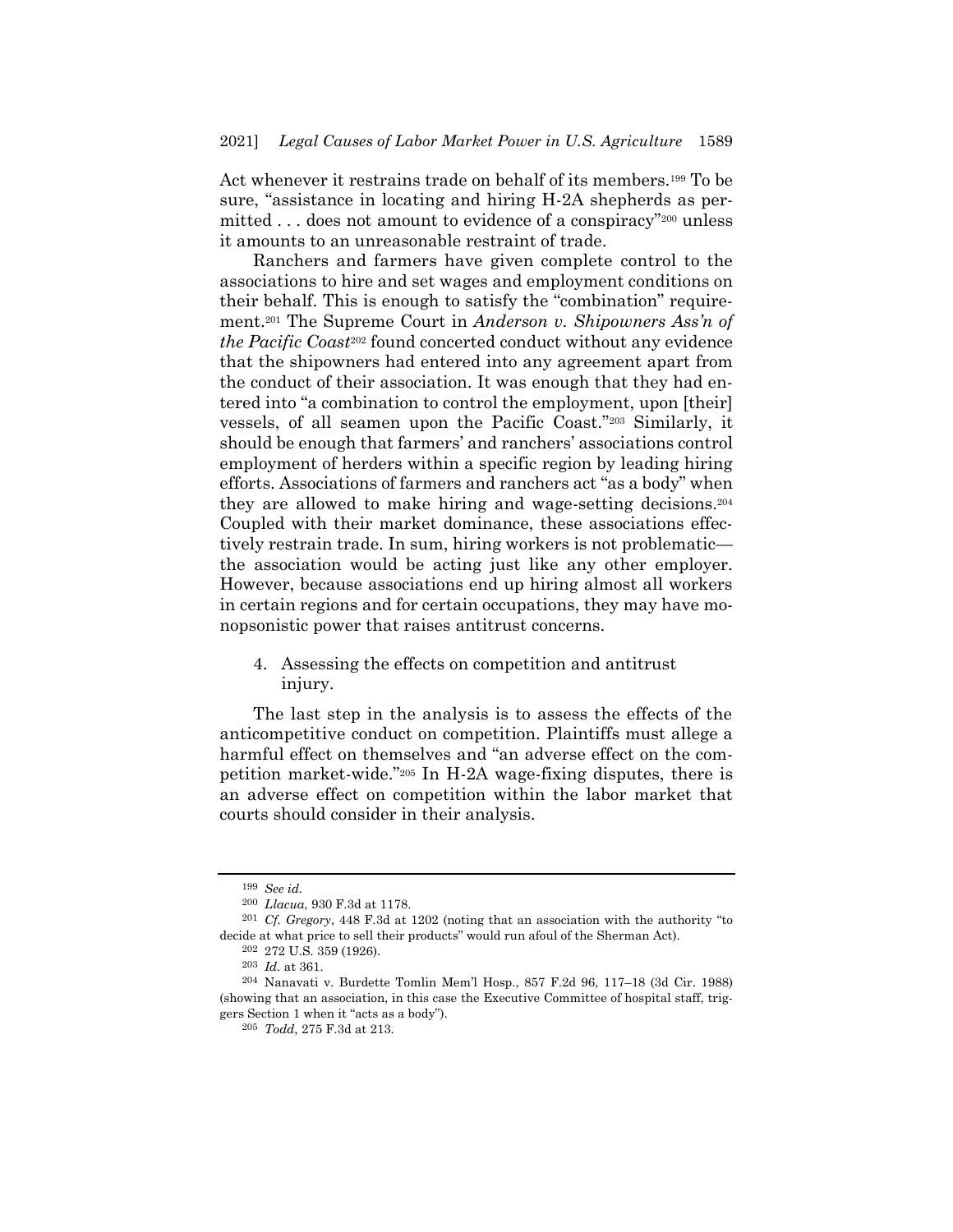Act whenever it restrains trade on behalf of its members.<sup>199</sup> To be sure, "assistance in locating and hiring H-2A shepherds as permitted . . . does not amount to evidence of a conspiracy"<sup>200</sup> unless it amounts to an unreasonable restraint of trade.

Ranchers and farmers have given complete control to the associations to hire and set wages and employment conditions on their behalf. This is enough to satisfy the "combination" requirement.<sup>201</sup> The Supreme Court in *Anderson v. Shipowners Ass'n of the Pacific Coast*<sup>202</sup> found concerted conduct without any evidence that the shipowners had entered into any agreement apart from the conduct of their association. It was enough that they had entered into "a combination to control the employment, upon [their] vessels, of all seamen upon the Pacific Coast."<sup>203</sup> Similarly, it should be enough that farmers' and ranchers' associations control employment of herders within a specific region by leading hiring efforts. Associations of farmers and ranchers act "as a body" when they are allowed to make hiring and wage-setting decisions.<sup>204</sup> Coupled with their market dominance, these associations effectively restrain trade. In sum, hiring workers is not problematic the association would be acting just like any other employer. However, because associations end up hiring almost all workers in certain regions and for certain occupations, they may have monopsonistic power that raises antitrust concerns.

4. Assessing the effects on competition and antitrust injury.

The last step in the analysis is to assess the effects of the anticompetitive conduct on competition. Plaintiffs must allege a harmful effect on themselves and "an adverse effect on the competition market-wide."<sup>205</sup> In H-2A wage-fixing disputes, there is an adverse effect on competition within the labor market that courts should consider in their analysis.

<sup>199</sup> *See id.*

<sup>200</sup> *Llacua*, 930 F.3d at 1178.

<sup>201</sup> *Cf. Gregory*, 448 F.3d at 1202 (noting that an association with the authority "to decide at what price to sell their products" would run afoul of the Sherman Act).

 $\,$  202  $\,$  272 U.S. 359 (1926).

<sup>203</sup> *Id.* at 361.

<sup>204</sup> Nanavati v. Burdette Tomlin Mem'l Hosp., 857 F.2d 96, 117–18 (3d Cir. 1988) (showing that an association, in this case the Executive Committee of hospital staff, triggers Section 1 when it "acts as a body").

<sup>205</sup> *Todd*, 275 F.3d at 213.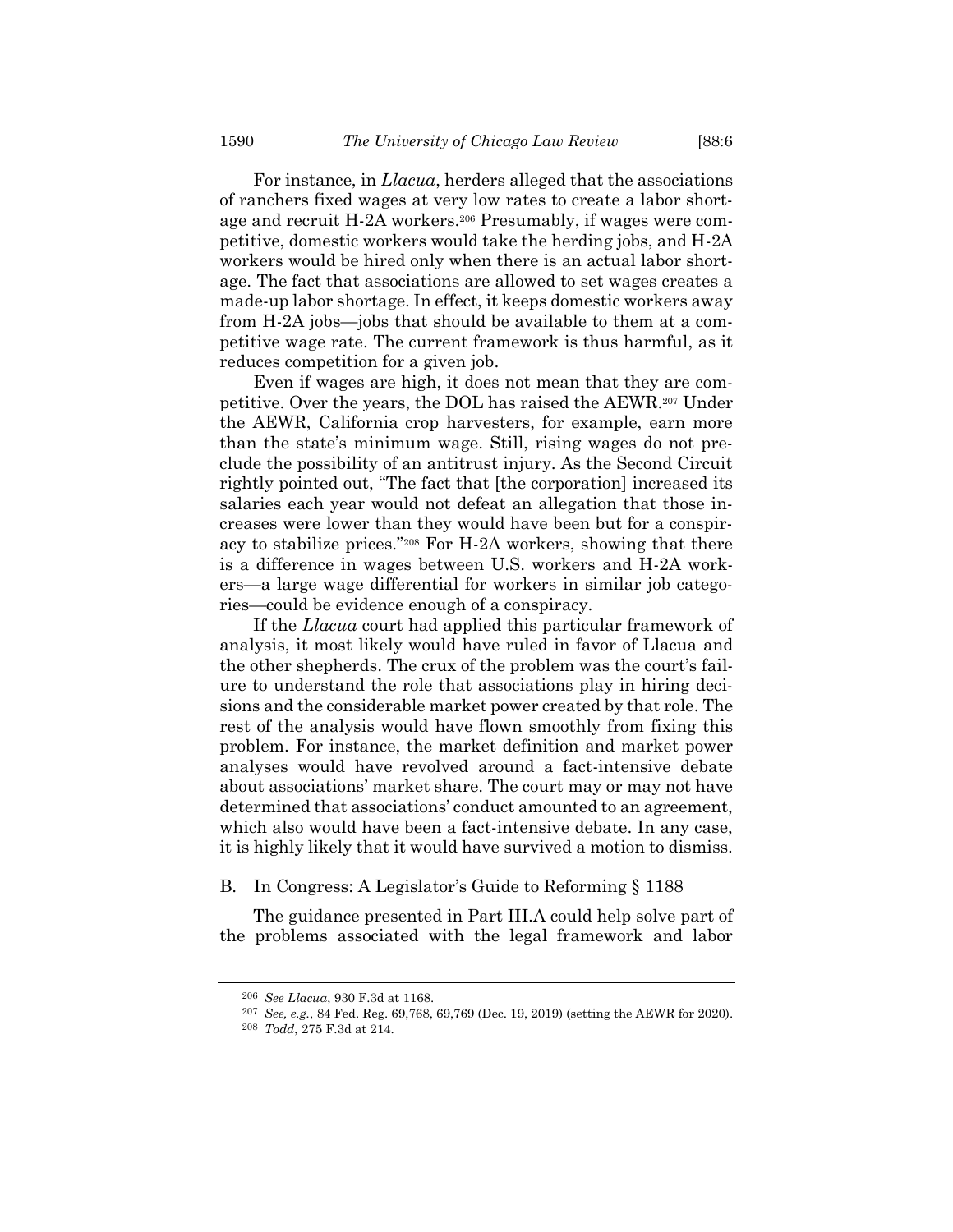For instance, in *Llacua*, herders alleged that the associations of ranchers fixed wages at very low rates to create a labor shortage and recruit H-2A workers.<sup>206</sup> Presumably, if wages were competitive, domestic workers would take the herding jobs, and H-2A workers would be hired only when there is an actual labor shortage. The fact that associations are allowed to set wages creates a made-up labor shortage. In effect, it keeps domestic workers away from H-2A jobs—jobs that should be available to them at a competitive wage rate. The current framework is thus harmful, as it reduces competition for a given job.

Even if wages are high, it does not mean that they are competitive. Over the years, the DOL has raised the AEWR.<sup>207</sup> Under the AEWR, California crop harvesters, for example, earn more than the state's minimum wage. Still, rising wages do not preclude the possibility of an antitrust injury. As the Second Circuit rightly pointed out, "The fact that [the corporation] increased its salaries each year would not defeat an allegation that those increases were lower than they would have been but for a conspiracy to stabilize prices."<sup>208</sup> For H-2A workers, showing that there is a difference in wages between U.S. workers and H-2A workers—a large wage differential for workers in similar job categories—could be evidence enough of a conspiracy.

If the *Llacua* court had applied this particular framework of analysis, it most likely would have ruled in favor of Llacua and the other shepherds. The crux of the problem was the court's failure to understand the role that associations play in hiring decisions and the considerable market power created by that role. The rest of the analysis would have flown smoothly from fixing this problem. For instance, the market definition and market power analyses would have revolved around a fact-intensive debate about associations' market share. The court may or may not have determined that associations' conduct amounted to an agreement, which also would have been a fact-intensive debate. In any case, it is highly likely that it would have survived a motion to dismiss.

#### B. In Congress: A Legislator's Guide to Reforming § 1188

The guidance presented in Part III.A could help solve part of the problems associated with the legal framework and labor

<sup>206</sup> *See Llacua*, 930 F.3d at 1168.

<sup>207</sup> *See, e.g.*, 84 Fed. Reg. 69,768, 69,769 (Dec. 19, 2019) (setting the AEWR for 2020).

<sup>208</sup> *Todd*, 275 F.3d at 214.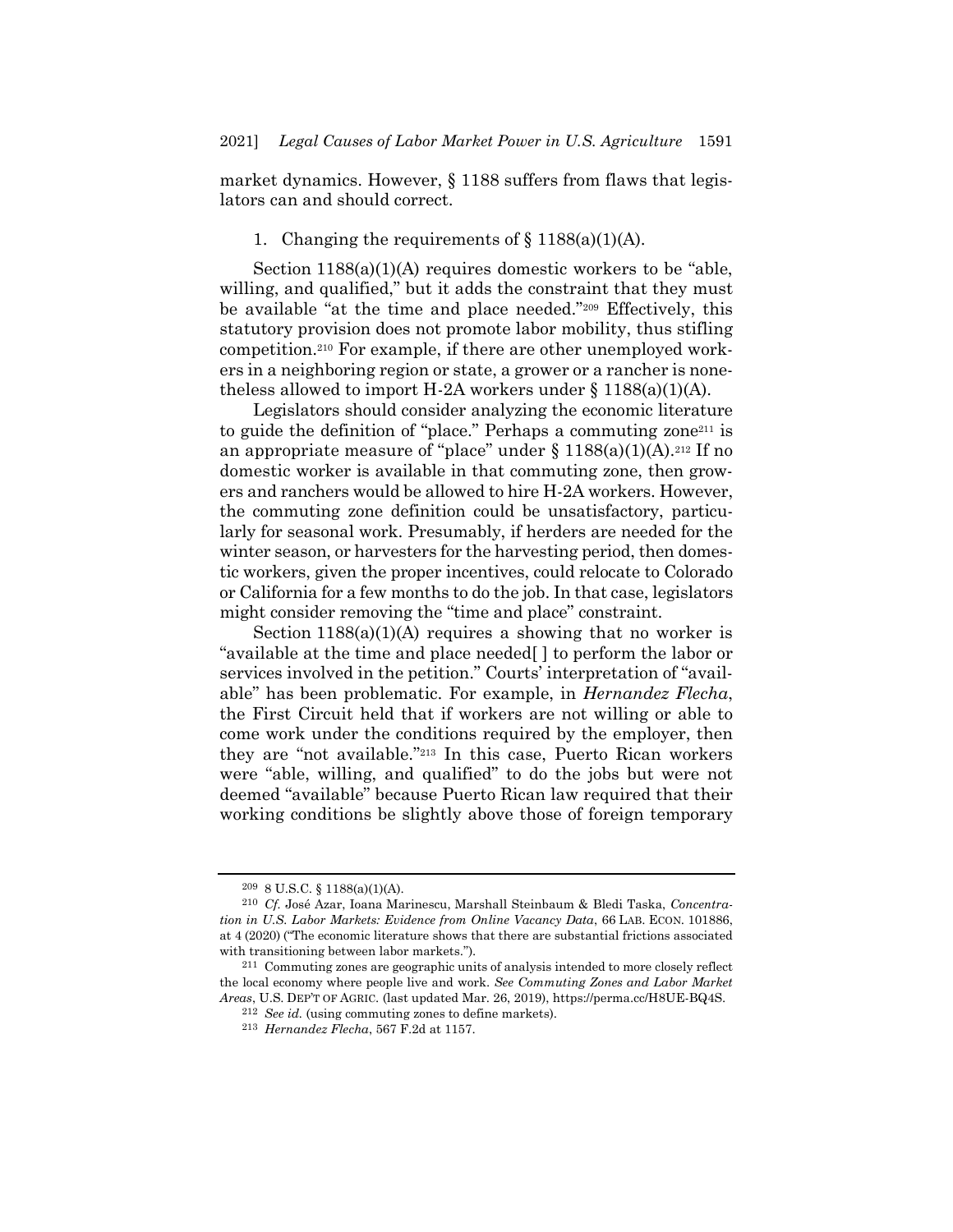market dynamics. However, § 1188 suffers from flaws that legislators can and should correct.

# 1. Changing the requirements of  $\S$  1188(a)(1)(A).

Section 1188(a)(1)(A) requires domestic workers to be "able, willing, and qualified," but it adds the constraint that they must be available "at the time and place needed."<sup>209</sup> Effectively, this statutory provision does not promote labor mobility, thus stifling competition.<sup>210</sup> For example, if there are other unemployed workers in a neighboring region or state, a grower or a rancher is nonetheless allowed to import H-2A workers under  $\S 1188(a)(1)(A)$ .

Legislators should consider analyzing the economic literature to guide the definition of "place." Perhaps a commuting zone<sup>211</sup> is an appropriate measure of "place" under  $\S 1188(a)(1)(A).^{212}$  If no domestic worker is available in that commuting zone, then growers and ranchers would be allowed to hire H-2A workers. However, the commuting zone definition could be unsatisfactory, particularly for seasonal work. Presumably, if herders are needed for the winter season, or harvesters for the harvesting period, then domestic workers, given the proper incentives, could relocate to Colorado or California for a few months to do the job. In that case, legislators might consider removing the "time and place" constraint.

Section  $1188(a)(1)(A)$  requires a showing that no worker is "available at the time and place needed[ ] to perform the labor or services involved in the petition." Courts' interpretation of "available" has been problematic. For example, in *Hernandez Flecha*, the First Circuit held that if workers are not willing or able to come work under the conditions required by the employer, then they are "not available."<sup>213</sup> In this case, Puerto Rican workers were "able, willing, and qualified" to do the jobs but were not deemed "available" because Puerto Rican law required that their working conditions be slightly above those of foreign temporary

<sup>209</sup> 8 U.S.C. § 1188(a)(1)(A).

<sup>210</sup> *Cf.* José Azar, Ioana Marinescu, Marshall Steinbaum & Bledi Taska, *Concentration in U.S. Labor Markets: Evidence from Online Vacancy Data*, 66 LAB. ECON. 101886, at 4 (2020) ("The economic literature shows that there are substantial frictions associated with transitioning between labor markets.").

<sup>211</sup> Commuting zones are geographic units of analysis intended to more closely reflect the local economy where people live and work. *See Commuting Zones and Labor Market Areas*, U.S. DEP'T OF AGRIC. (last updated Mar. 26, 2019), https://perma.cc/H8UE-BQ4S.

<sup>212</sup> *See id.* (using commuting zones to define markets).

<sup>213</sup> *Hernandez Flecha*, 567 F.2d at 1157.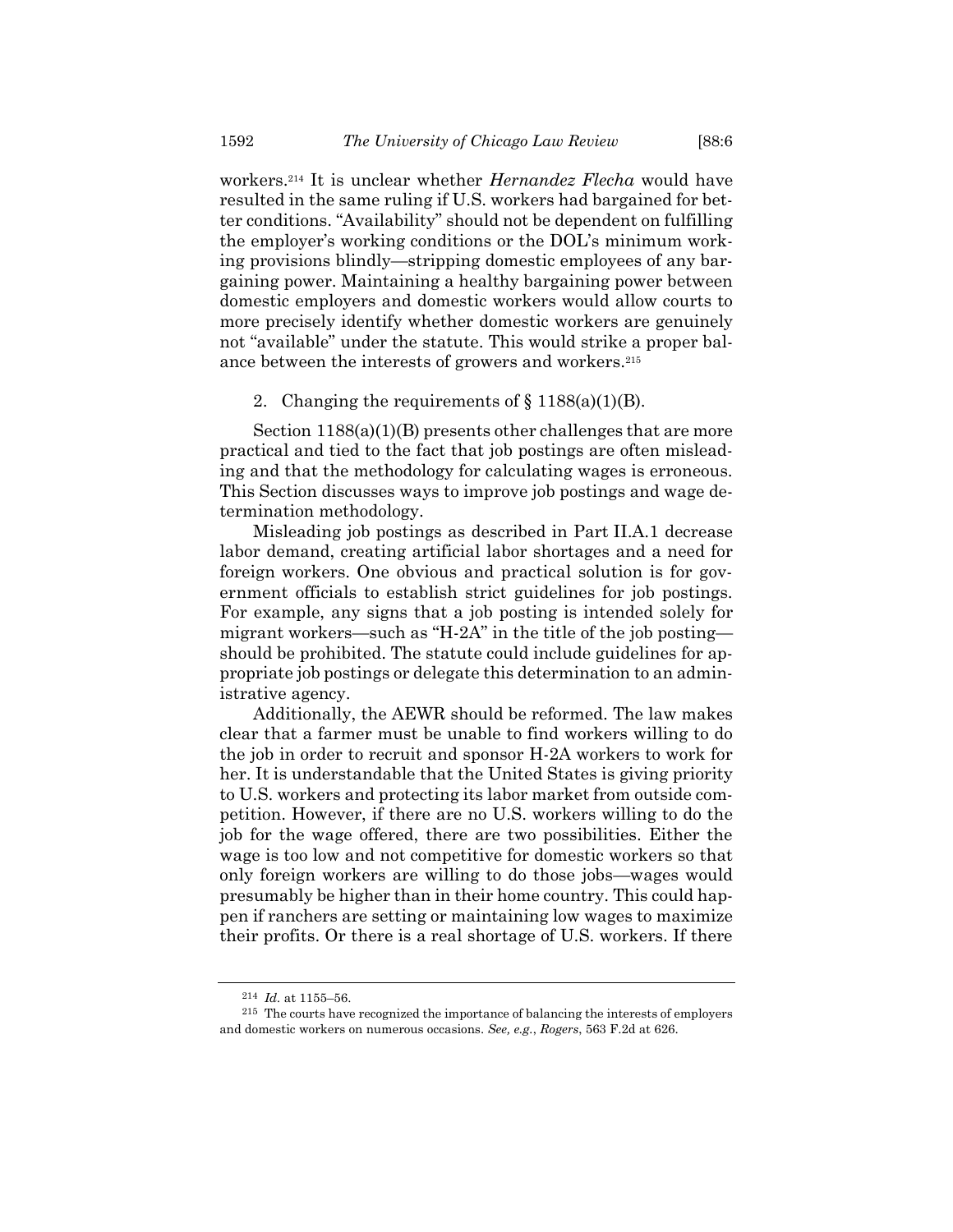workers.<sup>214</sup> It is unclear whether *Hernandez Flecha* would have resulted in the same ruling if U.S. workers had bargained for better conditions. "Availability" should not be dependent on fulfilling the employer's working conditions or the DOL's minimum working provisions blindly—stripping domestic employees of any bargaining power. Maintaining a healthy bargaining power between domestic employers and domestic workers would allow courts to more precisely identify whether domestic workers are genuinely not "available" under the statute. This would strike a proper balance between the interests of growers and workers.<sup>215</sup>

#### 2. Changing the requirements of  $\S 1188(a)(1)(B)$ .

Section 1188(a)(1)(B) presents other challenges that are more practical and tied to the fact that job postings are often misleading and that the methodology for calculating wages is erroneous. This Section discusses ways to improve job postings and wage determination methodology.

Misleading job postings as described in Part II.A.1 decrease labor demand, creating artificial labor shortages and a need for foreign workers. One obvious and practical solution is for government officials to establish strict guidelines for job postings. For example, any signs that a job posting is intended solely for migrant workers—such as "H-2A" in the title of the job posting should be prohibited. The statute could include guidelines for appropriate job postings or delegate this determination to an administrative agency.

Additionally, the AEWR should be reformed. The law makes clear that a farmer must be unable to find workers willing to do the job in order to recruit and sponsor H-2A workers to work for her. It is understandable that the United States is giving priority to U.S. workers and protecting its labor market from outside competition. However, if there are no U.S. workers willing to do the job for the wage offered, there are two possibilities. Either the wage is too low and not competitive for domestic workers so that only foreign workers are willing to do those jobs—wages would presumably be higher than in their home country. This could happen if ranchers are setting or maintaining low wages to maximize their profits. Or there is a real shortage of U.S. workers. If there

<sup>214</sup> *Id.* at 1155–56.

<sup>215</sup> The courts have recognized the importance of balancing the interests of employers and domestic workers on numerous occasions. *See, e.g.*, *Rogers*, 563 F.2d at 626.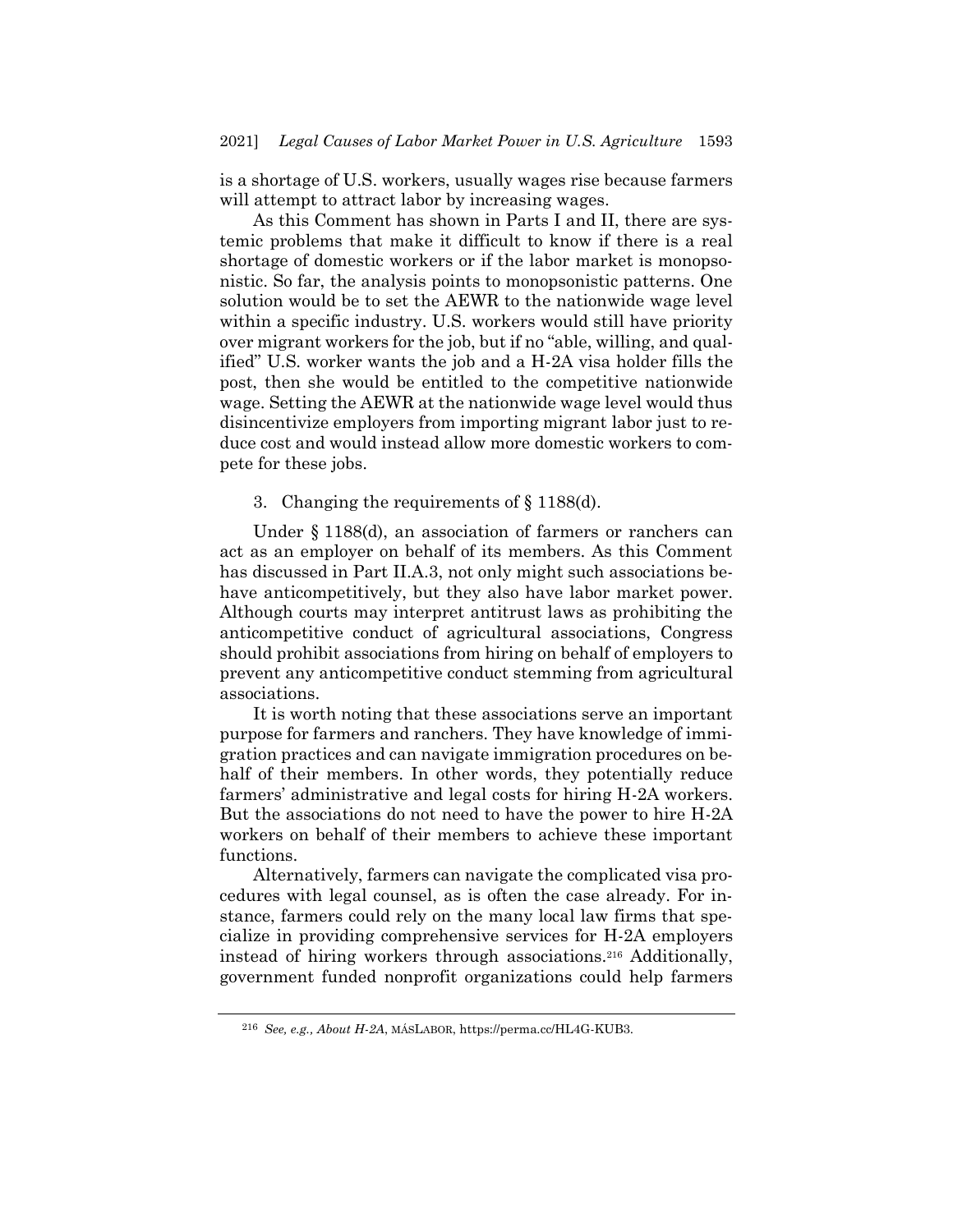is a shortage of U.S. workers, usually wages rise because farmers will attempt to attract labor by increasing wages.

As this Comment has shown in Parts I and II, there are systemic problems that make it difficult to know if there is a real shortage of domestic workers or if the labor market is monopsonistic. So far, the analysis points to monopsonistic patterns. One solution would be to set the AEWR to the nationwide wage level within a specific industry. U.S. workers would still have priority over migrant workers for the job, but if no "able, willing, and qualified" U.S. worker wants the job and a H-2A visa holder fills the post, then she would be entitled to the competitive nationwide wage. Setting the AEWR at the nationwide wage level would thus disincentivize employers from importing migrant labor just to reduce cost and would instead allow more domestic workers to compete for these jobs.

3. Changing the requirements of § 1188(d).

Under § 1188(d), an association of farmers or ranchers can act as an employer on behalf of its members. As this Comment has discussed in Part II.A.3, not only might such associations behave anticompetitively, but they also have labor market power. Although courts may interpret antitrust laws as prohibiting the anticompetitive conduct of agricultural associations, Congress should prohibit associations from hiring on behalf of employers to prevent any anticompetitive conduct stemming from agricultural associations.

It is worth noting that these associations serve an important purpose for farmers and ranchers. They have knowledge of immigration practices and can navigate immigration procedures on behalf of their members. In other words, they potentially reduce farmers' administrative and legal costs for hiring H-2A workers. But the associations do not need to have the power to hire H-2A workers on behalf of their members to achieve these important functions.

Alternatively, farmers can navigate the complicated visa procedures with legal counsel, as is often the case already. For instance, farmers could rely on the many local law firms that specialize in providing comprehensive services for H-2A employers instead of hiring workers through associations.<sup>216</sup> Additionally, government funded nonprofit organizations could help farmers

<sup>216</sup> *See, e.g., About H-2A*, MÁSLABOR, https://perma.cc/HL4G-KUB3.